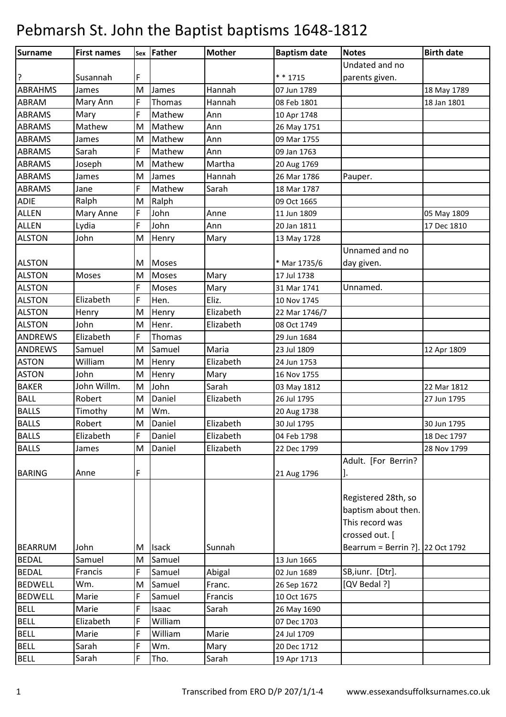| Surname        | <b>First names</b> |   | sex Father   | <b>Mother</b> | <b>Baptism date</b> | <b>Notes</b>                                                  | <b>Birth date</b> |
|----------------|--------------------|---|--------------|---------------|---------------------|---------------------------------------------------------------|-------------------|
|                |                    |   |              |               |                     | Undated and no                                                |                   |
| ?              | Susannah           | F |              |               | * * 1715            | parents given.                                                |                   |
| <b>ABRAHMS</b> | James              | M | James        | Hannah        | 07 Jun 1789         |                                                               | 18 May 1789       |
| ABRAM          | Mary Ann           | F | Thomas       | Hannah        | 08 Feb 1801         |                                                               | 18 Jan 1801       |
| <b>ABRAMS</b>  | Mary               | F | Mathew       | Ann           | 10 Apr 1748         |                                                               |                   |
| <b>ABRAMS</b>  | Mathew             | M | Mathew       | Ann           | 26 May 1751         |                                                               |                   |
| <b>ABRAMS</b>  | James              | M | Mathew       | Ann           | 09 Mar 1755         |                                                               |                   |
| <b>ABRAMS</b>  | Sarah              | F | Mathew       | Ann           | 09 Jan 1763         |                                                               |                   |
| <b>ABRAMS</b>  | Joseph             | M | Mathew       | Martha        | 20 Aug 1769         |                                                               |                   |
| <b>ABRAMS</b>  | James              | M | James        | Hannah        | 26 Mar 1786         | Pauper.                                                       |                   |
| <b>ABRAMS</b>  | Jane               | F | Mathew       | Sarah         | 18 Mar 1787         |                                                               |                   |
| ADIE           | Ralph              | M | Ralph        |               | 09 Oct 1665         |                                                               |                   |
| <b>ALLEN</b>   | Mary Anne          | F | John         | Anne          | 11 Jun 1809         |                                                               | 05 May 1809       |
| <b>ALLEN</b>   | Lydia              | F | John         | Ann           | 20 Jan 1811         |                                                               | 17 Dec 1810       |
| <b>ALSTON</b>  | John               | M | Henry        | Mary          | 13 May 1728         |                                                               |                   |
|                |                    |   |              |               |                     | Unnamed and no                                                |                   |
| <b>ALSTON</b>  |                    | M | Moses        |               | * Mar 1735/6        | day given.                                                    |                   |
| <b>ALSTON</b>  | Moses              | M | <b>Moses</b> | Mary          | 17 Jul 1738         |                                                               |                   |
| <b>ALSTON</b>  |                    | F | <b>Moses</b> | Mary          | 31 Mar 1741         | Unnamed.                                                      |                   |
| <b>ALSTON</b>  | Elizabeth          | F | Hen.         | Eliz.         | 10 Nov 1745         |                                                               |                   |
| <b>ALSTON</b>  | Henry              | M | Henry        | Elizabeth     | 22 Mar 1746/7       |                                                               |                   |
| <b>ALSTON</b>  | John               | M | Henr.        | Elizabeth     | 08 Oct 1749         |                                                               |                   |
| <b>ANDREWS</b> | Elizabeth          | F | Thomas       |               | 29 Jun 1684         |                                                               |                   |
| <b>ANDREWS</b> | Samuel             | M | Samuel       | Maria         | 23 Jul 1809         |                                                               | 12 Apr 1809       |
| <b>ASTON</b>   | William            | M | Henry        | Elizabeth     | 24 Jun 1753         |                                                               |                   |
| <b>ASTON</b>   | John               | M | Henry        | Mary          | 16 Nov 1755         |                                                               |                   |
| <b>BAKER</b>   | John Willm.        | M | John         | Sarah         | 03 May 1812         |                                                               | 22 Mar 1812       |
| <b>BALL</b>    | Robert             | M | Daniel       | Elizabeth     | 26 Jul 1795         |                                                               | 27 Jun 1795       |
| <b>BALLS</b>   | Timothy            | M | Wm.          |               | 20 Aug 1738         |                                                               |                   |
| <b>BALLS</b>   | Robert             | M | Daniel       | Elizabeth     | 30 Jul 1795         |                                                               | 30 Jun 1795       |
| <b>BALLS</b>   | Elizabeth          | F | Daniel       | Elizabeth     | 04 Feb 1798         |                                                               | 18 Dec 1797       |
| <b>BALLS</b>   | James              | M | Daniel       | Elizabeth     | 22 Dec 1799         |                                                               | 28 Nov 1799       |
|                |                    |   |              |               |                     | Adult. [For Berrin?                                           |                   |
| <b>BARING</b>  | Anne               | F |              |               | 21 Aug 1796         |                                                               |                   |
|                |                    |   |              |               |                     | Registered 28th, so<br>baptism about then.<br>This record was |                   |
|                |                    |   |              |               |                     | crossed out. [                                                |                   |
| <b>BEARRUM</b> | John               | M | <b>Isack</b> | Sunnah        |                     | Bearrum = Berrin ?]. 22 Oct 1792                              |                   |
| <b>BEDAL</b>   | Samuel             | M | Samuel       |               | 13 Jun 1665         |                                                               |                   |
| <b>BEDAL</b>   | Francis            | F | Samuel       | Abigal        | 02 Jun 1689         | SB, iunr. [Dtr].                                              |                   |
| <b>BEDWELL</b> | Wm.                | M | Samuel       | Franc.        | 26 Sep 1672         | [QV Bedal ?]                                                  |                   |
| <b>BEDWELL</b> | Marie              | F | Samuel       | Francis       | 10 Oct 1675         |                                                               |                   |
| <b>BELL</b>    | Marie              | F | Isaac        | Sarah         | 26 May 1690         |                                                               |                   |
| <b>BELL</b>    | Elizabeth          | F | William      |               | 07 Dec 1703         |                                                               |                   |
| <b>BELL</b>    | Marie              | F | William      | Marie         | 24 Jul 1709         |                                                               |                   |
| <b>BELL</b>    | Sarah              | F | Wm.          | Mary          | 20 Dec 1712         |                                                               |                   |
| <b>BELL</b>    | Sarah              | F | Tho.         | Sarah         | 19 Apr 1713         |                                                               |                   |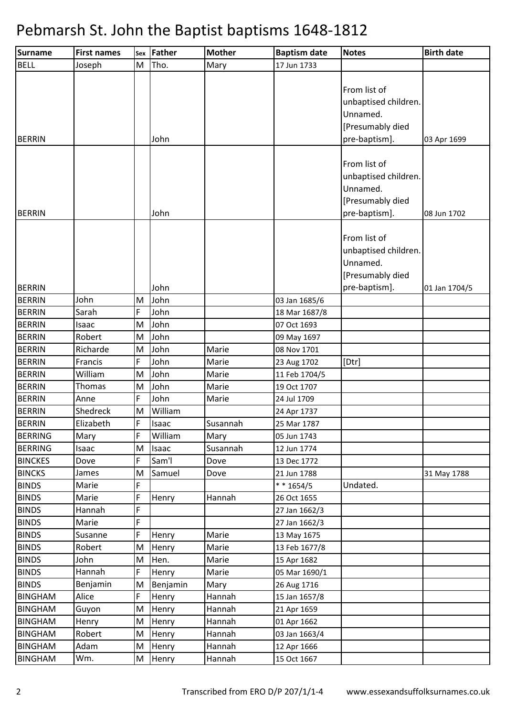| <b>Surname</b> | <b>First names</b> | Sex          | <b>Father</b>      | <b>Mother</b> | <b>Baptism date</b> | <b>Notes</b>                                                                          | <b>Birth date</b> |
|----------------|--------------------|--------------|--------------------|---------------|---------------------|---------------------------------------------------------------------------------------|-------------------|
| <b>BELL</b>    | Joseph             | M            | Tho.               | Mary          | 17 Jun 1733         |                                                                                       |                   |
|                |                    |              |                    |               |                     | From list of<br>unbaptised children.<br>Unnamed.<br>[Presumably died                  |                   |
| <b>BERRIN</b>  |                    |              | John               |               |                     | pre-baptism].                                                                         | 03 Apr 1699       |
| <b>BERRIN</b>  |                    |              | John               |               |                     | From list of<br>unbaptised children.<br>Unnamed.<br>[Presumably died<br>pre-baptism]. | 08 Jun 1702       |
|                |                    |              |                    |               |                     | From list of<br>unbaptised children.<br>Unnamed.<br>[Presumably died                  |                   |
| <b>BERRIN</b>  |                    |              | John               |               |                     | pre-baptism].                                                                         | 01 Jan 1704/5     |
| <b>BERRIN</b>  | John               | M            | John               |               | 03 Jan 1685/6       |                                                                                       |                   |
| <b>BERRIN</b>  | Sarah              | F            | John               |               | 18 Mar 1687/8       |                                                                                       |                   |
| <b>BERRIN</b>  | Isaac              | M            | John               |               | 07 Oct 1693         |                                                                                       |                   |
| <b>BERRIN</b>  | Robert             | M            | John               |               | 09 May 1697         |                                                                                       |                   |
| <b>BERRIN</b>  | Richarde           | M            | John               | Marie         | 08 Nov 1701         |                                                                                       |                   |
| <b>BERRIN</b>  | Francis            | F            | John               | Marie         | 23 Aug 1702         | [Dtr]                                                                                 |                   |
| <b>BERRIN</b>  | William            | M            | John               | Marie         | 11 Feb 1704/5       |                                                                                       |                   |
| <b>BERRIN</b>  | Thomas             | M            | John               | Marie         | 19 Oct 1707         |                                                                                       |                   |
| <b>BERRIN</b>  | Anne               | F            | John               | Marie         | 24 Jul 1709         |                                                                                       |                   |
| <b>BERRIN</b>  | Shedreck           | M            | William            |               | 24 Apr 1737         |                                                                                       |                   |
| <b>BERRIN</b>  | Elizabeth          | $\mathsf{F}$ | Isaac              | Susannah      | 25 Mar 1787         |                                                                                       |                   |
| <b>BERRING</b> | Mary               | F            | William            | Mary          | 05 Jun 1743         |                                                                                       |                   |
| <b>BERRING</b> | Isaac              | M            | Isaac              | Susannah      | 12 Jun 1774         |                                                                                       |                   |
| <b>BINCKES</b> | Dove               | F            | Sam <sup>'</sup> l | Dove          | 13 Dec 1772         |                                                                                       |                   |
| <b>BINCKS</b>  | James              | M            | Samuel             | Dove          | 21 Jun 1788         |                                                                                       | 31 May 1788       |
| <b>BINDS</b>   | Marie              | F            |                    |               | $* * 1654/5$        | Undated.                                                                              |                   |
| <b>BINDS</b>   | Marie              | F            | Henry              | Hannah        | 26 Oct 1655         |                                                                                       |                   |
| <b>BINDS</b>   | Hannah             | F            |                    |               | 27 Jan 1662/3       |                                                                                       |                   |
| <b>BINDS</b>   | Marie              | F            |                    |               | 27 Jan 1662/3       |                                                                                       |                   |
| <b>BINDS</b>   | Susanne            | F            | Henry              | Marie         | 13 May 1675         |                                                                                       |                   |
| <b>BINDS</b>   | Robert             | M            | Henry              | Marie         | 13 Feb 1677/8       |                                                                                       |                   |
| <b>BINDS</b>   | John               | M            | Hen.               | Marie         | 15 Apr 1682         |                                                                                       |                   |
| <b>BINDS</b>   | Hannah             | F            | Henry              | Marie         | 05 Mar 1690/1       |                                                                                       |                   |
| <b>BINDS</b>   | Benjamin           | M            | Benjamin           | Mary          | 26 Aug 1716         |                                                                                       |                   |
| <b>BINGHAM</b> | Alice              | F            | Henry              | Hannah        | 15 Jan 1657/8       |                                                                                       |                   |
| <b>BINGHAM</b> | Guyon              | M            | Henry              | Hannah        | 21 Apr 1659         |                                                                                       |                   |
| <b>BINGHAM</b> | Henry              | M            | Henry              | Hannah        | 01 Apr 1662         |                                                                                       |                   |
| <b>BINGHAM</b> | Robert             | M            | Henry              | Hannah        | 03 Jan 1663/4       |                                                                                       |                   |
| <b>BINGHAM</b> | Adam               | M            | Henry              | Hannah        | 12 Apr 1666         |                                                                                       |                   |
| <b>BINGHAM</b> | Wm.                | M            | Henry              | Hannah        | 15 Oct 1667         |                                                                                       |                   |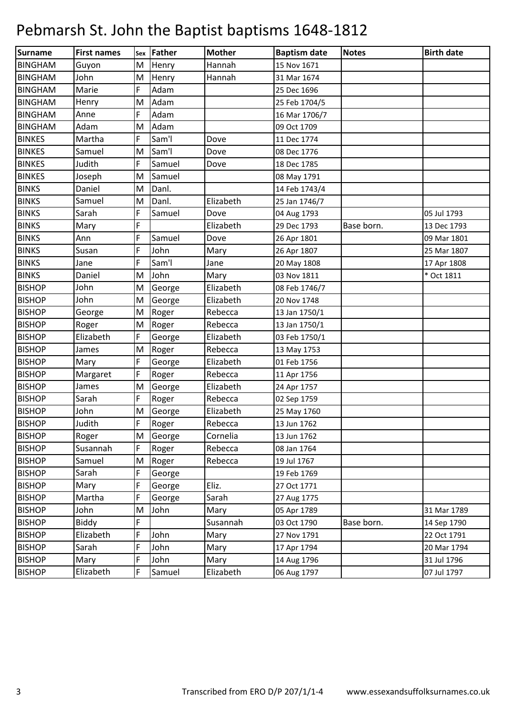| Surname        | <b>First names</b> |   | sex Father         | <b>Mother</b> | <b>Baptism date</b> | <b>Notes</b> | <b>Birth date</b> |
|----------------|--------------------|---|--------------------|---------------|---------------------|--------------|-------------------|
| <b>BINGHAM</b> | Guyon              | M | Henry              | Hannah        | 15 Nov 1671         |              |                   |
| <b>BINGHAM</b> | John               | M | Henry              | Hannah        | 31 Mar 1674         |              |                   |
| <b>BINGHAM</b> | Marie              | F | Adam               |               | 25 Dec 1696         |              |                   |
| <b>BINGHAM</b> | Henry              | M | Adam               |               | 25 Feb 1704/5       |              |                   |
| <b>BINGHAM</b> | Anne               | F | Adam               |               | 16 Mar 1706/7       |              |                   |
| <b>BINGHAM</b> | Adam               | M | Adam               |               | 09 Oct 1709         |              |                   |
| <b>BINKES</b>  | Martha             | F | Sam'l              | Dove          | 11 Dec 1774         |              |                   |
| <b>BINKES</b>  | Samuel             | M | Sam'l              | Dove          | 08 Dec 1776         |              |                   |
| <b>BINKES</b>  | Judith             | F | Samuel             | Dove          | 18 Dec 1785         |              |                   |
| <b>BINKES</b>  | Joseph             | M | Samuel             |               | 08 May 1791         |              |                   |
| <b>BINKS</b>   | Daniel             | M | Danl.              |               | 14 Feb 1743/4       |              |                   |
| <b>BINKS</b>   | Samuel             | M | Danl.              | Elizabeth     | 25 Jan 1746/7       |              |                   |
| <b>BINKS</b>   | Sarah              | F | Samuel             | Dove          | 04 Aug 1793         |              | 05 Jul 1793       |
| <b>BINKS</b>   | Mary               | F |                    | Elizabeth     | 29 Dec 1793         | Base born.   | 13 Dec 1793       |
| <b>BINKS</b>   | Ann                | F | Samuel             | Dove          | 26 Apr 1801         |              | 09 Mar 1801       |
| <b>BINKS</b>   | Susan              | F | John               | Mary          | 26 Apr 1807         |              | 25 Mar 1807       |
| <b>BINKS</b>   | Jane               | F | Sam <sup>'</sup> l | Jane          | 20 May 1808         |              | 17 Apr 1808       |
| <b>BINKS</b>   | Daniel             | M | John               | Mary          | 03 Nov 1811         |              | * Oct 1811        |
| <b>BISHOP</b>  | John               | M | George             | Elizabeth     | 08 Feb 1746/7       |              |                   |
| <b>BISHOP</b>  | John               | M | George             | Elizabeth     | 20 Nov 1748         |              |                   |
| <b>BISHOP</b>  | George             | M | Roger              | Rebecca       | 13 Jan 1750/1       |              |                   |
| <b>BISHOP</b>  | Roger              | M | Roger              | Rebecca       | 13 Jan 1750/1       |              |                   |
| <b>BISHOP</b>  | Elizabeth          | F | George             | Elizabeth     | 03 Feb 1750/1       |              |                   |
| <b>BISHOP</b>  | James              | M | Roger              | Rebecca       | 13 May 1753         |              |                   |
| <b>BISHOP</b>  | Mary               | F | George             | Elizabeth     | 01 Feb 1756         |              |                   |
| <b>BISHOP</b>  | Margaret           | F | Roger              | Rebecca       | 11 Apr 1756         |              |                   |
| <b>BISHOP</b>  | James              | M | George             | Elizabeth     | 24 Apr 1757         |              |                   |
| <b>BISHOP</b>  | Sarah              | F | Roger              | Rebecca       | 02 Sep 1759         |              |                   |
| <b>BISHOP</b>  | John               | M | George             | Elizabeth     | 25 May 1760         |              |                   |
| <b>BISHOP</b>  | Judith             | F | Roger              | Rebecca       | 13 Jun 1762         |              |                   |
| <b>BISHOP</b>  | Roger              | M | George             | Cornelia      | 13 Jun 1762         |              |                   |
| <b>BISHOP</b>  | Susannah           | F | Roger              | Rebecca       | 08 Jan 1764         |              |                   |
| <b>BISHOP</b>  | Samuel             | M | Roger              | Rebecca       | 19 Jul 1767         |              |                   |
| <b>BISHOP</b>  | Sarah              | F | George             |               | 19 Feb 1769         |              |                   |
| <b>BISHOP</b>  | Mary               | F | George             | Eliz.         | 27 Oct 1771         |              |                   |
| <b>BISHOP</b>  | Martha             | F | George             | Sarah         | 27 Aug 1775         |              |                   |
| <b>BISHOP</b>  | John               | M | John               | Mary          | 05 Apr 1789         |              | 31 Mar 1789       |
| <b>BISHOP</b>  | Biddy              | F |                    | Susannah      | 03 Oct 1790         | Base born.   | 14 Sep 1790       |
| <b>BISHOP</b>  | Elizabeth          | F | John               | Mary          | 27 Nov 1791         |              | 22 Oct 1791       |
| <b>BISHOP</b>  | Sarah              | F | John               | Mary          | 17 Apr 1794         |              | 20 Mar 1794       |
| <b>BISHOP</b>  | Mary               | F | John               | Mary          | 14 Aug 1796         |              | 31 Jul 1796       |
| <b>BISHOP</b>  | Elizabeth          | F | Samuel             | Elizabeth     | 06 Aug 1797         |              | 07 Jul 1797       |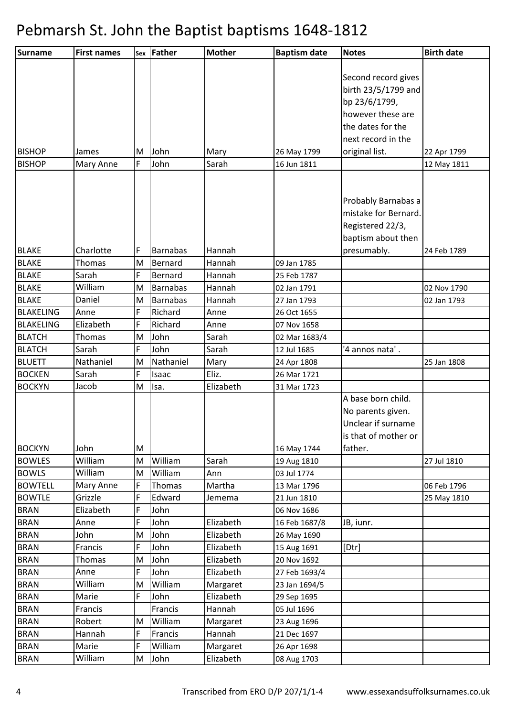| <b>Surname</b>   | <b>First names</b> | Sex    | <b>Father</b>      | <b>Mother</b>      | <b>Baptism date</b> | <b>Notes</b>         | <b>Birth date</b> |
|------------------|--------------------|--------|--------------------|--------------------|---------------------|----------------------|-------------------|
|                  |                    |        |                    |                    |                     |                      |                   |
|                  |                    |        |                    |                    |                     | Second record gives  |                   |
|                  |                    |        |                    |                    |                     | birth 23/5/1799 and  |                   |
|                  |                    |        |                    |                    |                     | bp 23/6/1799,        |                   |
|                  |                    |        |                    |                    |                     | however these are    |                   |
|                  |                    |        |                    |                    |                     | the dates for the    |                   |
|                  |                    |        |                    |                    |                     | next record in the   |                   |
| <b>BISHOP</b>    | James              | M      | John               | Mary               | 26 May 1799         | original list.       | 22 Apr 1799       |
| <b>BISHOP</b>    | Mary Anne          | F      | John               | Sarah              | 16 Jun 1811         |                      | 12 May 1811       |
|                  |                    |        |                    |                    |                     |                      |                   |
|                  |                    |        |                    |                    |                     |                      |                   |
|                  |                    |        |                    |                    |                     | Probably Barnabas a  |                   |
|                  |                    |        |                    |                    |                     | mistake for Bernard. |                   |
|                  |                    |        |                    |                    |                     | Registered 22/3,     |                   |
|                  |                    |        |                    |                    |                     | baptism about then   |                   |
| <b>BLAKE</b>     | Charlotte          | F      | <b>Barnabas</b>    | Hannah             |                     | presumably.          | 24 Feb 1789       |
| <b>BLAKE</b>     | Thomas             | M      | Bernard            | Hannah             | 09 Jan 1785         |                      |                   |
| <b>BLAKE</b>     | Sarah              | F      | Bernard            | Hannah             | 25 Feb 1787         |                      |                   |
| <b>BLAKE</b>     | William            | M      | <b>Barnabas</b>    | Hannah             | 02 Jan 1791         |                      | 02 Nov 1790       |
| <b>BLAKE</b>     | Daniel             | M      | <b>Barnabas</b>    | Hannah             | 27 Jan 1793         |                      | 02 Jan 1793       |
| <b>BLAKELING</b> | Anne               | F      | Richard            | Anne               | 26 Oct 1655         |                      |                   |
| <b>BLAKELING</b> | Elizabeth          | F      | Richard            | Anne               | 07 Nov 1658         |                      |                   |
| <b>BLATCH</b>    | Thomas             | M      | John               | Sarah              | 02 Mar 1683/4       |                      |                   |
| <b>BLATCH</b>    | Sarah              | F      | John               | Sarah              | 12 Jul 1685         | '4 annos nata'.      |                   |
| <b>BLUETT</b>    | Nathaniel          | M      | Nathaniel          | Mary               | 24 Apr 1808         |                      | 25 Jan 1808       |
| <b>BOCKEN</b>    | Sarah              | F      | Isaac              | Eliz.              | 26 Mar 1721         |                      |                   |
| <b>BOCKYN</b>    | Jacob              | M      | Isa.               | Elizabeth          | 31 Mar 1723         |                      |                   |
|                  |                    |        |                    |                    |                     | A base born child.   |                   |
|                  |                    |        |                    |                    |                     | No parents given.    |                   |
|                  |                    |        |                    |                    |                     | Unclear if surname   |                   |
|                  |                    |        |                    |                    |                     | is that of mother or |                   |
| <b>BOCKYN</b>    | John               | M      |                    |                    | 16 May 1744         | father.              |                   |
| <b>BOWLES</b>    | William            | M      | William            | Sarah              | 19 Aug 1810         |                      | 27 Jul 1810       |
| <b>BOWLS</b>     | William            | M      | William            | Ann                | 03 Jul 1774         |                      |                   |
| <b>BOWTELL</b>   | Mary Anne          | F      | Thomas             | Martha             | 13 Mar 1796         |                      | 06 Feb 1796       |
| <b>BOWTLE</b>    | Grizzle            | F      | Edward             | Jemema             | 21 Jun 1810         |                      | 25 May 1810       |
| <b>BRAN</b>      | Elizabeth          | F      | John               |                    | 06 Nov 1686         |                      |                   |
| <b>BRAN</b>      | Anne               | F      | John               | Elizabeth          | 16 Feb 1687/8       | JB, iunr.            |                   |
| <b>BRAN</b>      | John               | M      | John               | Elizabeth          | 26 May 1690         |                      |                   |
| <b>BRAN</b>      | Francis            | F      | John               | Elizabeth          | 15 Aug 1691         | [Dtr]                |                   |
| <b>BRAN</b>      | Thomas             | M<br>F | John<br>John       | Elizabeth          | 20 Nov 1692         |                      |                   |
| <b>BRAN</b>      | Anne<br>William    |        | William            | Elizabeth          | 27 Feb 1693/4       |                      |                   |
| <b>BRAN</b>      |                    | M<br>F | John               | Margaret           | 23 Jan 1694/5       |                      |                   |
| <b>BRAN</b>      | Marie              |        |                    | Elizabeth          | 29 Sep 1695         |                      |                   |
| <b>BRAN</b>      | Francis            |        | Francis            | Hannah             | 05 Jul 1696         |                      |                   |
| <b>BRAN</b>      | Robert             | M<br>F | William<br>Francis | Margaret<br>Hannah | 23 Aug 1696         |                      |                   |
| <b>BRAN</b>      | Hannah             | F      | William            |                    | 21 Dec 1697         |                      |                   |
| <b>BRAN</b>      | Marie              |        |                    | Margaret           | 26 Apr 1698         |                      |                   |
| <b>BRAN</b>      | William            | M      | John               | Elizabeth          | 08 Aug 1703         |                      |                   |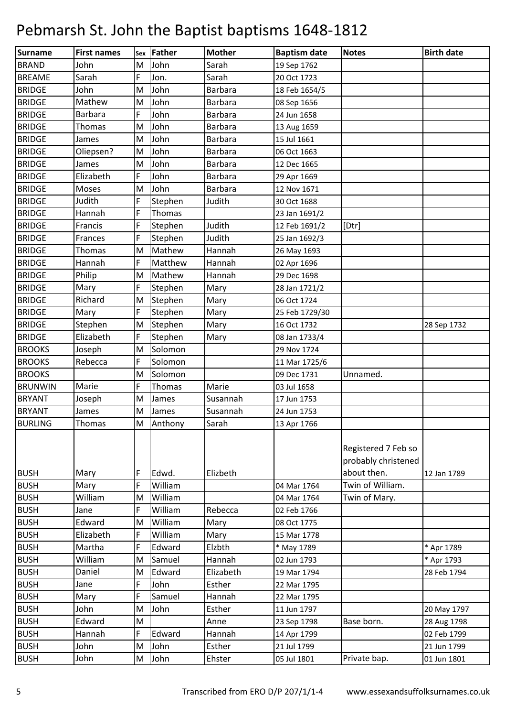| Surname        | <b>First names</b> | Sex | <b>Father</b> | <b>Mother</b>  | <b>Baptism date</b> | <b>Notes</b>                                              | <b>Birth date</b> |
|----------------|--------------------|-----|---------------|----------------|---------------------|-----------------------------------------------------------|-------------------|
| <b>BRAND</b>   | John               | M   | John          | Sarah          | 19 Sep 1762         |                                                           |                   |
| <b>BREAME</b>  | Sarah              | F   | Jon.          | Sarah          | 20 Oct 1723         |                                                           |                   |
| <b>BRIDGE</b>  | John               | M   | John          | <b>Barbara</b> | 18 Feb 1654/5       |                                                           |                   |
| <b>BRIDGE</b>  | Mathew             | M   | John          | Barbara        | 08 Sep 1656         |                                                           |                   |
| <b>BRIDGE</b>  | <b>Barbara</b>     | F   | John          | <b>Barbara</b> | 24 Jun 1658         |                                                           |                   |
| <b>BRIDGE</b>  | Thomas             | M   | John          | Barbara        | 13 Aug 1659         |                                                           |                   |
| <b>BRIDGE</b>  | James              | M   | John          | <b>Barbara</b> | 15 Jul 1661         |                                                           |                   |
| <b>BRIDGE</b>  | Oliepsen?          | M   | John          | Barbara        | 06 Oct 1663         |                                                           |                   |
| <b>BRIDGE</b>  | James              | M   | John          | <b>Barbara</b> | 12 Dec 1665         |                                                           |                   |
| <b>BRIDGE</b>  | Elizabeth          | F   | John          | Barbara        | 29 Apr 1669         |                                                           |                   |
| <b>BRIDGE</b>  | Moses              | M   | John          | Barbara        | 12 Nov 1671         |                                                           |                   |
| <b>BRIDGE</b>  | Judith             | F   | Stephen       | Judith         | 30 Oct 1688         |                                                           |                   |
| <b>BRIDGE</b>  | Hannah             | F   | Thomas        |                | 23 Jan 1691/2       |                                                           |                   |
| <b>BRIDGE</b>  | Francis            | F   | Stephen       | Judith         | 12 Feb 1691/2       | [Dtr]                                                     |                   |
| <b>BRIDGE</b>  | Frances            | F   | Stephen       | Judith         | 25 Jan 1692/3       |                                                           |                   |
| <b>BRIDGE</b>  | Thomas             | M   | Mathew        | Hannah         | 26 May 1693         |                                                           |                   |
| <b>BRIDGE</b>  | Hannah             | F   | Matthew       | Hannah         | 02 Apr 1696         |                                                           |                   |
| <b>BRIDGE</b>  | Philip             | M   | Mathew        | Hannah         | 29 Dec 1698         |                                                           |                   |
| <b>BRIDGE</b>  | Mary               | F   | Stephen       | Mary           | 28 Jan 1721/2       |                                                           |                   |
| <b>BRIDGE</b>  | Richard            | M   | Stephen       | Mary           | 06 Oct 1724         |                                                           |                   |
| <b>BRIDGE</b>  | Mary               | F   | Stephen       | Mary           | 25 Feb 1729/30      |                                                           |                   |
| <b>BRIDGE</b>  | Stephen            | M   | Stephen       | Mary           | 16 Oct 1732         |                                                           | 28 Sep 1732       |
| <b>BRIDGE</b>  | Elizabeth          | F   | Stephen       | Mary           | 08 Jan 1733/4       |                                                           |                   |
| <b>BROOKS</b>  | Joseph             | M   | Solomon       |                | 29 Nov 1724         |                                                           |                   |
| <b>BROOKS</b>  | Rebecca            | F   | Solomon       |                | 11 Mar 1725/6       |                                                           |                   |
| <b>BROOKS</b>  |                    | M   | Solomon       |                | 09 Dec 1731         | Unnamed.                                                  |                   |
| <b>BRUNWIN</b> | Marie              | F   | Thomas        | Marie          | 03 Jul 1658         |                                                           |                   |
| <b>BRYANT</b>  | Joseph             | M   | James         | Susannah       | 17 Jun 1753         |                                                           |                   |
| <b>BRYANT</b>  | James              | M   | James         | Susannah       | 24 Jun 1753         |                                                           |                   |
| <b>BURLING</b> | Thomas             | M   | Anthony       | Sarah          | 13 Apr 1766         |                                                           |                   |
| <b>BUSH</b>    | Mary               | F   | Edwd.         | Elizbeth       |                     | Registered 7 Feb so<br>probably christened<br>about then. | 12 Jan 1789       |
| <b>BUSH</b>    | Mary               | F   | William       |                | 04 Mar 1764         | Twin of William.                                          |                   |
| <b>BUSH</b>    | William            | M   | William       |                | 04 Mar 1764         | Twin of Mary.                                             |                   |
| <b>BUSH</b>    | Jane               | F   | William       | Rebecca        | 02 Feb 1766         |                                                           |                   |
| <b>BUSH</b>    | Edward             | M   | William       | Mary           | 08 Oct 1775         |                                                           |                   |
| <b>BUSH</b>    | Elizabeth          | F   | William       | Mary           | 15 Mar 1778         |                                                           |                   |
| <b>BUSH</b>    | Martha             | F   | Edward        | Elzbth         | * May 1789          |                                                           | * Apr 1789        |
| <b>BUSH</b>    | William            | M   | Samuel        | Hannah         | 02 Jun 1793         |                                                           | * Apr 1793        |
| <b>BUSH</b>    | Daniel             | M   | Edward        | Elizabeth      | 19 Mar 1794         |                                                           | 28 Feb 1794       |
| <b>BUSH</b>    | Jane               | F   | John          | Esther         | 22 Mar 1795         |                                                           |                   |
| <b>BUSH</b>    | Mary               | F   | Samuel        | Hannah         | 22 Mar 1795         |                                                           |                   |
| <b>BUSH</b>    | John               | M   | John          | Esther         | 11 Jun 1797         |                                                           | 20 May 1797       |
| <b>BUSH</b>    | Edward             | M   |               | Anne           | 23 Sep 1798         | Base born.                                                | 28 Aug 1798       |
| <b>BUSH</b>    | Hannah             | F   | Edward        | Hannah         | 14 Apr 1799         |                                                           | 02 Feb 1799       |
| <b>BUSH</b>    | John               | M   | John          | Esther         | 21 Jul 1799         |                                                           | 21 Jun 1799       |
| <b>BUSH</b>    | John               | M   | John          | Ehster         | 05 Jul 1801         | Private bap.                                              | 01 Jun 1801       |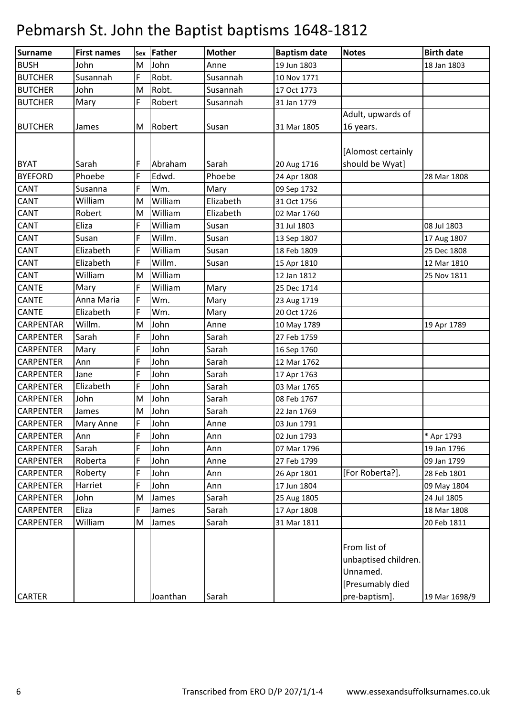| Surname          | <b>First names</b> |   | sex Father | <b>Mother</b> | <b>Baptism date</b> | <b>Notes</b>                                                         | <b>Birth date</b> |
|------------------|--------------------|---|------------|---------------|---------------------|----------------------------------------------------------------------|-------------------|
| <b>BUSH</b>      | John               | M | John       | Anne          | 19 Jun 1803         |                                                                      | 18 Jan 1803       |
| <b>BUTCHER</b>   | Susannah           | F | Robt.      | Susannah      | 10 Nov 1771         |                                                                      |                   |
| <b>BUTCHER</b>   | John               | M | Robt.      | Susannah      | 17 Oct 1773         |                                                                      |                   |
| <b>BUTCHER</b>   | Mary               | F | Robert     | Susannah      | 31 Jan 1779         |                                                                      |                   |
|                  |                    |   |            |               |                     | Adult, upwards of                                                    |                   |
| <b>BUTCHER</b>   | James              | M | Robert     | Susan         | 31 Mar 1805         | 16 years.                                                            |                   |
|                  |                    |   |            |               |                     |                                                                      |                   |
|                  |                    |   |            |               |                     | [Alomost certainly                                                   |                   |
| <b>BYAT</b>      | Sarah              | F | Abraham    | Sarah         | 20 Aug 1716         | should be Wyat]                                                      |                   |
| <b>BYEFORD</b>   | Phoebe             | F | Edwd.      | Phoebe        | 24 Apr 1808         |                                                                      | 28 Mar 1808       |
| <b>CANT</b>      | Susanna            | F | Wm.        | Mary          | 09 Sep 1732         |                                                                      |                   |
| <b>CANT</b>      | William            | M | William    | Elizabeth     | 31 Oct 1756         |                                                                      |                   |
| CANT             | Robert             | M | William    | Elizabeth     | 02 Mar 1760         |                                                                      |                   |
| <b>CANT</b>      | Eliza              | F | William    | Susan         | 31 Jul 1803         |                                                                      | 08 Jul 1803       |
| <b>CANT</b>      | Susan              | F | Willm.     | Susan         | 13 Sep 1807         |                                                                      | 17 Aug 1807       |
| <b>CANT</b>      | Elizabeth          | F | William    | Susan         | 18 Feb 1809         |                                                                      | 25 Dec 1808       |
| <b>CANT</b>      | Elizabeth          | F | Willm.     | Susan         | 15 Apr 1810         |                                                                      | 12 Mar 1810       |
| CANT             | William            | M | William    |               | 12 Jan 1812         |                                                                      | 25 Nov 1811       |
| <b>CANTE</b>     | Mary               | F | William    | Mary          | 25 Dec 1714         |                                                                      |                   |
| <b>CANTE</b>     | Anna Maria         | F | Wm.        | Mary          | 23 Aug 1719         |                                                                      |                   |
| <b>CANTE</b>     | Elizabeth          | F | Wm.        | Mary          | 20 Oct 1726         |                                                                      |                   |
| <b>CARPENTAR</b> | Willm.             | M | John       | Anne          | 10 May 1789         |                                                                      | 19 Apr 1789       |
| <b>CARPENTER</b> | Sarah              | F | John       | Sarah         | 27 Feb 1759         |                                                                      |                   |
| <b>CARPENTER</b> | Mary               | F | John       | Sarah         | 16 Sep 1760         |                                                                      |                   |
| <b>CARPENTER</b> | Ann                | F | John       | Sarah         | 12 Mar 1762         |                                                                      |                   |
| <b>CARPENTER</b> | Jane               | F | John       | Sarah         | 17 Apr 1763         |                                                                      |                   |
| <b>CARPENTER</b> | Elizabeth          | F | John       | Sarah         | 03 Mar 1765         |                                                                      |                   |
| <b>CARPENTER</b> | John               | M | John       | Sarah         | 08 Feb 1767         |                                                                      |                   |
| <b>CARPENTER</b> | James              | M | John       | Sarah         | 22 Jan 1769         |                                                                      |                   |
| <b>CARPENTER</b> | <b>Mary Anne</b>   | F | John       | Anne          | 03 Jun 1791         |                                                                      |                   |
| <b>CARPENTER</b> | Ann                | F | John       | Ann           | 02 Jun 1793         |                                                                      | * Apr 1793        |
| <b>CARPENTER</b> | Sarah              | F | John       | Ann           | 07 Mar 1796         |                                                                      | 19 Jan 1796       |
| <b>CARPENTER</b> | Roberta            | F | John       | Anne          | 27 Feb 1799         |                                                                      | 09 Jan 1799       |
| <b>CARPENTER</b> | Roberty            | F | John       | Ann           | 26 Apr 1801         | [For Roberta?].                                                      | 28 Feb 1801       |
| <b>CARPENTER</b> | Harriet            | F | John       | Ann           | 17 Jun 1804         |                                                                      | 09 May 1804       |
| <b>CARPENTER</b> | John               | M | James      | Sarah         | 25 Aug 1805         |                                                                      | 24 Jul 1805       |
| <b>CARPENTER</b> | Eliza              | F | James      | Sarah         | 17 Apr 1808         |                                                                      | 18 Mar 1808       |
| <b>CARPENTER</b> | William            | M | James      | Sarah         | 31 Mar 1811         |                                                                      | 20 Feb 1811       |
|                  |                    |   |            |               |                     | From list of<br>unbaptised children.<br>Unnamed.<br>[Presumably died |                   |
| <b>CARTER</b>    |                    |   | Joanthan   | Sarah         |                     | pre-baptism].                                                        | 19 Mar 1698/9     |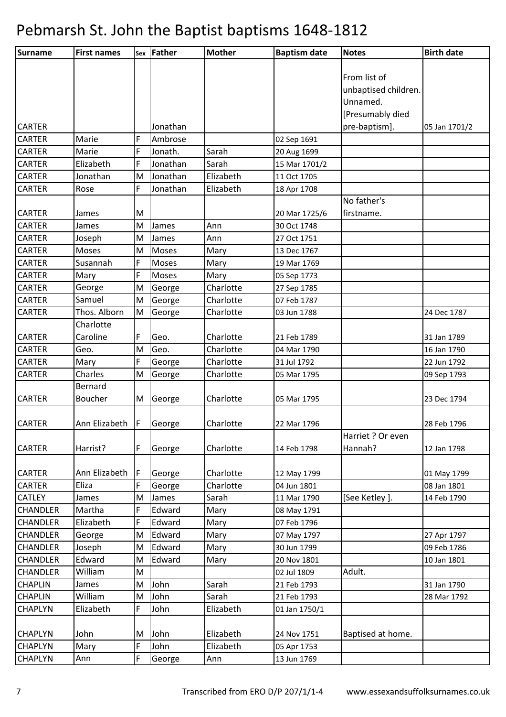| Surname         | <b>First names</b>       |    | sex Father   | <b>Mother</b> | <b>Baptism date</b> | <b>Notes</b>         | <b>Birth date</b> |
|-----------------|--------------------------|----|--------------|---------------|---------------------|----------------------|-------------------|
|                 |                          |    |              |               |                     |                      |                   |
|                 |                          |    |              |               |                     | From list of         |                   |
|                 |                          |    |              |               |                     | unbaptised children. |                   |
|                 |                          |    |              |               |                     | Unnamed.             |                   |
|                 |                          |    |              |               |                     | [Presumably died     |                   |
| <b>CARTER</b>   |                          |    | Jonathan     |               |                     | pre-baptism].        | 05 Jan 1701/2     |
| <b>CARTER</b>   | Marie                    | F  | Ambrose      |               | 02 Sep 1691         |                      |                   |
| <b>CARTER</b>   | Marie                    | F  | Jonath.      | Sarah         | 20 Aug 1699         |                      |                   |
| <b>CARTER</b>   | Elizabeth                | F  | Jonathan     | Sarah         | 15 Mar 1701/2       |                      |                   |
| <b>CARTER</b>   | Jonathan                 | M  | Jonathan     | Elizabeth     | 11 Oct 1705         |                      |                   |
| <b>CARTER</b>   | Rose                     | F  | Jonathan     | Elizabeth     | 18 Apr 1708         |                      |                   |
|                 |                          |    |              |               |                     | No father's          |                   |
| <b>CARTER</b>   | James                    | M  |              |               | 20 Mar 1725/6       | firstname.           |                   |
| <b>CARTER</b>   | James                    | M  | James        | Ann           | 30 Oct 1748         |                      |                   |
| <b>CARTER</b>   | Joseph                   | M  | James        | Ann           | 27 Oct 1751         |                      |                   |
| <b>CARTER</b>   | Moses                    | M  | <b>Moses</b> | Mary          | 13 Dec 1767         |                      |                   |
| <b>CARTER</b>   | Susannah                 | F  | Moses        | Mary          | 19 Mar 1769         |                      |                   |
| <b>CARTER</b>   | Mary                     | F  | Moses        | Mary          | 05 Sep 1773         |                      |                   |
| <b>CARTER</b>   | George                   | M  | George       | Charlotte     | 27 Sep 1785         |                      |                   |
| <b>CARTER</b>   | Samuel                   | M  | George       | Charlotte     | 07 Feb 1787         |                      |                   |
| <b>CARTER</b>   | Thos. Alborn             | M  | George       | Charlotte     | 03 Jun 1788         |                      | 24 Dec 1787       |
|                 | Charlotte                |    |              |               |                     |                      |                   |
| <b>CARTER</b>   | Caroline                 | F  | Geo.         | Charlotte     | 21 Feb 1789         |                      | 31 Jan 1789       |
| <b>CARTER</b>   | Geo.                     | M  | Geo.         | Charlotte     | 04 Mar 1790         |                      | 16 Jan 1790       |
| <b>CARTER</b>   | Mary                     | F  | George       | Charlotte     | 31 Jul 1792         |                      | 22 Jun 1792       |
| <b>CARTER</b>   | Charles                  | M  | George       | Charlotte     | 05 Mar 1795         |                      | 09 Sep 1793       |
|                 | Bernard                  |    |              |               |                     |                      |                   |
| <b>CARTER</b>   | Boucher                  | M  | George       | Charlotte     | 05 Mar 1795         |                      | 23 Dec 1794       |
|                 |                          |    |              |               |                     |                      |                   |
| <b>CARTER</b>   | Ann Elizabeth   F George |    |              | Charlotte     | 22 Mar 1796         |                      | 28 Feb 1796       |
|                 |                          |    |              |               |                     | Harriet ? Or even    |                   |
| <b>CARTER</b>   | Harrist?                 | F  | George       | Charlotte     | 14 Feb 1798         | Hannah?              | 12 Jan 1798       |
|                 |                          |    |              |               |                     |                      |                   |
| <b>CARTER</b>   | Ann Elizabeth            | I۴ | George       | Charlotte     | 12 May 1799         |                      | 01 May 1799       |
| <b>CARTER</b>   | Eliza                    |    | George       | Charlotte     | 04 Jun 1801         |                      | 08 Jan 1801       |
| <b>CATLEY</b>   | James                    | M  | James        | Sarah         | 11 Mar 1790         | [See Ketley].        | 14 Feb 1790       |
| <b>CHANDLER</b> | Martha                   | F  | Edward       | Mary          | 08 May 1791         |                      |                   |
| <b>CHANDLER</b> | Elizabeth                | F  | Edward       | Mary          | 07 Feb 1796         |                      |                   |
| <b>CHANDLER</b> | George                   | M  | Edward       | Mary          | 07 May 1797         |                      | 27 Apr 1797       |
| <b>CHANDLER</b> | Joseph                   | M  | Edward       | Mary          | 30 Jun 1799         |                      | 09 Feb 1786       |
| <b>CHANDLER</b> | Edward                   | M  | Edward       | Mary          | 20 Nov 1801         |                      | 10 Jan 1801       |
| <b>CHANDLER</b> | William                  | M  |              |               | 02 Jul 1809         | Adult.               |                   |
| <b>CHAPLIN</b>  | James                    | M  | John         | Sarah         | 21 Feb 1793         |                      | 31 Jan 1790       |
| <b>CHAPLIN</b>  | William                  | M  | John         | Sarah         | 21 Feb 1793         |                      | 28 Mar 1792       |
| <b>CHAPLYN</b>  | Elizabeth                | F  | John         | Elizabeth     | 01 Jan 1750/1       |                      |                   |
|                 |                          |    |              |               |                     |                      |                   |
| <b>CHAPLYN</b>  | John                     | M  | John         | Elizabeth     | 24 Nov 1751         | Baptised at home.    |                   |
| <b>CHAPLYN</b>  | Mary                     | F  | John         | Elizabeth     | 05 Apr 1753         |                      |                   |
| <b>CHAPLYN</b>  | Ann                      | F  | George       | Ann           | 13 Jun 1769         |                      |                   |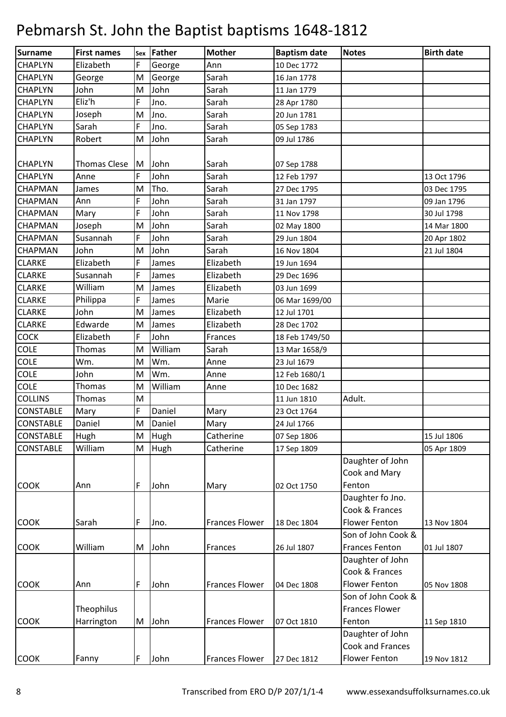| Surname          | <b>First names</b>  |   | sex Father  | <b>Mother</b>         | <b>Baptism date</b> | <b>Notes</b>          | <b>Birth date</b> |
|------------------|---------------------|---|-------------|-----------------------|---------------------|-----------------------|-------------------|
| <b>CHAPLYN</b>   | Elizabeth           | F | George      | Ann                   | 10 Dec 1772         |                       |                   |
| <b>CHAPLYN</b>   | George              | M | George      | Sarah                 | 16 Jan 1778         |                       |                   |
| <b>CHAPLYN</b>   | John                | M | John        | Sarah                 | 11 Jan 1779         |                       |                   |
| <b>CHAPLYN</b>   | Eliz'h              | F | Jno.        | Sarah                 | 28 Apr 1780         |                       |                   |
| <b>CHAPLYN</b>   | Joseph              | M | Jno.        | Sarah                 | 20 Jun 1781         |                       |                   |
| <b>CHAPLYN</b>   | Sarah               | F | Jno.        | Sarah                 | 05 Sep 1783         |                       |                   |
| <b>CHAPLYN</b>   | Robert              | M | John        | Sarah                 | 09 Jul 1786         |                       |                   |
|                  |                     |   |             |                       |                     |                       |                   |
| <b>CHAPLYN</b>   | <b>Thomas Clese</b> | M | John        | Sarah                 | 07 Sep 1788         |                       |                   |
| <b>CHAPLYN</b>   | Anne                | F | John        | Sarah                 | 12 Feb 1797         |                       | 13 Oct 1796       |
| <b>CHAPMAN</b>   | James               | M | Tho.        | Sarah                 | 27 Dec 1795         |                       | 03 Dec 1795       |
| CHAPMAN          | Ann                 | F | John        | Sarah                 | 31 Jan 1797         |                       | 09 Jan 1796       |
| <b>CHAPMAN</b>   | Mary                | F | John        | Sarah                 | 11 Nov 1798         |                       | 30 Jul 1798       |
| <b>CHAPMAN</b>   | Joseph              | M | John        | Sarah                 | 02 May 1800         |                       | 14 Mar 1800       |
| CHAPMAN          | Susannah            | F | John        | Sarah                 | 29 Jun 1804         |                       | 20 Apr 1802       |
| <b>CHAPMAN</b>   | John                | M | John        | Sarah                 | 16 Nov 1804         |                       | 21 Jul 1804       |
| <b>CLARKE</b>    | Elizabeth           | F | James       | Elizabeth             | 19 Jun 1694         |                       |                   |
| <b>CLARKE</b>    | Susannah            | F | James       | Elizabeth             | 29 Dec 1696         |                       |                   |
| <b>CLARKE</b>    | William             | M | James       | Elizabeth             | 03 Jun 1699         |                       |                   |
| <b>CLARKE</b>    | Philippa            | F | James       | Marie                 | 06 Mar 1699/00      |                       |                   |
| <b>CLARKE</b>    | John                | M | James       | Elizabeth             | 12 Jul 1701         |                       |                   |
| <b>CLARKE</b>    | Edwarde             | M | James       | Elizabeth             | 28 Dec 1702         |                       |                   |
| <b>COCK</b>      | Elizabeth           | F | John        | Frances               | 18 Feb 1749/50      |                       |                   |
| <b>COLE</b>      | Thomas              | M | William     | Sarah                 | 13 Mar 1658/9       |                       |                   |
| COLE             | Wm.                 | M | Wm.         | Anne                  | 23 Jul 1679         |                       |                   |
| <b>COLE</b>      | John                | M | Wm.         | Anne                  | 12 Feb 1680/1       |                       |                   |
| <b>COLE</b>      | Thomas              | M | William     | Anne                  | 10 Dec 1682         |                       |                   |
| <b>COLLINS</b>   | Thomas              | M |             |                       | 11 Jun 1810         | Adult.                |                   |
| <b>CONSTABLE</b> | Mary                | F | Daniel      | Mary                  | 23 Oct 1764         |                       |                   |
| <b>CONSTABLE</b> | Daniel              | M | Daniel      | Mary                  | 24 Jul 1766         |                       |                   |
| <b>CONSTABLE</b> | Hugh                | M | Hugh        | Catherine             | 07 Sep 1806         |                       | 15 Jul 1806       |
| <b>CONSTABLE</b> | William             | M | <b>Hugh</b> | Catherine             | 17 Sep 1809         |                       | 05 Apr 1809       |
|                  |                     |   |             |                       |                     | Daughter of John      |                   |
|                  |                     |   |             |                       |                     | Cook and Mary         |                   |
| <b>COOK</b>      | Ann                 | F | John        | Mary                  | 02 Oct 1750         | Fenton                |                   |
|                  |                     |   |             |                       |                     | Daughter fo Jno.      |                   |
|                  |                     |   |             |                       |                     | Cook & Frances        |                   |
| <b>COOK</b>      | Sarah               | F | Jno.        | <b>Frances Flower</b> | 18 Dec 1804         | <b>Flower Fenton</b>  | 13 Nov 1804       |
|                  |                     |   |             |                       |                     | Son of John Cook &    |                   |
| <b>COOK</b>      | William             |   | M John      | Frances               | 26 Jul 1807         | <b>Frances Fenton</b> | 01 Jul 1807       |
|                  |                     |   |             |                       |                     | Daughter of John      |                   |
|                  |                     |   |             |                       |                     | Cook & Frances        |                   |
| <b>COOK</b>      | Ann                 | F | John        | <b>Frances Flower</b> | 04 Dec 1808         | <b>Flower Fenton</b>  | 05 Nov 1808       |
|                  |                     |   |             |                       |                     | Son of John Cook &    |                   |
|                  | Theophilus          |   |             |                       |                     | <b>Frances Flower</b> |                   |
| <b>COOK</b>      | Harrington          |   | M John      | <b>Frances Flower</b> | 07 Oct 1810         | Fenton                | 11 Sep 1810       |
|                  |                     |   |             |                       |                     | Daughter of John      |                   |
|                  |                     |   |             |                       |                     | Cook and Frances      |                   |
| <b>COOK</b>      | Fanny               | F | John        | <b>Frances Flower</b> | 27 Dec 1812         | Flower Fenton         | 19 Nov 1812       |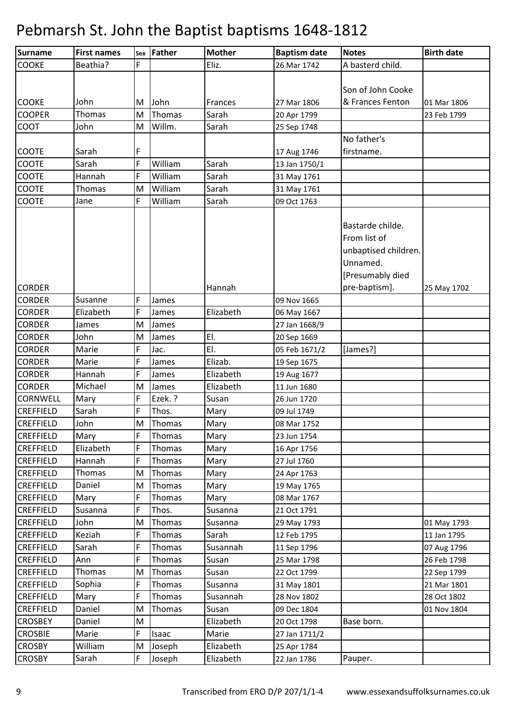| <b>Surname</b>   | <b>First names</b> |   | sex Father    | <b>Mother</b> | <b>Baptism date</b> | <b>Notes</b>         | <b>Birth date</b> |
|------------------|--------------------|---|---------------|---------------|---------------------|----------------------|-------------------|
| <b>COOKE</b>     | Beathia?           | F |               | Eliz.         | 26 Mar 1742         | A basterd child.     |                   |
|                  |                    |   |               |               |                     |                      |                   |
|                  |                    |   |               |               |                     | Son of John Cooke    |                   |
| <b>COOKE</b>     | John               | M | John          | Frances       | 27 Mar 1806         | & Frances Fenton     | 01 Mar 1806       |
| <b>COOPER</b>    | Thomas             | M | Thomas        | Sarah         | 20 Apr 1799         |                      | 23 Feb 1799       |
| COOT             | John               | M | Willm.        | Sarah         | 25 Sep 1748         |                      |                   |
|                  |                    |   |               |               |                     | No father's          |                   |
| COOTE            | Sarah              | F |               |               | 17 Aug 1746         | firstname.           |                   |
| <b>COOTE</b>     | Sarah              | F | William       | Sarah         | 13 Jan 1750/1       |                      |                   |
| COOTE            | Hannah             | F | William       | Sarah         | 31 May 1761         |                      |                   |
| COOTE            | Thomas             | M | William       | Sarah         | 31 May 1761         |                      |                   |
| <b>COOTE</b>     | Jane               | F | William       | Sarah         | 09 Oct 1763         |                      |                   |
|                  |                    |   |               |               |                     |                      |                   |
|                  |                    |   |               |               |                     | Bastarde childe.     |                   |
|                  |                    |   |               |               |                     | From list of         |                   |
|                  |                    |   |               |               |                     | unbaptised children. |                   |
|                  |                    |   |               |               |                     | Unnamed.             |                   |
|                  |                    |   |               |               |                     | [Presumably died     |                   |
| <b>CORDER</b>    |                    |   |               | Hannah        |                     | pre-baptism].        | 25 May 1702       |
| <b>CORDER</b>    | Susanne            | F | James         |               | 09 Nov 1665         |                      |                   |
| <b>CORDER</b>    | Elizabeth          | F | James         | Elizabeth     | 06 May 1667         |                      |                   |
| <b>CORDER</b>    | James              | M | James         |               | 27 Jan 1668/9       |                      |                   |
| <b>CORDER</b>    | John               | M | James         | EI.           | 20 Sep 1669         |                      |                   |
| <b>CORDER</b>    | Marie              | F | Jac.          | EI.           | 05 Feb 1671/2       | [James?]             |                   |
| <b>CORDER</b>    | Marie              | F | James         | Elizab.       | 19 Sep 1675         |                      |                   |
| <b>CORDER</b>    | Hannah             | F | James         | Elizabeth     | 19 Aug 1677         |                      |                   |
| <b>CORDER</b>    | Michael            | M | James         | Elizabeth     | 11 Jun 1680         |                      |                   |
| <b>CORNWELL</b>  | Mary               | F | Ezek. ?       | Susan         | 26 Jun 1720         |                      |                   |
| <b>CREFFIELD</b> | Sarah              | F | Thos.         | Mary          | 09 Jul 1749         |                      |                   |
| <b>CREFFIELD</b> | John               | M | Thomas        | Mary          | 08 Mar 1752         |                      |                   |
| <b>CREFFIELD</b> | Mary               | F | Thomas        | Mary          | 23 Jun 1754         |                      |                   |
| <b>CREFFIELD</b> | Elizabeth          | F | <b>Thomas</b> | Mary          | 16 Apr 1756         |                      |                   |
| <b>CREFFIELD</b> | Hannah             | F | <b>Thomas</b> | Mary          | 27 Jul 1760         |                      |                   |
| <b>CREFFIELD</b> | Thomas             | M | Thomas        | Mary          | 24 Apr 1763         |                      |                   |
| <b>CREFFIELD</b> | Daniel             | M | <b>Thomas</b> | Mary          | 19 May 1765         |                      |                   |
| <b>CREFFIELD</b> | Mary               | F | <b>Thomas</b> | Mary          | 08 Mar 1767         |                      |                   |
| <b>CREFFIELD</b> | Susanna            | F | Thos.         | Susanna       | 21 Oct 1791         |                      |                   |
| <b>CREFFIELD</b> | John               | M | Thomas        | Susanna       | 29 May 1793         |                      | 01 May 1793       |
| <b>CREFFIELD</b> | Keziah             | F | Thomas        | Sarah         | 12 Feb 1795         |                      | 11 Jan 1795       |
| <b>CREFFIELD</b> | Sarah              | F | <b>Thomas</b> | Susannah      | 11 Sep 1796         |                      | 07 Aug 1796       |
| <b>CREFFIELD</b> | Ann                | F | Thomas        | Susan         | 25 Mar 1798         |                      | 26 Feb 1798       |
| <b>CREFFIELD</b> | Thomas             | M | <b>Thomas</b> | Susan         | 22 Oct 1799         |                      | 22 Sep 1799       |
| <b>CREFFIELD</b> | Sophia             | F | <b>Thomas</b> | Susanna       | 31 May 1801         |                      | 21 Mar 1801       |
| <b>CREFFIELD</b> | Mary               | F | <b>Thomas</b> | Susannah      | 28 Nov 1802         |                      | 28 Oct 1802       |
| <b>CREFFIELD</b> | Daniel             | M | <b>Thomas</b> | Susan         | 09 Dec 1804         |                      | 01 Nov 1804       |
| <b>CROSBEY</b>   | Daniel             | M |               | Elizabeth     | 20 Oct 1798         | Base born.           |                   |
| <b>CROSBIE</b>   | Marie              | F | Isaac         | Marie         | 27 Jan 1711/2       |                      |                   |
| <b>CROSBY</b>    | William            | M | Joseph        | Elizabeth     | 25 Apr 1784         |                      |                   |
| <b>CROSBY</b>    | Sarah              | F | Joseph        | Elizabeth     | 22 Jan 1786         | Pauper.              |                   |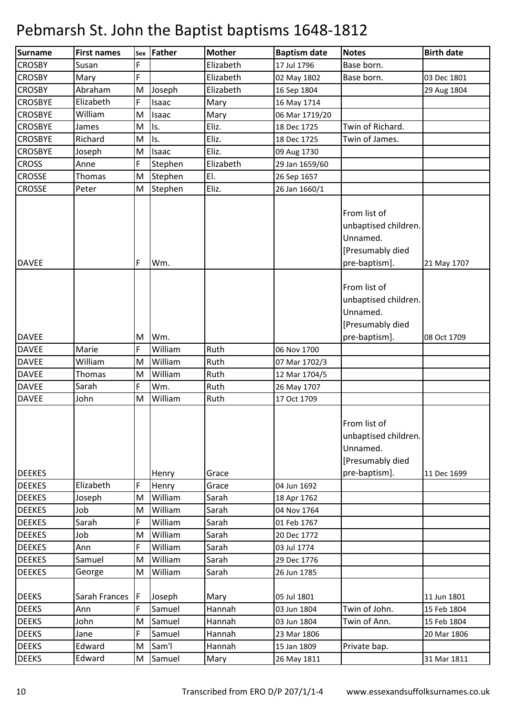| Surname        | <b>First names</b> |    | sex Father | <b>Mother</b> | <b>Baptism date</b> | <b>Notes</b>                                                                          | <b>Birth date</b> |
|----------------|--------------------|----|------------|---------------|---------------------|---------------------------------------------------------------------------------------|-------------------|
| <b>CROSBY</b>  | Susan              | F  |            | Elizabeth     | 17 Jul 1796         | Base born.                                                                            |                   |
| <b>CROSBY</b>  | Mary               | F  |            | Elizabeth     | 02 May 1802         | Base born.                                                                            | 03 Dec 1801       |
| <b>CROSBY</b>  | Abraham            | M  | Joseph     | Elizabeth     | 16 Sep 1804         |                                                                                       | 29 Aug 1804       |
| <b>CROSBYE</b> | Elizabeth          | F  | Isaac      | Mary          | 16 May 1714         |                                                                                       |                   |
| <b>CROSBYE</b> | William            | M  | Isaac      | Mary          | 06 Mar 1719/20      |                                                                                       |                   |
| <b>CROSBYE</b> | James              | M  | Is.        | Eliz.         | 18 Dec 1725         | Twin of Richard.                                                                      |                   |
| <b>CROSBYE</b> | Richard            | M  | Is.        | Eliz.         | 18 Dec 1725         | Twin of James.                                                                        |                   |
| <b>CROSBYE</b> | Joseph             | M  | Isaac      | Eliz.         | 09 Aug 1730         |                                                                                       |                   |
| <b>CROSS</b>   | Anne               | F  | Stephen    | Elizabeth     | 29 Jan 1659/60      |                                                                                       |                   |
| <b>CROSSE</b>  | Thomas             | M  | Stephen    | EI.           | 26 Sep 1657         |                                                                                       |                   |
| <b>CROSSE</b>  | Peter              | M  | Stephen    | Eliz.         | 26 Jan 1660/1       |                                                                                       |                   |
| <b>DAVEE</b>   |                    | F  | Wm.        |               |                     | From list of<br>unbaptised children.<br>Unnamed.<br>[Presumably died<br>pre-baptism]. | 21 May 1707       |
|                |                    |    |            |               |                     | From list of<br>unbaptised children.<br>Unnamed.<br>[Presumably died                  |                   |
| <b>DAVEE</b>   |                    | м  | Wm.        |               |                     | pre-baptism].                                                                         | 08 Oct 1709       |
| <b>DAVEE</b>   | Marie              | F  | William    | Ruth          | 06 Nov 1700         |                                                                                       |                   |
| <b>DAVEE</b>   | William            | M  | William    | Ruth          | 07 Mar 1702/3       |                                                                                       |                   |
| <b>DAVEE</b>   | Thomas             | M  | William    | Ruth          | 12 Mar 1704/5       |                                                                                       |                   |
| <b>DAVEE</b>   | Sarah              | F  | Wm.        | Ruth          | 26 May 1707         |                                                                                       |                   |
| <b>DAVEE</b>   | John               | M  | William    | Ruth          | 17 Oct 1709         | From list of<br>unbaptised children.<br>Unnamed.<br>[Presumably died                  |                   |
| <b>DEEKES</b>  |                    |    | Henry      | Grace         |                     | pre-baptism].                                                                         | 11 Dec 1699       |
| <b>DEEKES</b>  | Elizabeth          | F  | Henry      | Grace         | 04 Jun 1692         |                                                                                       |                   |
| <b>DEEKES</b>  | Joseph             | M  | William    | Sarah         | 18 Apr 1762         |                                                                                       |                   |
| <b>DEEKES</b>  | Job                | M  | William    | Sarah         | 04 Nov 1764         |                                                                                       |                   |
| <b>DEEKES</b>  | Sarah              | F  | William    | Sarah         | 01 Feb 1767         |                                                                                       |                   |
| <b>DEEKES</b>  | Job                | M  | William    | Sarah         | 20 Dec 1772         |                                                                                       |                   |
| <b>DEEKES</b>  | Ann                | F  | William    | Sarah         | 03 Jul 1774         |                                                                                       |                   |
| <b>DEEKES</b>  | Samuel             | M  | William    | Sarah         | 29 Dec 1776         |                                                                                       |                   |
| <b>DEEKES</b>  | George             | M  | William    | Sarah         | 26 Jun 1785         |                                                                                       |                   |
| <b>DEEKS</b>   | Sarah Frances      | ١F | Joseph     | Mary          | 05 Jul 1801         |                                                                                       | 11 Jun 1801       |
| <b>DEEKS</b>   | Ann                |    | Samuel     | Hannah        | 03 Jun 1804         | Twin of John.                                                                         | 15 Feb 1804       |
| <b>DEEKS</b>   | John               | M  | Samuel     | Hannah        | 03 Jun 1804         | Twin of Ann.                                                                          | 15 Feb 1804       |
| <b>DEEKS</b>   | Jane               | F  | Samuel     | Hannah        | 23 Mar 1806         |                                                                                       | 20 Mar 1806       |
| <b>DEEKS</b>   | Edward             | M  | Sam'l      | Hannah        | 15 Jan 1809         | Private bap.                                                                          |                   |
| <b>DEEKS</b>   | Edward             | M  | Samuel     | Mary          | 26 May 1811         |                                                                                       | 31 Mar 1811       |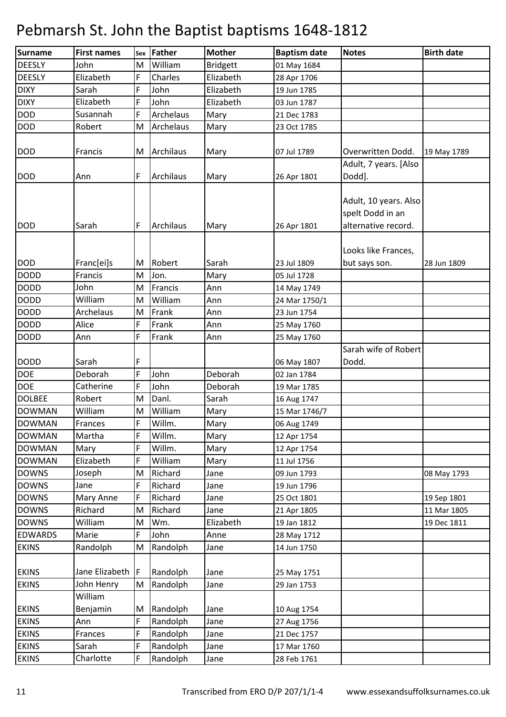| Surname        | <b>First names</b> | Sex | Father    | <b>Mother</b>   | <b>Baptism date</b>        | <b>Notes</b>                                                     | <b>Birth date</b> |
|----------------|--------------------|-----|-----------|-----------------|----------------------------|------------------------------------------------------------------|-------------------|
| <b>DEESLY</b>  | John               | M   | William   | <b>Bridgett</b> | 01 May 1684                |                                                                  |                   |
| <b>DEESLY</b>  | Elizabeth          | F   | Charles   | Elizabeth       | 28 Apr 1706                |                                                                  |                   |
| <b>DIXY</b>    | Sarah              | F   | John      | Elizabeth       | 19 Jun 1785                |                                                                  |                   |
| <b>DIXY</b>    | Elizabeth          | F   | John      | Elizabeth       | 03 Jun 1787                |                                                                  |                   |
| <b>DOD</b>     | Susannah           | F   | Archelaus | Mary            | 21 Dec 1783                |                                                                  |                   |
| <b>DOD</b>     | Robert             | M   | Archelaus | Mary            | 23 Oct 1785                |                                                                  |                   |
|                |                    |     |           |                 |                            |                                                                  |                   |
| <b>DOD</b>     | Francis            | M   | Archilaus | Mary            | 07 Jul 1789                | Overwritten Dodd.                                                | 19 May 1789       |
|                |                    |     |           |                 |                            | Adult, 7 years. [Also                                            |                   |
| <b>DOD</b>     | Ann                | F   | Archilaus | Mary            | 26 Apr 1801                | Dodd].                                                           |                   |
| <b>DOD</b>     | Sarah              | F   | Archilaus | Mary            | 26 Apr 1801                | Adult, 10 years. Also<br>spelt Dodd in an<br>alternative record. |                   |
|                |                    |     |           |                 |                            |                                                                  |                   |
|                |                    |     |           |                 |                            | Looks like Frances,                                              |                   |
| <b>DOD</b>     | Franc[ei]s         | M   | Robert    | Sarah           | 23 Jul 1809                | but says son.                                                    | 28 Jun 1809       |
| <b>DODD</b>    | Francis            | M   | Jon.      | Mary            | 05 Jul 1728                |                                                                  |                   |
| <b>DODD</b>    | John               | M   | Francis   | Ann             | 14 May 1749                |                                                                  |                   |
| <b>DODD</b>    | William            | M   | William   | Ann             | 24 Mar 1750/1              |                                                                  |                   |
| <b>DODD</b>    | Archelaus          | M   | Frank     | Ann             | 23 Jun 1754                |                                                                  |                   |
| <b>DODD</b>    | Alice              | F   | Frank     | Ann             | 25 May 1760                |                                                                  |                   |
| <b>DODD</b>    | Ann                | F   | Frank     | Ann             | 25 May 1760                |                                                                  |                   |
| <b>DODD</b>    | Sarah              | F   |           |                 |                            | Sarah wife of Robert<br>Dodd.                                    |                   |
| DOE            | Deborah            | F   | John      | Deborah         | 06 May 1807<br>02 Jan 1784 |                                                                  |                   |
| <b>DOE</b>     | Catherine          | F   | John      | Deborah         | 19 Mar 1785                |                                                                  |                   |
| <b>DOLBEE</b>  | Robert             | M   | Danl.     | Sarah           | 16 Aug 1747                |                                                                  |                   |
| <b>DOWMAN</b>  | William            | M   | William   | Mary            | 15 Mar 1746/7              |                                                                  |                   |
| <b>DOWMAN</b>  | Frances            | F   | Willm.    | Mary            | 06 Aug 1749                |                                                                  |                   |
| <b>DOWMAN</b>  | Martha             | F   | Willm.    | Mary            | 12 Apr 1754                |                                                                  |                   |
| <b>DOWMAN</b>  | Mary               | F   | Willm.    | Mary            | 12 Apr 1754                |                                                                  |                   |
| <b>DOWMAN</b>  | Elizabeth          | F   | William   | Mary            | 11 Jul 1756                |                                                                  |                   |
| <b>DOWNS</b>   | Joseph             | M   | Richard   | Jane            | 09 Jun 1793                |                                                                  | 08 May 1793       |
| <b>DOWNS</b>   | Jane               | F   | Richard   | Jane            | 19 Jun 1796                |                                                                  |                   |
| <b>DOWNS</b>   | Mary Anne          | F   | Richard   | Jane            | 25 Oct 1801                |                                                                  | 19 Sep 1801       |
| <b>DOWNS</b>   | Richard            | M   | Richard   | Jane            | 21 Apr 1805                |                                                                  | 11 Mar 1805       |
| <b>DOWNS</b>   | William            | M   | Wm.       | Elizabeth       | 19 Jan 1812                |                                                                  | 19 Dec 1811       |
| <b>EDWARDS</b> | Marie              | F   | John      | Anne            | 28 May 1712                |                                                                  |                   |
| <b>EKINS</b>   | Randolph           | M   | Randolph  | Jane            | 14 Jun 1750                |                                                                  |                   |
|                |                    |     |           |                 |                            |                                                                  |                   |
| <b>EKINS</b>   | Jane Elizabeth     | IF  | Randolph  | Jane            | 25 May 1751                |                                                                  |                   |
| <b>EKINS</b>   | John Henry         | M   | Randolph  | Jane            | 29 Jan 1753                |                                                                  |                   |
|                | William            |     |           |                 |                            |                                                                  |                   |
| <b>EKINS</b>   | Benjamin           | M   | Randolph  | Jane            | 10 Aug 1754                |                                                                  |                   |
| <b>EKINS</b>   | Ann                | F   | Randolph  | Jane            | 27 Aug 1756                |                                                                  |                   |
| <b>EKINS</b>   | Frances            | F   | Randolph  | Jane            | 21 Dec 1757                |                                                                  |                   |
| <b>EKINS</b>   | Sarah              | F   | Randolph  | Jane            | 17 Mar 1760                |                                                                  |                   |
| <b>EKINS</b>   | Charlotte          | F   | Randolph  | Jane            | 28 Feb 1761                |                                                                  |                   |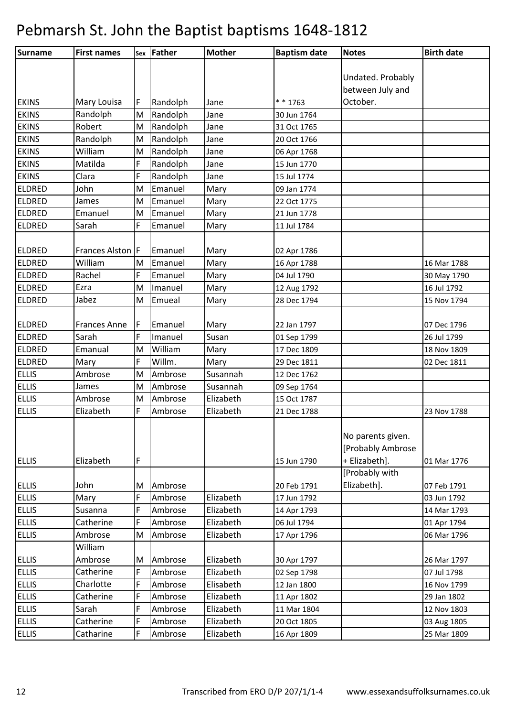| Surname       | <b>First names</b>  |   | sex Father | <b>Mother</b> | <b>Baptism date</b> | <b>Notes</b>      | <b>Birth date</b> |
|---------------|---------------------|---|------------|---------------|---------------------|-------------------|-------------------|
|               |                     |   |            |               |                     |                   |                   |
|               |                     |   |            |               |                     | Undated. Probably |                   |
|               |                     |   |            |               |                     | between July and  |                   |
| <b>EKINS</b>  | Mary Louisa         | F | Randolph   | Jane          | $* * 1763$          | October.          |                   |
| <b>EKINS</b>  | Randolph            | M | Randolph   | Jane          | 30 Jun 1764         |                   |                   |
| <b>EKINS</b>  | Robert              | M | Randolph   | Jane          | 31 Oct 1765         |                   |                   |
| <b>EKINS</b>  | Randolph            | M | Randolph   | Jane          | 20 Oct 1766         |                   |                   |
| <b>EKINS</b>  | William             | M | Randolph   | Jane          | 06 Apr 1768         |                   |                   |
| <b>EKINS</b>  | Matilda             | F | Randolph   | Jane          | 15 Jun 1770         |                   |                   |
| <b>EKINS</b>  | Clara               | F | Randolph   | Jane          | 15 Jul 1774         |                   |                   |
| <b>ELDRED</b> | John                | M | Emanuel    | Mary          | 09 Jan 1774         |                   |                   |
| <b>ELDRED</b> | James               | M | Emanuel    | Mary          | 22 Oct 1775         |                   |                   |
| <b>ELDRED</b> | Emanuel             | M | Emanuel    | Mary          | 21 Jun 1778         |                   |                   |
| <b>ELDRED</b> | Sarah               | F | Emanuel    | Mary          | 11 Jul 1784         |                   |                   |
|               |                     |   |            |               |                     |                   |                   |
| <b>ELDRED</b> | Frances Alston F    |   | Emanuel    | Mary          | 02 Apr 1786         |                   |                   |
| <b>ELDRED</b> | William             | M | Emanuel    | Mary          | 16 Apr 1788         |                   | 16 Mar 1788       |
| <b>ELDRED</b> | Rachel              | F | Emanuel    | Mary          | 04 Jul 1790         |                   | 30 May 1790       |
| <b>ELDRED</b> | Ezra                | M | Imanuel    | Mary          | 12 Aug 1792         |                   | 16 Jul 1792       |
| <b>ELDRED</b> | Jabez               | M | Emueal     | Mary          | 28 Dec 1794         |                   | 15 Nov 1794       |
|               |                     |   |            |               |                     |                   |                   |
| <b>ELDRED</b> | <b>Frances Anne</b> | F | Emanuel    | Mary          | 22 Jan 1797         |                   | 07 Dec 1796       |
| <b>ELDRED</b> | Sarah               | F | Imanuel    | Susan         | 01 Sep 1799         |                   | 26 Jul 1799       |
| <b>ELDRED</b> | Emanual             | M | William    | Mary          | 17 Dec 1809         |                   | 18 Nov 1809       |
| <b>ELDRED</b> | Mary                | F | Willm.     | Mary          | 29 Dec 1811         |                   | 02 Dec 1811       |
| <b>ELLIS</b>  | Ambrose             | M | Ambrose    | Susannah      | 12 Dec 1762         |                   |                   |
| <b>ELLIS</b>  | James               | M | Ambrose    | Susannah      | 09 Sep 1764         |                   |                   |
| <b>ELLIS</b>  | Ambrose             | M | Ambrose    | Elizabeth     | 15 Oct 1787         |                   |                   |
| <b>ELLIS</b>  | Elizabeth           | F | Ambrose    | Elizabeth     | 21 Dec 1788         |                   | 23 Nov 1788       |
|               |                     |   |            |               |                     |                   |                   |
|               |                     |   |            |               |                     | No parents given. |                   |
|               |                     |   |            |               |                     | [Probably Ambrose |                   |
| <b>ELLIS</b>  | Elizabeth           | F |            |               | 15 Jun 1790         | + Elizabeth].     | 01 Mar 1776       |
|               |                     |   |            |               |                     | [Probably with    |                   |
| <b>ELLIS</b>  | John                | м | Ambrose    |               | 20 Feb 1791         | Elizabeth].       | 07 Feb 1791       |
| <b>ELLIS</b>  | Mary                | F | Ambrose    | Elizabeth     | 17 Jun 1792         |                   | 03 Jun 1792       |
| <b>ELLIS</b>  | Susanna             | F | Ambrose    | Elizabeth     | 14 Apr 1793         |                   | 14 Mar 1793       |
| <b>ELLIS</b>  | Catherine           | F | Ambrose    | Elizabeth     | 06 Jul 1794         |                   | 01 Apr 1794       |
| <b>ELLIS</b>  | Ambrose             | M | Ambrose    | Elizabeth     | 17 Apr 1796         |                   | 06 Mar 1796       |
|               | William             |   |            |               |                     |                   |                   |
| <b>ELLIS</b>  | Ambrose             | M | Ambrose    | Elizabeth     | 30 Apr 1797         |                   | 26 Mar 1797       |
| <b>ELLIS</b>  | Catherine           | F | Ambrose    | Elizabeth     | 02 Sep 1798         |                   | 07 Jul 1798       |
| <b>ELLIS</b>  | Charlotte           | F | Ambrose    | Elisabeth     | 12 Jan 1800         |                   | 16 Nov 1799       |
| <b>ELLIS</b>  | Catherine           | F | Ambrose    | Elizabeth     | 11 Apr 1802         |                   | 29 Jan 1802       |
| <b>ELLIS</b>  | Sarah               | F | Ambrose    | Elizabeth     | 11 Mar 1804         |                   | 12 Nov 1803       |
| <b>ELLIS</b>  | Catherine           | F | Ambrose    | Elizabeth     | 20 Oct 1805         |                   | 03 Aug 1805       |
| <b>ELLIS</b>  | Catharine           | F | Ambrose    | Elizabeth     | 16 Apr 1809         |                   | 25 Mar 1809       |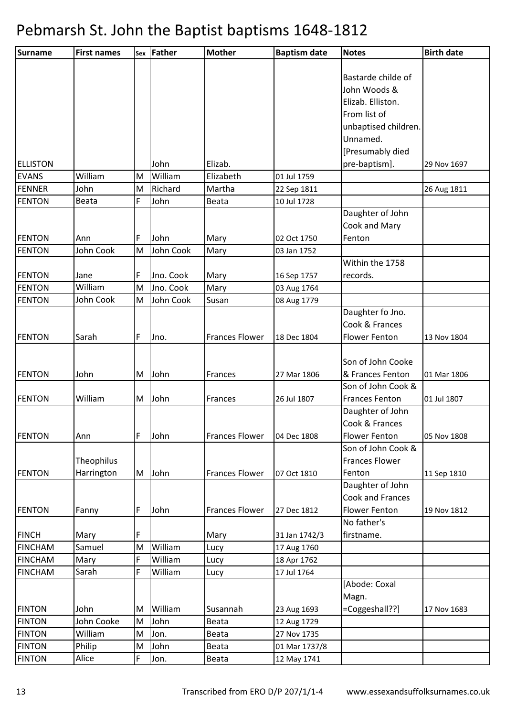| <b>Surname</b>  | <b>First names</b> |        | sex Father      | <b>Mother</b>         | <b>Baptism date</b> | <b>Notes</b>            | <b>Birth date</b> |
|-----------------|--------------------|--------|-----------------|-----------------------|---------------------|-------------------------|-------------------|
|                 |                    |        |                 |                       |                     |                         |                   |
|                 |                    |        |                 |                       |                     | Bastarde childe of      |                   |
|                 |                    |        |                 |                       |                     | John Woods &            |                   |
|                 |                    |        |                 |                       |                     | Elizab. Elliston.       |                   |
|                 |                    |        |                 |                       |                     | From list of            |                   |
|                 |                    |        |                 |                       |                     | unbaptised children.    |                   |
|                 |                    |        |                 |                       |                     | Unnamed.                |                   |
|                 |                    |        |                 |                       |                     | [Presumably died        |                   |
| <b>ELLISTON</b> |                    |        |                 |                       |                     |                         |                   |
| <b>EVANS</b>    | William            | M      | John<br>William | Elizab.<br>Elizabeth  | 01 Jul 1759         | pre-baptism].           | 29 Nov 1697       |
| FENNER          | John               |        | Richard         | Martha                |                     |                         |                   |
|                 | <b>Beata</b>       | M<br>F | John            |                       | 22 Sep 1811         |                         | 26 Aug 1811       |
| <b>FENTON</b>   |                    |        |                 | Beata                 | 10 Jul 1728         |                         |                   |
|                 |                    |        |                 |                       |                     | Daughter of John        |                   |
|                 |                    |        |                 |                       |                     | Cook and Mary           |                   |
| <b>FENTON</b>   | Ann                | F      | John            | Mary                  | 02 Oct 1750         | Fenton                  |                   |
| <b>FENTON</b>   | John Cook          | M      | John Cook       | Mary                  | 03 Jan 1752         |                         |                   |
|                 |                    |        |                 |                       |                     | Within the 1758         |                   |
| <b>FENTON</b>   | Jane               | F      | Jno. Cook       | Mary                  | 16 Sep 1757         | records.                |                   |
| <b>FENTON</b>   | William            | M      | Jno. Cook       | Mary                  | 03 Aug 1764         |                         |                   |
| <b>FENTON</b>   | John Cook          | M      | John Cook       | Susan                 | 08 Aug 1779         |                         |                   |
|                 |                    |        |                 |                       |                     | Daughter fo Jno.        |                   |
|                 |                    |        |                 |                       |                     | Cook & Frances          |                   |
| <b>FENTON</b>   | Sarah              | F      | Jno.            | <b>Frances Flower</b> | 18 Dec 1804         | <b>Flower Fenton</b>    | 13 Nov 1804       |
|                 |                    |        |                 |                       |                     |                         |                   |
|                 |                    |        |                 |                       |                     | Son of John Cooke       |                   |
| <b>FENTON</b>   | John               |        | M John          | Frances               | 27 Mar 1806         | & Frances Fenton        | 01 Mar 1806       |
|                 |                    |        |                 |                       |                     | Son of John Cook &      |                   |
| <b>FENTON</b>   | William            |        | M John          | Frances               | 26 Jul 1807         | <b>Frances Fenton</b>   | 01 Jul 1807       |
|                 |                    |        |                 |                       |                     | Daughter of John        |                   |
|                 |                    |        |                 |                       |                     | Cook & Frances          |                   |
| <b>FENTON</b>   | Ann                | F      | John            | <b>Frances Flower</b> | 04 Dec 1808         | <b>Flower Fenton</b>    | 05 Nov 1808       |
|                 |                    |        |                 |                       |                     | Son of John Cook &      |                   |
|                 | Theophilus         |        |                 |                       |                     | <b>Frances Flower</b>   |                   |
| <b>FENTON</b>   | Harrington         |        | M John          | <b>Frances Flower</b> | 07 Oct 1810         | Fenton                  | 11 Sep 1810       |
|                 |                    |        |                 |                       |                     | Daughter of John        |                   |
|                 |                    |        |                 |                       |                     | Cook and Frances        |                   |
| <b>FENTON</b>   | Fanny              | F      | John            | <b>Frances Flower</b> | 27 Dec 1812         | <b>Flower Fenton</b>    | 19 Nov 1812       |
|                 |                    |        |                 |                       |                     | No father's             |                   |
| <b>FINCH</b>    | Mary               | F      |                 | Mary                  | 31 Jan 1742/3       | firstname.              |                   |
| <b>FINCHAM</b>  | Samuel             | M      | William         | Lucy                  | 17 Aug 1760         |                         |                   |
| <b>FINCHAM</b>  | Mary               | F      | William         | Lucy                  | 18 Apr 1762         |                         |                   |
| <b>FINCHAM</b>  | Sarah              | F      | William         | Lucy                  | 17 Jul 1764         |                         |                   |
|                 |                    |        |                 |                       |                     | [Abode: Coxal           |                   |
|                 |                    |        |                 |                       |                     |                         |                   |
|                 | John               |        | William         | Susannah              |                     | Magn.<br>=Coggeshall??] |                   |
| <b>FINTON</b>   |                    | M      |                 |                       | 23 Aug 1693         |                         | 17 Nov 1683       |
| <b>FINTON</b>   | John Cooke         | M      | John            | Beata                 | 12 Aug 1729         |                         |                   |
| <b>FINTON</b>   | William            | M      | Jon.            | Beata                 | 27 Nov 1735         |                         |                   |
| <b>FINTON</b>   | Philip             | M      | John            | Beata                 | 01 Mar 1737/8       |                         |                   |
| <b>FINTON</b>   | Alice              | F      | Jon.            | Beata                 | 12 May 1741         |                         |                   |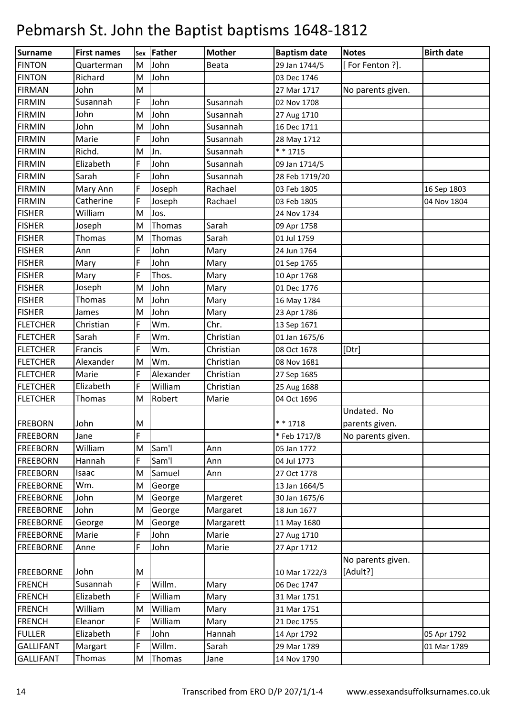| Surname          | <b>First names</b> |        | sex Father         | <b>Mother</b> | <b>Baptism date</b> | <b>Notes</b>      | <b>Birth date</b> |
|------------------|--------------------|--------|--------------------|---------------|---------------------|-------------------|-------------------|
| <b>FINTON</b>    | Quarterman         | M      | John               | Beata         | 29 Jan 1744/5       | [For Fenton ?].   |                   |
| <b>FINTON</b>    | Richard            | M      | John               |               | 03 Dec 1746         |                   |                   |
| <b>FIRMAN</b>    | John               | M      |                    |               | 27 Mar 1717         | No parents given. |                   |
| <b>FIRMIN</b>    | Susannah           | F      | John               | Susannah      | 02 Nov 1708         |                   |                   |
| <b>FIRMIN</b>    | John               | M      | John               | Susannah      | 27 Aug 1710         |                   |                   |
| <b>FIRMIN</b>    | John               | M      | John               | Susannah      | 16 Dec 1711         |                   |                   |
| <b>FIRMIN</b>    | Marie              | F      | John               | Susannah      | 28 May 1712         |                   |                   |
| <b>FIRMIN</b>    | Richd.             | M      | Jn.                | Susannah      | * * 1715            |                   |                   |
| <b>FIRMIN</b>    | Elizabeth          | F      | John               | Susannah      | 09 Jan 1714/5       |                   |                   |
| <b>FIRMIN</b>    | Sarah              | F      | John               | Susannah      | 28 Feb 1719/20      |                   |                   |
| <b>FIRMIN</b>    | Mary Ann           | F      | Joseph             | Rachael       | 03 Feb 1805         |                   | 16 Sep 1803       |
| <b>FIRMIN</b>    | Catherine          | F      | Joseph             | Rachael       | 03 Feb 1805         |                   | 04 Nov 1804       |
| <b>FISHER</b>    | William            | M      | Jos.               |               | 24 Nov 1734         |                   |                   |
| <b>FISHER</b>    | Joseph             | M      | Thomas             | Sarah         | 09 Apr 1758         |                   |                   |
| <b>FISHER</b>    | Thomas             | M      | Thomas             | Sarah         | 01 Jul 1759         |                   |                   |
| <b>FISHER</b>    | Ann                | F      | John               | Mary          | 24 Jun 1764         |                   |                   |
| <b>FISHER</b>    | Mary               | F      | John               | Mary          | 01 Sep 1765         |                   |                   |
| <b>FISHER</b>    | Mary               | F      | Thos.              | Mary          | 10 Apr 1768         |                   |                   |
| <b>FISHER</b>    | Joseph             | M      | John               | Mary          | 01 Dec 1776         |                   |                   |
| <b>FISHER</b>    | Thomas             | M      | John               | Mary          | 16 May 1784         |                   |                   |
| <b>FISHER</b>    | James              | M      | John               | Mary          | 23 Apr 1786         |                   |                   |
| <b>FLETCHER</b>  | Christian          | F      | Wm.                | Chr.          | 13 Sep 1671         |                   |                   |
| <b>FLETCHER</b>  | Sarah              | F      | Wm.                | Christian     | 01 Jan 1675/6       |                   |                   |
| <b>FLETCHER</b>  | Francis            | F      | Wm.                | Christian     | 08 Oct 1678         | [Dtr]             |                   |
| <b>FLETCHER</b>  | Alexander          | M      | Wm.                | Christian     | 08 Nov 1681         |                   |                   |
| <b>FLETCHER</b>  | Marie              | F      | Alexander          | Christian     | 27 Sep 1685         |                   |                   |
| <b>FLETCHER</b>  | Elizabeth          | F      | William            | Christian     | 25 Aug 1688         |                   |                   |
| <b>FLETCHER</b>  | <b>Thomas</b>      | M      | Robert             | Marie         | 04 Oct 1696         |                   |                   |
|                  |                    |        |                    |               |                     | Undated. No       |                   |
| <b>FREBORN</b>   | John               | M      |                    |               | $* * 1718$          | parents given.    |                   |
| <b>FREEBORN</b>  | Jane               | F      |                    |               | *Feb 1717/8         | No parents given. |                   |
| <b>FREEBORN</b>  | William            | M      | Sam'l              | Ann           | 05 Jan 1772         |                   |                   |
| <b>FREEBORN</b>  | Hannah             | F      | Sam <sup>'</sup> l | Ann           | 04 Jul 1773         |                   |                   |
| <b>FREEBORN</b>  | Isaac              | M      | Samuel             | Ann           | 27 Oct 1778         |                   |                   |
| <b>FREEBORNE</b> | Wm.                | M      | George             |               | 13 Jan 1664/5       |                   |                   |
| <b>FREEBORNE</b> | John               | M      | George             | Margeret      | 30 Jan 1675/6       |                   |                   |
| <b>FREEBORNE</b> | John               | M      | George             | Margaret      | 18 Jun 1677         |                   |                   |
| <b>FREEBORNE</b> | George             | M      | George             | Margarett     | 11 May 1680         |                   |                   |
| <b>FREEBORNE</b> | Marie              | F      | John               | Marie         | 27 Aug 1710         |                   |                   |
| <b>FREEBORNE</b> | Anne               | F      | John               | Marie         | 27 Apr 1712         |                   |                   |
|                  |                    |        |                    |               |                     | No parents given. |                   |
| <b>FREEBORNE</b> | John<br>Susannah   | M<br>F | Willm.             |               | 10 Mar 1722/3       | [Adult?]          |                   |
| <b>FRENCH</b>    |                    |        |                    | Mary          | 06 Dec 1747         |                   |                   |
| <b>FRENCH</b>    | Elizabeth          | F      | William            | Mary          | 31 Mar 1751         |                   |                   |
| <b>FRENCH</b>    | William            | M      | William            | Mary          | 31 Mar 1751         |                   |                   |
| <b>FRENCH</b>    | Eleanor            | F      | William            | Mary          | 21 Dec 1755         |                   |                   |
| <b>FULLER</b>    | Elizabeth          | F      | John               | Hannah        | 14 Apr 1792         |                   | 05 Apr 1792       |
| <b>GALLIFANT</b> | Margart            | F      | Willm.             | Sarah         | 29 Mar 1789         |                   | 01 Mar 1789       |
| <b>GALLIFANT</b> | Thomas             | M      | Thomas             | Jane          | 14 Nov 1790         |                   |                   |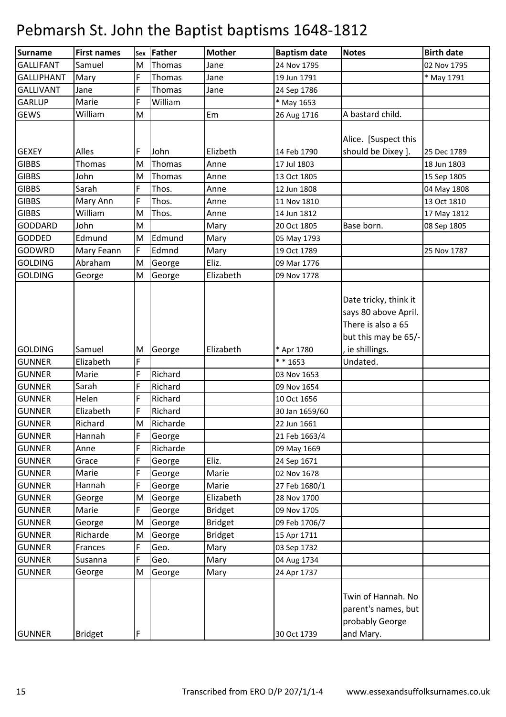| <b>Surname</b>    | <b>First names</b> |   | sex Father | <b>Mother</b>  | <b>Baptism date</b> | <b>Notes</b>                                                                                | <b>Birth date</b> |
|-------------------|--------------------|---|------------|----------------|---------------------|---------------------------------------------------------------------------------------------|-------------------|
| <b>GALLIFANT</b>  | Samuel             | M | Thomas     | Jane           | 24 Nov 1795         |                                                                                             | 02 Nov 1795       |
| <b>GALLIPHANT</b> | Mary               | F | Thomas     | Jane           | 19 Jun 1791         |                                                                                             | * May 1791        |
| <b>GALLIVANT</b>  | Jane               | F | Thomas     | Jane           | 24 Sep 1786         |                                                                                             |                   |
| <b>GARLUP</b>     | Marie              | F | William    |                | * May 1653          |                                                                                             |                   |
| <b>GEWS</b>       | William            | M |            | Em             | 26 Aug 1716         | A bastard child.                                                                            |                   |
|                   |                    |   |            |                |                     | Alice. [Suspect this                                                                        |                   |
| <b>GEXEY</b>      | Alles              | F | John       | Elizbeth       | 14 Feb 1790         | should be Dixey ].                                                                          | 25 Dec 1789       |
| <b>GIBBS</b>      | Thomas             | M | Thomas     | Anne           | 17 Jul 1803         |                                                                                             | 18 Jun 1803       |
| <b>GIBBS</b>      | John               | M | Thomas     | Anne           | 13 Oct 1805         |                                                                                             | 15 Sep 1805       |
| <b>GIBBS</b>      | Sarah              | F | Thos.      | Anne           | 12 Jun 1808         |                                                                                             | 04 May 1808       |
| <b>GIBBS</b>      | Mary Ann           | F | Thos.      | Anne           | 11 Nov 1810         |                                                                                             | 13 Oct 1810       |
| <b>GIBBS</b>      | William            | M | Thos.      | Anne           | 14 Jun 1812         |                                                                                             | 17 May 1812       |
| <b>GODDARD</b>    | John               | M |            | Mary           | 20 Oct 1805         | Base born.                                                                                  | 08 Sep 1805       |
| <b>GODDED</b>     | Edmund             | M | Edmund     | Mary           | 05 May 1793         |                                                                                             |                   |
| GODWRD            | Mary Feann         | F | Edmnd      | Mary           | 19 Oct 1789         |                                                                                             | 25 Nov 1787       |
| <b>GOLDING</b>    | Abraham            | M | George     | Eliz.          | 09 Mar 1776         |                                                                                             |                   |
| <b>GOLDING</b>    | George             | M | George     | Elizabeth      | 09 Nov 1778         |                                                                                             |                   |
|                   |                    |   |            |                |                     | Date tricky, think it<br>says 80 above April.<br>There is also a 65<br>but this may be 65/- |                   |
| <b>GOLDING</b>    | Samuel             | M | George     | Elizabeth      | * Apr 1780          | , ie shillings.                                                                             |                   |
| <b>GUNNER</b>     | Elizabeth          | F |            |                | $* * 1653$          | Undated.                                                                                    |                   |
| <b>GUNNER</b>     | Marie              | F | Richard    |                | 03 Nov 1653         |                                                                                             |                   |
| <b>GUNNER</b>     | Sarah              | F | Richard    |                | 09 Nov 1654         |                                                                                             |                   |
| <b>GUNNER</b>     | Helen              | F | Richard    |                | 10 Oct 1656         |                                                                                             |                   |
| <b>GUNNER</b>     | Elizabeth          | F | Richard    |                | 30 Jan 1659/60      |                                                                                             |                   |
| <b>GUNNER</b>     | Richard            | M | Richarde   |                | 22 Jun 1661         |                                                                                             |                   |
| <b>GUNNER</b>     | Hannah             | F | George     |                | 21 Feb 1663/4       |                                                                                             |                   |
| <b>GUNNER</b>     | Anne               | F | Richarde   |                | 09 May 1669         |                                                                                             |                   |
| <b>GUNNER</b>     | Grace              | F | George     | Eliz.          | 24 Sep 1671         |                                                                                             |                   |
| <b>GUNNER</b>     | Marie              | F | George     | Marie          | 02 Nov 1678         |                                                                                             |                   |
| <b>GUNNER</b>     | Hannah             | F | George     | Marie          | 27 Feb 1680/1       |                                                                                             |                   |
| <b>GUNNER</b>     | George             | M | George     | Elizabeth      | 28 Nov 1700         |                                                                                             |                   |
| <b>GUNNER</b>     | Marie              | F | George     | <b>Bridget</b> | 09 Nov 1705         |                                                                                             |                   |
| <b>GUNNER</b>     | George             | M | George     | <b>Bridget</b> | 09 Feb 1706/7       |                                                                                             |                   |
| <b>GUNNER</b>     | Richarde           | M | George     | <b>Bridget</b> | 15 Apr 1711         |                                                                                             |                   |
| <b>GUNNER</b>     | Frances            | F | Geo.       | Mary           | 03 Sep 1732         |                                                                                             |                   |
| <b>GUNNER</b>     | Susanna            | F | Geo.       | Mary           | 04 Aug 1734         |                                                                                             |                   |
| <b>GUNNER</b>     | George             | M | George     | Mary           | 24 Apr 1737         |                                                                                             |                   |
|                   |                    |   |            |                |                     | Twin of Hannah. No<br>parent's names, but<br>probably George                                |                   |
| <b>GUNNER</b>     | <b>Bridget</b>     | F |            |                | 30 Oct 1739         | and Mary.                                                                                   |                   |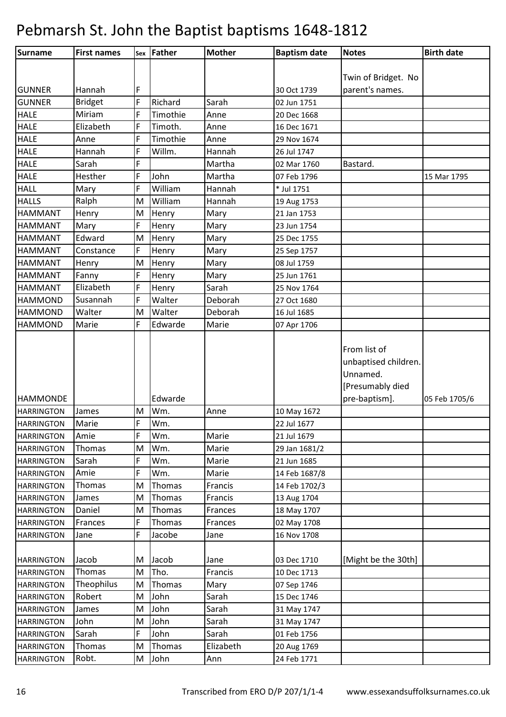| Surname           | <b>First names</b> |   | sex Father | <b>Mother</b> | <b>Baptism date</b> | <b>Notes</b>                                                         | <b>Birth date</b> |
|-------------------|--------------------|---|------------|---------------|---------------------|----------------------------------------------------------------------|-------------------|
|                   |                    |   |            |               |                     |                                                                      |                   |
|                   |                    |   |            |               |                     | Twin of Bridget. No                                                  |                   |
| <b>GUNNER</b>     | Hannah             | F |            |               | 30 Oct 1739         | parent's names.                                                      |                   |
| <b>GUNNER</b>     | <b>Bridget</b>     | F | Richard    | Sarah         | 02 Jun 1751         |                                                                      |                   |
| <b>HALE</b>       | Miriam             | F | Timothie   | Anne          | 20 Dec 1668         |                                                                      |                   |
| <b>HALE</b>       | Elizabeth          | F | Timoth.    | Anne          | 16 Dec 1671         |                                                                      |                   |
| <b>HALE</b>       | Anne               | F | Timothie   | Anne          | 29 Nov 1674         |                                                                      |                   |
| <b>HALE</b>       | Hannah             | F | Willm.     | Hannah        | 26 Jul 1747         |                                                                      |                   |
| <b>HALE</b>       | Sarah              | F |            | Martha        | 02 Mar 1760         | Bastard.                                                             |                   |
| <b>HALE</b>       | Hesther            | F | John       | Martha        | 07 Feb 1796         |                                                                      | 15 Mar 1795       |
| <b>HALL</b>       | Mary               | F | William    | Hannah        | * Jul 1751          |                                                                      |                   |
| <b>HALLS</b>      | Ralph              | M | William    | Hannah        | 19 Aug 1753         |                                                                      |                   |
| <b>HAMMANT</b>    | Henry              | M | Henry      | Mary          | 21 Jan 1753         |                                                                      |                   |
| <b>HAMMANT</b>    | Mary               | F | Henry      | Mary          | 23 Jun 1754         |                                                                      |                   |
| <b>HAMMANT</b>    | Edward             | M | Henry      | Mary          | 25 Dec 1755         |                                                                      |                   |
| <b>HAMMANT</b>    | Constance          | F | Henry      | Mary          | 25 Sep 1757         |                                                                      |                   |
| <b>HAMMANT</b>    | Henry              | M | Henry      | Mary          | 08 Jul 1759         |                                                                      |                   |
| <b>HAMMANT</b>    | Fanny              | F | Henry      | Mary          | 25 Jun 1761         |                                                                      |                   |
| <b>HAMMANT</b>    | Elizabeth          | F | Henry      | Sarah         | 25 Nov 1764         |                                                                      |                   |
| <b>HAMMOND</b>    | Susannah           | F | Walter     | Deborah       | 27 Oct 1680         |                                                                      |                   |
| <b>HAMMOND</b>    | Walter             | M | Walter     | Deborah       | 16 Jul 1685         |                                                                      |                   |
| <b>HAMMOND</b>    | Marie              | F | Edwarde    | Marie         | 07 Apr 1706         |                                                                      |                   |
|                   |                    |   |            |               |                     | From list of<br>unbaptised children.<br>Unnamed.<br>[Presumably died |                   |
| <b>HAMMONDE</b>   |                    |   | Edwarde    |               |                     | pre-baptism].                                                        | 05 Feb 1705/6     |
| <b>HARRINGTON</b> | James              | M | Wm.        | Anne          | 10 May 1672         |                                                                      |                   |
| <b>HARRINGTON</b> | Marie              | F | Wm.        |               | 22 Jul 1677         |                                                                      |                   |
| <b>HARRINGTON</b> | Amie               | F | Wm.        | Marie         | 21 Jul 1679         |                                                                      |                   |
| <b>HARRINGTON</b> | Thomas             | M | Wm.        | Marie         | 29 Jan 1681/2       |                                                                      |                   |
| <b>HARRINGTON</b> | Sarah              | F | Wm.        | Marie         | 21 Jun 1685         |                                                                      |                   |
| <b>HARRINGTON</b> | Amie               | F | Wm.        | Marie         | 14 Feb 1687/8       |                                                                      |                   |
| <b>HARRINGTON</b> | <b>Thomas</b>      | M | Thomas     | Francis       | 14 Feb 1702/3       |                                                                      |                   |
| <b>HARRINGTON</b> | James              | M | Thomas     | Francis       | 13 Aug 1704         |                                                                      |                   |
| <b>HARRINGTON</b> | Daniel             | M | Thomas     | Frances       | 18 May 1707         |                                                                      |                   |
| <b>HARRINGTON</b> | Frances            | F | Thomas     | Frances       | 02 May 1708         |                                                                      |                   |
| <b>HARRINGTON</b> | Jane               | F | Jacobe     | Jane          | 16 Nov 1708         |                                                                      |                   |
| <b>HARRINGTON</b> | Jacob              | M | Jacob      | Jane          | 03 Dec 1710         | [Might be the 30th]                                                  |                   |
| <b>HARRINGTON</b> | Thomas             | M | Tho.       | Francis       | 10 Dec 1713         |                                                                      |                   |
| <b>HARRINGTON</b> | Theophilus         | M | Thomas     | Mary          | 07 Sep 1746         |                                                                      |                   |
| <b>HARRINGTON</b> | Robert             | M | John       | Sarah         | 15 Dec 1746         |                                                                      |                   |
| <b>HARRINGTON</b> | James              | M | John       | Sarah         | 31 May 1747         |                                                                      |                   |
| <b>HARRINGTON</b> | John               | M | John       | Sarah         | 31 May 1747         |                                                                      |                   |
| <b>HARRINGTON</b> | Sarah              | F | John       | Sarah         | 01 Feb 1756         |                                                                      |                   |
| <b>HARRINGTON</b> | Thomas             | M | Thomas     | Elizabeth     | 20 Aug 1769         |                                                                      |                   |
| <b>HARRINGTON</b> | Robt.              | M | John       | Ann           | 24 Feb 1771         |                                                                      |                   |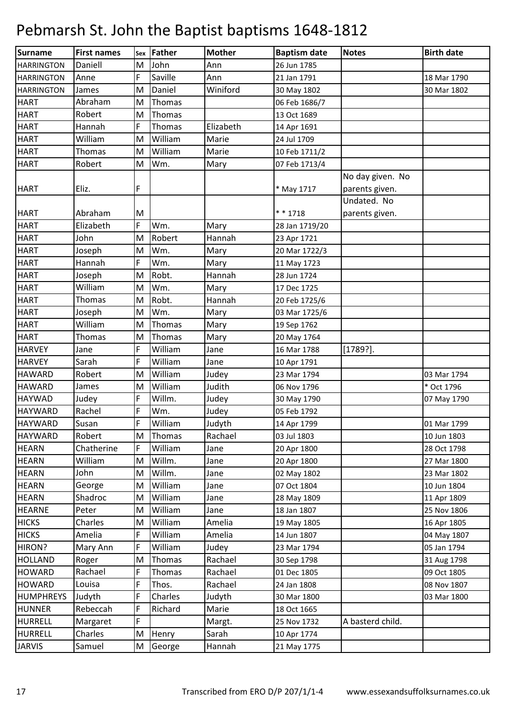| <b>Surname</b>    | <b>First names</b> |   | sex Father | <b>Mother</b> | <b>Baptism date</b> | <b>Notes</b>     | <b>Birth date</b> |
|-------------------|--------------------|---|------------|---------------|---------------------|------------------|-------------------|
| <b>HARRINGTON</b> | Daniell            | M | John       | Ann           | 26 Jun 1785         |                  |                   |
| <b>HARRINGTON</b> | Anne               | F | Saville    | Ann           | 21 Jan 1791         |                  | 18 Mar 1790       |
| <b>HARRINGTON</b> | James              | M | Daniel     | Winiford      | 30 May 1802         |                  | 30 Mar 1802       |
| <b>HART</b>       | Abraham            | M | Thomas     |               | 06 Feb 1686/7       |                  |                   |
| <b>HART</b>       | Robert             | M | Thomas     |               | 13 Oct 1689         |                  |                   |
| <b>HART</b>       | Hannah             | F | Thomas     | Elizabeth     | 14 Apr 1691         |                  |                   |
| <b>HART</b>       | William            | M | William    | Marie         | 24 Jul 1709         |                  |                   |
| <b>HART</b>       | Thomas             | M | William    | Marie         | 10 Feb 1711/2       |                  |                   |
| <b>HART</b>       | Robert             | M | Wm.        | Mary          | 07 Feb 1713/4       |                  |                   |
|                   |                    |   |            |               |                     | No day given. No |                   |
| <b>HART</b>       | Eliz.              | F |            |               | * May 1717          | parents given.   |                   |
|                   |                    |   |            |               |                     | Undated. No      |                   |
| <b>HART</b>       | Abraham            | M |            |               | $* * 1718$          | parents given.   |                   |
| <b>HART</b>       | Elizabeth          | F | Wm.        | Mary          | 28 Jan 1719/20      |                  |                   |
| <b>HART</b>       | John               | M | Robert     | Hannah        | 23 Apr 1721         |                  |                   |
| <b>HART</b>       | Joseph             | M | Wm.        | Mary          | 20 Mar 1722/3       |                  |                   |
| <b>HART</b>       | Hannah             | F | Wm.        | Mary          | 11 May 1723         |                  |                   |
| <b>HART</b>       | Joseph             | M | Robt.      | Hannah        | 28 Jun 1724         |                  |                   |
| <b>HART</b>       | William            | M | Wm.        | Mary          | 17 Dec 1725         |                  |                   |
| <b>HART</b>       | Thomas             | M | Robt.      | Hannah        | 20 Feb 1725/6       |                  |                   |
| <b>HART</b>       | Joseph             | M | Wm.        | Mary          | 03 Mar 1725/6       |                  |                   |
| <b>HART</b>       | William            | M | Thomas     | Mary          | 19 Sep 1762         |                  |                   |
| <b>HART</b>       | Thomas             | M | Thomas     | Mary          | 20 May 1764         |                  |                   |
| <b>HARVEY</b>     | Jane               | F | William    | Jane          | 16 Mar 1788         | $[1789?]$ .      |                   |
| <b>HARVEY</b>     | Sarah              | F | William    | Jane          | 10 Apr 1791         |                  |                   |
| <b>HAWARD</b>     | Robert             | M | William    | Judey         | 23 Mar 1794         |                  | 03 Mar 1794       |
| <b>HAWARD</b>     | James              | M | William    | Judith        | 06 Nov 1796         |                  | * Oct 1796        |
| <b>HAYWAD</b>     | Judey              | F | Willm.     | Judey         | 30 May 1790         |                  | 07 May 1790       |
| <b>HAYWARD</b>    | Rachel             | F | Wm.        | Judey         | 05 Feb 1792         |                  |                   |
| <b>HAYWARD</b>    | Susan              | F | William    | Judyth        | 14 Apr 1799         |                  | 01 Mar 1799       |
| <b>HAYWARD</b>    | Robert             | M | Thomas     | Rachael       | 03 Jul 1803         |                  | 10 Jun 1803       |
| <b>HEARN</b>      | Chatherine         | F | William    | Jane          | 20 Apr 1800         |                  | 28 Oct 1798       |
| <b>HEARN</b>      | William            | M | Willm.     | Jane          | 20 Apr 1800         |                  | 27 Mar 1800       |
| <b>HEARN</b>      | John               | M | Willm.     | Jane          | 02 May 1802         |                  | 23 Mar 1802       |
| <b>HEARN</b>      | George             | M | William    | Jane          | 07 Oct 1804         |                  | 10 Jun 1804       |
| <b>HEARN</b>      | Shadroc            | M | William    | Jane          | 28 May 1809         |                  | 11 Apr 1809       |
| <b>HEARNE</b>     | Peter              | M | William    | Jane          | 18 Jan 1807         |                  | 25 Nov 1806       |
| <b>HICKS</b>      | Charles            | M | William    | Amelia        | 19 May 1805         |                  | 16 Apr 1805       |
| <b>HICKS</b>      | Amelia             | F | William    | Amelia        | 14 Jun 1807         |                  | 04 May 1807       |
| HIRON?            | Mary Ann           | F | William    | Judey         | 23 Mar 1794         |                  | 05 Jan 1794       |
| <b>HOLLAND</b>    | Roger              | M | Thomas     | Rachael       | 30 Sep 1798         |                  | 31 Aug 1798       |
| <b>HOWARD</b>     | Rachael            | F | Thomas     | Rachael       | 01 Dec 1805         |                  | 09 Oct 1805       |
| <b>HOWARD</b>     | Louisa             | F | Thos.      | Rachael       | 24 Jan 1808         |                  | 08 Nov 1807       |
| <b>HUMPHREYS</b>  | Judyth             | F | Charles    | Judyth        | 30 Mar 1800         |                  | 03 Mar 1800       |
| <b>HUNNER</b>     | Rebeccah           | F | Richard    | Marie         | 18 Oct 1665         |                  |                   |
| <b>HURRELL</b>    | Margaret           | F |            | Margt.        | 25 Nov 1732         | A basterd child. |                   |
| <b>HURRELL</b>    | Charles            | M | Henry      | Sarah         | 10 Apr 1774         |                  |                   |
| <b>JARVIS</b>     | Samuel             | M | George     | Hannah        | 21 May 1775         |                  |                   |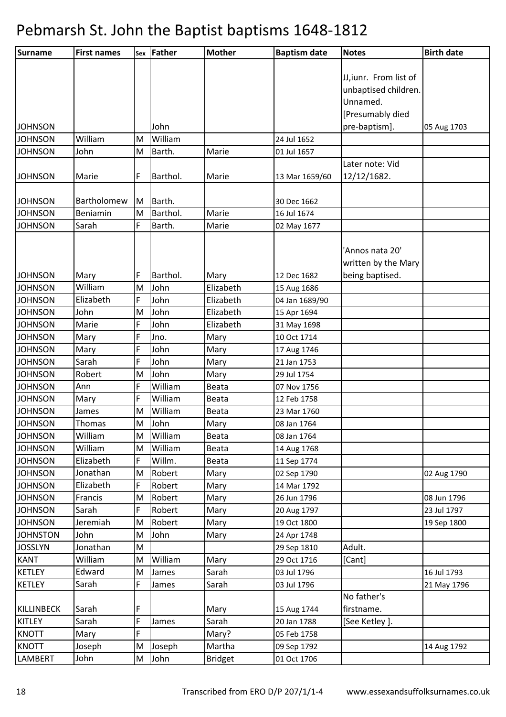| Surname                     | <b>First names</b> |        | sex Father | <b>Mother</b>  | <b>Baptism date</b> | <b>Notes</b>              | <b>Birth date</b> |
|-----------------------------|--------------------|--------|------------|----------------|---------------------|---------------------------|-------------------|
|                             |                    |        |            |                |                     |                           |                   |
|                             |                    |        |            |                |                     | JJ, iunr. From list of    |                   |
|                             |                    |        |            |                |                     | unbaptised children.      |                   |
|                             |                    |        |            |                |                     | Unnamed.                  |                   |
|                             |                    |        |            |                |                     | [Presumably died          |                   |
| <b>JOHNSON</b>              |                    |        | John       |                |                     | pre-baptism].             | 05 Aug 1703       |
| <b>JOHNSON</b>              | William            | M      | William    |                | 24 Jul 1652         |                           |                   |
| <b>JOHNSON</b>              | John               | M      | Barth.     | Marie          | 01 Jul 1657         |                           |                   |
|                             |                    |        |            |                |                     | Later note: Vid           |                   |
| <b>JOHNSON</b>              | Marie              | F      | Barthol.   | Marie          | 13 Mar 1659/60      | 12/12/1682.               |                   |
|                             |                    |        |            |                |                     |                           |                   |
| <b>JOHNSON</b>              | Bartholomew        | M      | Barth.     |                | 30 Dec 1662         |                           |                   |
| <b>JOHNSON</b>              | Beniamin           | M      | Barthol.   | Marie          | 16 Jul 1674         |                           |                   |
| <b>JOHNSON</b>              | Sarah              | F      | Barth.     | Marie          | 02 May 1677         |                           |                   |
|                             |                    |        |            |                |                     |                           |                   |
|                             |                    |        |            |                |                     | 'Annos nata 20'           |                   |
|                             |                    |        |            |                |                     | written by the Mary       |                   |
| <b>JOHNSON</b>              | Mary               | F      | Barthol.   | Mary           | 12 Dec 1682         | being baptised.           |                   |
| <b>JOHNSON</b>              | William            | M      | John       | Elizabeth      | 15 Aug 1686         |                           |                   |
| <b>JOHNSON</b>              | Elizabeth          | F      | John       | Elizabeth      | 04 Jan 1689/90      |                           |                   |
| <b>JOHNSON</b>              | John               | M      | John       | Elizabeth      | 15 Apr 1694         |                           |                   |
| <b>JOHNSON</b>              | Marie              | F      | John       | Elizabeth      | 31 May 1698         |                           |                   |
| <b>JOHNSON</b>              | Mary               | F      | Jno.       | Mary           | 10 Oct 1714         |                           |                   |
| <b>JOHNSON</b>              | Mary               | F      | John       | Mary           | 17 Aug 1746         |                           |                   |
| <b>JOHNSON</b>              | Sarah              | F      | John       | Mary           | 21 Jan 1753         |                           |                   |
| <b>JOHNSON</b>              | Robert             | M      | John       | Mary           | 29 Jul 1754         |                           |                   |
| <b>JOHNSON</b>              | Ann                | F      | William    | Beata          | 07 Nov 1756         |                           |                   |
| <b>JOHNSON</b>              | Mary               | F      | William    | Beata          | 12 Feb 1758         |                           |                   |
| <b>JOHNSON</b>              | James              | M      | William    | Beata          | 23 Mar 1760         |                           |                   |
| <b>JOHNSON</b>              | Thomas             | M      | John       | Mary           | 08 Jan 1764         |                           |                   |
| <b>JOHNSON</b>              | William            | M      | William    | Beata          | 08 Jan 1764         |                           |                   |
| <b>JOHNSON</b>              | William            | M      | William    | Beata          | 14 Aug 1768         |                           |                   |
| <b>JOHNSON</b>              | Elizabeth          | F      | Willm.     | Beata          | 11 Sep 1774         |                           |                   |
| <b>JOHNSON</b>              | Jonathan           | M      | Robert     | Mary           | 02 Sep 1790         |                           | 02 Aug 1790       |
| <b>JOHNSON</b>              | Elizabeth          | F      | Robert     | Mary           | 14 Mar 1792         |                           |                   |
| <b>JOHNSON</b>              | Francis            | M      | Robert     | Mary           | 26 Jun 1796         |                           | 08 Jun 1796       |
| <b>JOHNSON</b>              | Sarah              | F      | Robert     | Mary           | 20 Aug 1797         |                           | 23 Jul 1797       |
| <b>JOHNSON</b>              | Jeremiah           | M      | Robert     | Mary           | 19 Oct 1800         |                           | 19 Sep 1800       |
| <b>JOHNSTON</b>             | John               | M      | John       | Mary           | 24 Apr 1748         |                           |                   |
| <b>JOSSLYN</b>              | Jonathan           | M      |            |                | 29 Sep 1810         | Adult.                    |                   |
| <b>KANT</b>                 | William<br>Edward  | M      | William    | Mary           | 29 Oct 1716         | [Cant]                    |                   |
| <b>KETLEY</b>               |                    | M<br>F | James      | Sarah          | 03 Jul 1796         |                           | 16 Jul 1793       |
| <b>KETLEY</b>               | Sarah              |        | James      | Sarah          | 03 Jul 1796         |                           | 21 May 1796       |
|                             | Sarah              |        |            |                |                     | No father's<br>firstname. |                   |
| KILLINBECK<br><b>KITLEY</b> | Sarah              | F<br>F | James      | Mary<br>Sarah  | 15 Aug 1744         | [See Ketley].             |                   |
| <b>KNOTT</b>                |                    | F      |            |                | 20 Jan 1788         |                           |                   |
|                             | Mary               |        |            | Mary?          | 05 Feb 1758         |                           |                   |
| <b>KNOTT</b>                | Joseph             | M      | Joseph     | Martha         | 09 Sep 1792         |                           | 14 Aug 1792       |
| <b>LAMBERT</b>              | John               | M      | John       | <b>Bridget</b> | 01 Oct 1706         |                           |                   |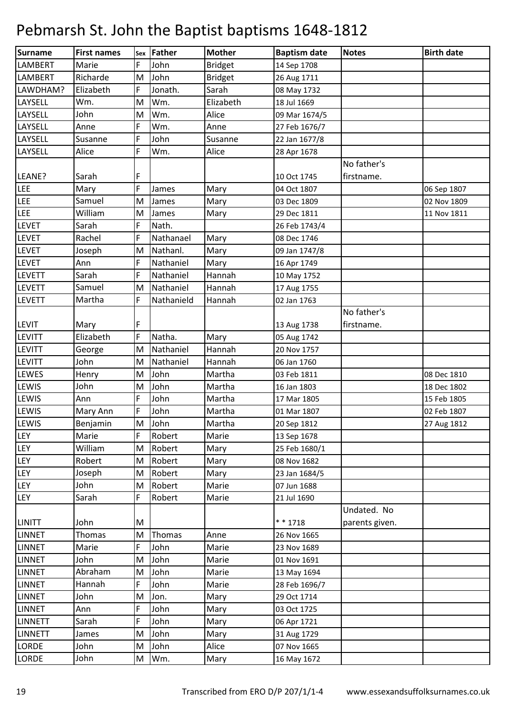| Surname        | <b>First names</b> |   | sex Father | <b>Mother</b>  | <b>Baptism date</b> | <b>Notes</b>   | <b>Birth date</b> |
|----------------|--------------------|---|------------|----------------|---------------------|----------------|-------------------|
| LAMBERT        | Marie              | F | John       | <b>Bridget</b> | 14 Sep 1708         |                |                   |
| <b>LAMBERT</b> | Richarde           | M | John       | <b>Bridget</b> | 26 Aug 1711         |                |                   |
| LAWDHAM?       | Elizabeth          | F | Jonath.    | Sarah          | 08 May 1732         |                |                   |
| LAYSELL        | Wm.                | M | Wm.        | Elizabeth      | 18 Jul 1669         |                |                   |
| LAYSELL        | John               | M | Wm.        | Alice          | 09 Mar 1674/5       |                |                   |
| LAYSELL        | Anne               | F | Wm.        | Anne           | 27 Feb 1676/7       |                |                   |
| LAYSELL        | Susanne            | F | John       | Susanne        | 22 Jan 1677/8       |                |                   |
| LAYSELL        | Alice              | F | Wm.        | Alice          | 28 Apr 1678         |                |                   |
|                |                    |   |            |                |                     | No father's    |                   |
| LEANE?         | Sarah              | F |            |                | 10 Oct 1745         | firstname.     |                   |
| <b>LEE</b>     | Mary               | F | James      | Mary           | 04 Oct 1807         |                | 06 Sep 1807       |
| LEE            | Samuel             | M | James      | Mary           | 03 Dec 1809         |                | 02 Nov 1809       |
| <b>LEE</b>     | William            | M | James      | Mary           | 29 Dec 1811         |                | 11 Nov 1811       |
| <b>LEVET</b>   | Sarah              | F | Nath.      |                | 26 Feb 1743/4       |                |                   |
| LEVET          | Rachel             | F | Nathanael  | Mary           | 08 Dec 1746         |                |                   |
| <b>LEVET</b>   | Joseph             | M | Nathanl.   | Mary           | 09 Jan 1747/8       |                |                   |
| <b>LEVET</b>   | Ann                | F | Nathaniel  | Mary           | 16 Apr 1749         |                |                   |
| <b>LEVETT</b>  | Sarah              | F | Nathaniel  | Hannah         | 10 May 1752         |                |                   |
| <b>LEVETT</b>  | Samuel             | M | Nathaniel  | Hannah         | 17 Aug 1755         |                |                   |
| <b>LEVETT</b>  | Martha             | F | Nathanield | Hannah         | 02 Jan 1763         |                |                   |
|                |                    |   |            |                |                     | No father's    |                   |
| <b>LEVIT</b>   | Mary               | F |            |                | 13 Aug 1738         | firstname.     |                   |
| <b>LEVITT</b>  | Elizabeth          | F | Natha.     | Mary           | 05 Aug 1742         |                |                   |
| <b>LEVITT</b>  | George             | M | Nathaniel  | Hannah         | 20 Nov 1757         |                |                   |
| <b>LEVITT</b>  | John               | M | Nathaniel  | Hannah         | 06 Jan 1760         |                |                   |
| LEWES          | Henry              | M | John       | Martha         | 03 Feb 1811         |                | 08 Dec 1810       |
| LEWIS          | John               | M | John       | Martha         | 16 Jan 1803         |                | 18 Dec 1802       |
| LEWIS          | Ann                | F | John       | Martha         | 17 Mar 1805         |                | 15 Feb 1805       |
| LEWIS          | Mary Ann           | F | John       | Martha         | 01 Mar 1807         |                | 02 Feb 1807       |
| <b>LEWIS</b>   | Benjamin           | M | John       | Martha         | 20 Sep 1812         |                | 27 Aug 1812       |
| LEY            | Marie              | F | Robert     | Marie          | 13 Sep 1678         |                |                   |
| LEY            | William            | M | Robert     | Mary           | 25 Feb 1680/1       |                |                   |
| LEY            | Robert             | M | Robert     | Mary           | 08 Nov 1682         |                |                   |
| LEY            | Joseph             | M | Robert     | Mary           | 23 Jan 1684/5       |                |                   |
| <b>LEY</b>     | John               | M | Robert     | Marie          | 07 Jun 1688         |                |                   |
| LEY            | Sarah              | F | Robert     | Marie          | 21 Jul 1690         |                |                   |
|                |                    |   |            |                |                     | Undated. No    |                   |
| <b>LINITT</b>  | John               | M |            |                | * * 1718            | parents given. |                   |
| LINNET         | Thomas             | M | Thomas     | Anne           | 26 Nov 1665         |                |                   |
| <b>LINNET</b>  | Marie              | F | John       | Marie          | 23 Nov 1689         |                |                   |
| <b>LINNET</b>  | John               | M | John       | Marie          | 01 Nov 1691         |                |                   |
| <b>LINNET</b>  | Abraham            | M | John       | Marie          | 13 May 1694         |                |                   |
| LINNET         | Hannah             | F | John       | Marie          | 28 Feb 1696/7       |                |                   |
| LINNET         | John               | M | Jon.       | Mary           | 29 Oct 1714         |                |                   |
| <b>LINNET</b>  | Ann                | F | John       | Mary           | 03 Oct 1725         |                |                   |
| <b>LINNETT</b> | Sarah              | F | John       | Mary           | 06 Apr 1721         |                |                   |
| <b>LINNETT</b> | James              | M | John       | Mary           | 31 Aug 1729         |                |                   |
| <b>LORDE</b>   | John               | M | John       | Alice          | 07 Nov 1665         |                |                   |
| LORDE          | John               | M | Wm.        | Mary           | 16 May 1672         |                |                   |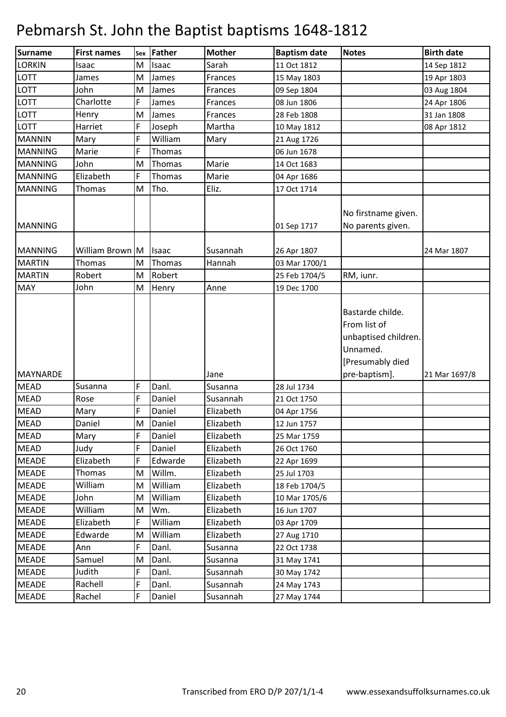| <b>Surname</b>  | <b>First names</b> | <b>Sex</b> | Father  | <b>Mother</b> | <b>Baptism date</b> | <b>Notes</b>                                                                                              | <b>Birth date</b> |
|-----------------|--------------------|------------|---------|---------------|---------------------|-----------------------------------------------------------------------------------------------------------|-------------------|
| <b>LORKIN</b>   | Isaac              | M          | Isaac   | Sarah         | 11 Oct 1812         |                                                                                                           | 14 Sep 1812       |
| LOTT            | James              | M          | James   | Frances       | 15 May 1803         |                                                                                                           | 19 Apr 1803       |
| LOTT            | John               | M          | James   | Frances       | 09 Sep 1804         |                                                                                                           | 03 Aug 1804       |
| LOTT            | Charlotte          | F          | James   | Frances       | 08 Jun 1806         |                                                                                                           | 24 Apr 1806       |
| LOTT            | Henry              | M          | James   | Frances       | 28 Feb 1808         |                                                                                                           | 31 Jan 1808       |
| <b>LOTT</b>     | Harriet            | F          | Joseph  | Martha        | 10 May 1812         |                                                                                                           | 08 Apr 1812       |
| <b>MANNIN</b>   | Mary               | F          | William | Mary          | 21 Aug 1726         |                                                                                                           |                   |
| <b>MANNING</b>  | Marie              | F          | Thomas  |               | 06 Jun 1678         |                                                                                                           |                   |
| <b>MANNING</b>  | John               | M          | Thomas  | Marie         | 14 Oct 1683         |                                                                                                           |                   |
| <b>MANNING</b>  | Elizabeth          | F          | Thomas  | Marie         | 04 Apr 1686         |                                                                                                           |                   |
| <b>MANNING</b>  | Thomas             | M          | Tho.    | Eliz.         | 17 Oct 1714         |                                                                                                           |                   |
| <b>MANNING</b>  |                    |            |         |               | 01 Sep 1717         | No firstname given.<br>No parents given.                                                                  |                   |
| <b>MANNING</b>  | William Brown M    |            | Isaac   | Susannah      | 26 Apr 1807         |                                                                                                           | 24 Mar 1807       |
| <b>MARTIN</b>   | Thomas             | M          | Thomas  | Hannah        | 03 Mar 1700/1       |                                                                                                           |                   |
| <b>MARTIN</b>   | Robert             | M          | Robert  |               | 25 Feb 1704/5       | RM, iunr.                                                                                                 |                   |
| <b>MAY</b>      | John               | M          | Henry   | Anne          | 19 Dec 1700         |                                                                                                           |                   |
| <b>MAYNARDE</b> |                    |            |         | Jane          |                     | Bastarde childe.<br>From list of<br>unbaptised children.<br>Unnamed.<br>[Presumably died<br>pre-baptism]. | 21 Mar 1697/8     |
| <b>MEAD</b>     | Susanna            | F          | Danl.   | Susanna       | 28 Jul 1734         |                                                                                                           |                   |
| <b>MEAD</b>     | Rose               | F          | Daniel  | Susannah      | 21 Oct 1750         |                                                                                                           |                   |
| <b>MEAD</b>     | Mary               | F          | Daniel  | Elizabeth     | 04 Apr 1756         |                                                                                                           |                   |
| <b>MEAD</b>     | Daniel             | M          | Daniel  | Elizabeth     | 12 Jun 1757         |                                                                                                           |                   |
| <b>MEAD</b>     | Mary               | F          | Daniel  | Elizabeth     | 25 Mar 1759         |                                                                                                           |                   |
| <b>MEAD</b>     | Judy               | F          | Daniel  | Elizabeth     | 26 Oct 1760         |                                                                                                           |                   |
| <b>MEADE</b>    | Elizabeth          | F          | Edwarde | Elizabeth     | 22 Apr 1699         |                                                                                                           |                   |
| <b>MEADE</b>    | Thomas             | M          | Willm.  | Elizabeth     | 25 Jul 1703         |                                                                                                           |                   |
| <b>MEADE</b>    | William            | M          | William | Elizabeth     | 18 Feb 1704/5       |                                                                                                           |                   |
| <b>MEADE</b>    | John               | M          | William | Elizabeth     | 10 Mar 1705/6       |                                                                                                           |                   |
| <b>MEADE</b>    | William            | M          | Wm.     | Elizabeth     | 16 Jun 1707         |                                                                                                           |                   |
| <b>MEADE</b>    | Elizabeth          | F          | William | Elizabeth     | 03 Apr 1709         |                                                                                                           |                   |
| <b>MEADE</b>    | Edwarde            | M          | William | Elizabeth     | 27 Aug 1710         |                                                                                                           |                   |
| <b>MEADE</b>    | Ann                | F          | Danl.   | Susanna       | 22 Oct 1738         |                                                                                                           |                   |
| <b>MEADE</b>    | Samuel             | M          | Danl.   | Susanna       | 31 May 1741         |                                                                                                           |                   |
| <b>MEADE</b>    | Judith             | F          | Danl.   | Susannah      | 30 May 1742         |                                                                                                           |                   |
| <b>MEADE</b>    | Rachell            | F          | Danl.   | Susannah      | 24 May 1743         |                                                                                                           |                   |
| <b>MEADE</b>    | Rachel             | F          | Daniel  | Susannah      | 27 May 1744         |                                                                                                           |                   |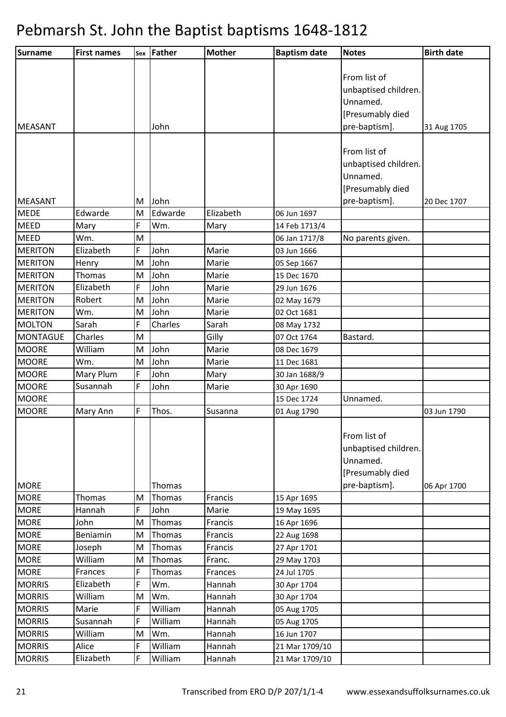| Surname         | <b>First names</b> |   | sex Father    | <b>Mother</b> | <b>Baptism date</b> | <b>Notes</b>         | <b>Birth date</b> |
|-----------------|--------------------|---|---------------|---------------|---------------------|----------------------|-------------------|
|                 |                    |   |               |               |                     |                      |                   |
|                 |                    |   |               |               |                     | From list of         |                   |
|                 |                    |   |               |               |                     | unbaptised children. |                   |
|                 |                    |   |               |               |                     | Unnamed.             |                   |
|                 |                    |   |               |               |                     | [Presumably died     |                   |
| <b>MEASANT</b>  |                    |   | John          |               |                     | pre-baptism].        | 31 Aug 1705       |
|                 |                    |   |               |               |                     |                      |                   |
|                 |                    |   |               |               |                     | From list of         |                   |
|                 |                    |   |               |               |                     | unbaptised children. |                   |
|                 |                    |   |               |               |                     | Unnamed.             |                   |
|                 |                    |   |               |               |                     | [Presumably died     |                   |
| <b>MEASANT</b>  |                    | M | John          |               |                     | pre-baptism].        | 20 Dec 1707       |
| <b>MEDE</b>     | Edwarde            | M | Edwarde       | Elizabeth     | 06 Jun 1697         |                      |                   |
| <b>MEED</b>     | Mary               | F | Wm.           | Mary          | 14 Feb 1713/4       |                      |                   |
| <b>MEED</b>     | Wm.                | M |               |               | 06 Jan 1717/8       | No parents given.    |                   |
| <b>MERITON</b>  | Elizabeth          | F | John          | Marie         | 03 Jun 1666         |                      |                   |
| <b>MERITON</b>  | Henry              | M | John          | Marie         | 05 Sep 1667         |                      |                   |
| <b>MERITON</b>  | Thomas             | M | John          | Marie         | 15 Dec 1670         |                      |                   |
| <b>MERITON</b>  | Elizabeth          | F | John          | Marie         | 29 Jun 1676         |                      |                   |
| <b>MERITON</b>  | Robert             | M | John          | Marie         | 02 May 1679         |                      |                   |
| <b>MERITON</b>  | Wm.                | M | John          | Marie         | 02 Oct 1681         |                      |                   |
| <b>MOLTON</b>   | Sarah              | F | Charles       | Sarah         | 08 May 1732         |                      |                   |
| <b>MONTAGUE</b> | Charles            | M |               | Gilly         | 07 Oct 1764         | Bastard.             |                   |
| <b>MOORE</b>    | William            | M | John          | Marie         | 08 Dec 1679         |                      |                   |
| <b>MOORE</b>    | Wm.                | M | John          | Marie         | 11 Dec 1681         |                      |                   |
| <b>MOORE</b>    | Mary Plum          | F | John          | Mary          | 30 Jan 1688/9       |                      |                   |
| <b>MOORE</b>    | Susannah           | F | John          | Marie         | 30 Apr 1690         |                      |                   |
| <b>MOORE</b>    |                    |   |               |               | 15 Dec 1724         | Unnamed.             |                   |
| <b>MOORE</b>    | Mary Ann           | F | Thos.         | Susanna       | 01 Aug 1790         |                      | 03 Jun 1790       |
|                 |                    |   |               |               |                     | From list of         |                   |
|                 |                    |   |               |               |                     | unbaptised children. |                   |
|                 |                    |   |               |               |                     | Unnamed.             |                   |
|                 |                    |   |               |               |                     | [Presumably died     |                   |
| <b>MORE</b>     |                    |   | <b>Thomas</b> |               |                     | pre-baptism].        | 06 Apr 1700       |
| <b>MORE</b>     | Thomas             | M | Thomas        | Francis       | 15 Apr 1695         |                      |                   |
| <b>MORE</b>     | Hannah             | F | John          | Marie         | 19 May 1695         |                      |                   |
| <b>MORE</b>     | John               | M | Thomas        | Francis       | 16 Apr 1696         |                      |                   |
| <b>MORE</b>     | Beniamin           | M | Thomas        | Francis       | 22 Aug 1698         |                      |                   |
| <b>MORE</b>     | Joseph             | M | Thomas        | Francis       | 27 Apr 1701         |                      |                   |
| <b>MORE</b>     | William            | M | Thomas        | Franc.        | 29 May 1703         |                      |                   |
| <b>MORE</b>     | Frances            | F | Thomas        | Frances       | 24 Jul 1705         |                      |                   |
| <b>MORRIS</b>   | Elizabeth          | F | Wm.           | Hannah        | 30 Apr 1704         |                      |                   |
| <b>MORRIS</b>   | William            | M | Wm.           | Hannah        | 30 Apr 1704         |                      |                   |
| <b>MORRIS</b>   | Marie              | F | William       | Hannah        | 05 Aug 1705         |                      |                   |
| <b>MORRIS</b>   | Susannah           | F | William       | Hannah        | 05 Aug 1705         |                      |                   |
| <b>MORRIS</b>   | William            | M | Wm.           | Hannah        | 16 Jun 1707         |                      |                   |
| <b>MORRIS</b>   | Alice              | F | William       | Hannah        | 21 Mar 1709/10      |                      |                   |
| <b>MORRIS</b>   | Elizabeth          | F | William       | Hannah        | 21 Mar 1709/10      |                      |                   |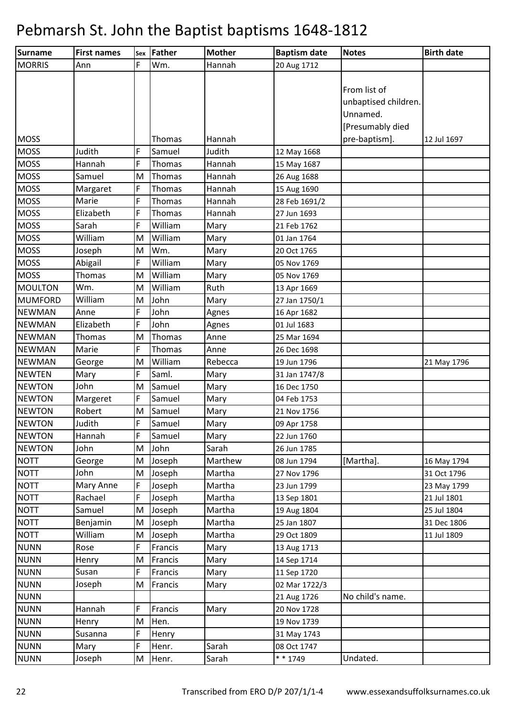| Surname        | <b>First names</b> | Sex | Father  | <b>Mother</b> | <b>Baptism date</b> | <b>Notes</b>         | <b>Birth date</b> |
|----------------|--------------------|-----|---------|---------------|---------------------|----------------------|-------------------|
| <b>MORRIS</b>  | Ann                | F   | Wm.     | Hannah        | 20 Aug 1712         |                      |                   |
|                |                    |     |         |               |                     |                      |                   |
|                |                    |     |         |               |                     | From list of         |                   |
|                |                    |     |         |               |                     | unbaptised children. |                   |
|                |                    |     |         |               |                     | Unnamed.             |                   |
|                |                    |     |         |               |                     | [Presumably died     |                   |
| <b>MOSS</b>    |                    |     | Thomas  | Hannah        |                     | pre-baptism].        | 12 Jul 1697       |
| <b>MOSS</b>    | Judith             | F   | Samuel  | Judith        | 12 May 1668         |                      |                   |
| <b>MOSS</b>    | Hannah             | F   | Thomas  | Hannah        | 15 May 1687         |                      |                   |
| <b>MOSS</b>    | Samuel             | M   | Thomas  | Hannah        | 26 Aug 1688         |                      |                   |
| <b>MOSS</b>    | Margaret           | F   | Thomas  | Hannah        | 15 Aug 1690         |                      |                   |
| <b>MOSS</b>    | Marie              | F   | Thomas  | Hannah        | 28 Feb 1691/2       |                      |                   |
| <b>MOSS</b>    | Elizabeth          | F   | Thomas  | Hannah        | 27 Jun 1693         |                      |                   |
| <b>MOSS</b>    | Sarah              | F   | William | Mary          | 21 Feb 1762         |                      |                   |
| <b>MOSS</b>    | William            | M   | William | Mary          | 01 Jan 1764         |                      |                   |
| <b>MOSS</b>    | Joseph             | M   | Wm.     | Mary          | 20 Oct 1765         |                      |                   |
| <b>MOSS</b>    | Abigail            | F   | William | Mary          | 05 Nov 1769         |                      |                   |
| <b>MOSS</b>    | Thomas             | M   | William | Mary          | 05 Nov 1769         |                      |                   |
| <b>MOULTON</b> | Wm.                | M   | William | Ruth          | 13 Apr 1669         |                      |                   |
| <b>MUMFORD</b> | William            | M   | John    | Mary          | 27 Jan 1750/1       |                      |                   |
| <b>NEWMAN</b>  | Anne               | F   | John    | Agnes         | 16 Apr 1682         |                      |                   |
| <b>NEWMAN</b>  | Elizabeth          | F   | John    | Agnes         | 01 Jul 1683         |                      |                   |
| <b>NEWMAN</b>  | Thomas             | M   | Thomas  | Anne          | 25 Mar 1694         |                      |                   |
| <b>NEWMAN</b>  | Marie              | F   | Thomas  | Anne          | 26 Dec 1698         |                      |                   |
| <b>NEWMAN</b>  | George             | M   | William | Rebecca       | 19 Jun 1796         |                      | 21 May 1796       |
| <b>NEWTEN</b>  | Mary               | F   | Saml.   | Mary          | 31 Jan 1747/8       |                      |                   |
| <b>NEWTON</b>  | John               | M   | Samuel  | Mary          | 16 Dec 1750         |                      |                   |
| <b>NEWTON</b>  | Margeret           | F   | Samuel  | Mary          | 04 Feb 1753         |                      |                   |
| <b>NEWTON</b>  | Robert             | M   | Samuel  | Mary          | 21 Nov 1756         |                      |                   |
| <b>NEWTON</b>  | Judith             | F   | Samuel  | Mary          | 09 Apr 1758         |                      |                   |
| <b>NEWTON</b>  | Hannah             | F   | Samuel  | Mary          | 22 Jun 1760         |                      |                   |
| <b>NEWTON</b>  | John               | M   | John    | Sarah         | 26 Jun 1785         |                      |                   |
| <b>NOTT</b>    | George             | M   | Joseph  | Marthew       | 08 Jun 1794         | [Martha].            | 16 May 1794       |
| <b>NOTT</b>    | John               | M   | Joseph  | Martha        | 27 Nov 1796         |                      | 31 Oct 1796       |
| <b>NOTT</b>    | Mary Anne          | F   | Joseph  | Martha        | 23 Jun 1799         |                      | 23 May 1799       |
| <b>NOTT</b>    | Rachael            | F   | Joseph  | Martha        | 13 Sep 1801         |                      | 21 Jul 1801       |
| <b>NOTT</b>    | Samuel             | M   | Joseph  | Martha        | 19 Aug 1804         |                      | 25 Jul 1804       |
| <b>NOTT</b>    | Benjamin           | M   | Joseph  | Martha        | 25 Jan 1807         |                      | 31 Dec 1806       |
| <b>NOTT</b>    | William            | M   | Joseph  | Martha        | 29 Oct 1809         |                      | 11 Jul 1809       |
| <b>NUNN</b>    | Rose               | F   | Francis | Mary          | 13 Aug 1713         |                      |                   |
| <b>NUNN</b>    | Henry              | M   | Francis | Mary          | 14 Sep 1714         |                      |                   |
| <b>NUNN</b>    | Susan              | F   | Francis | Mary          | 11 Sep 1720         |                      |                   |
| <b>NUNN</b>    | Joseph             | M   | Francis | Mary          | 02 Mar 1722/3       |                      |                   |
| <b>NUNN</b>    |                    |     |         |               | 21 Aug 1726         | No child's name.     |                   |
| <b>NUNN</b>    | Hannah             | F   | Francis | Mary          | 20 Nov 1728         |                      |                   |
| <b>NUNN</b>    | Henry              | M   | Hen.    |               | 19 Nov 1739         |                      |                   |
| <b>NUNN</b>    | Susanna            | F   | Henry   |               | 31 May 1743         |                      |                   |
| <b>NUNN</b>    | Mary               | F   | Henr.   | Sarah         | 08 Oct 1747         |                      |                   |
| <b>NUNN</b>    | Joseph             | M   | Henr.   | Sarah         | * * 1749            | Undated.             |                   |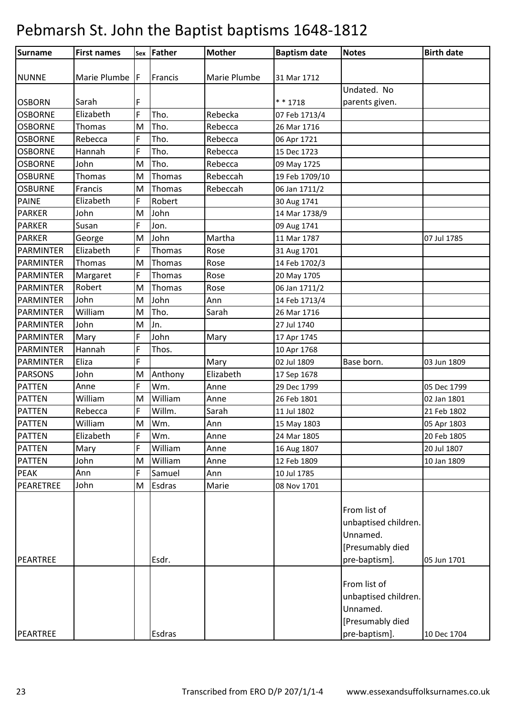| Surname                         | <b>First names</b> |        | sex Father | <b>Mother</b> | <b>Baptism date</b> | <b>Notes</b>                                                                          | <b>Birth date</b> |
|---------------------------------|--------------------|--------|------------|---------------|---------------------|---------------------------------------------------------------------------------------|-------------------|
|                                 |                    |        |            |               |                     |                                                                                       |                   |
| <b>NUNNE</b>                    | Marie Plumbe F     |        | Francis    | Marie Plumbe  | 31 Mar 1712         |                                                                                       |                   |
|                                 | Sarah              |        |            |               | * * 1718            | Undated. No<br>parents given.                                                         |                   |
| <b>OSBORN</b><br><b>OSBORNE</b> | Elizabeth          | F<br>F | Tho.       | Rebecka       | 07 Feb 1713/4       |                                                                                       |                   |
| <b>OSBORNE</b>                  | Thomas             | M      | Tho.       | Rebecca       | 26 Mar 1716         |                                                                                       |                   |
| <b>OSBORNE</b>                  | Rebecca            | F      | Tho.       | Rebecca       | 06 Apr 1721         |                                                                                       |                   |
| <b>OSBORNE</b>                  | Hannah             | F      | Tho.       | Rebecca       | 15 Dec 1723         |                                                                                       |                   |
| <b>OSBORNE</b>                  | John               | M      | Tho.       | Rebecca       | 09 May 1725         |                                                                                       |                   |
| <b>OSBURNE</b>                  | Thomas             | M      | Thomas     | Rebeccah      | 19 Feb 1709/10      |                                                                                       |                   |
| <b>OSBURNE</b>                  | Francis            | M      | Thomas     | Rebeccah      | 06 Jan 1711/2       |                                                                                       |                   |
| <b>PAINE</b>                    | Elizabeth          | F      | Robert     |               | 30 Aug 1741         |                                                                                       |                   |
| <b>PARKER</b>                   | John               | M      | John       |               | 14 Mar 1738/9       |                                                                                       |                   |
| <b>PARKER</b>                   | Susan              | F      | Jon.       |               | 09 Aug 1741         |                                                                                       |                   |
| <b>PARKER</b>                   | George             | M      | John       | Martha        | 11 Mar 1787         |                                                                                       | 07 Jul 1785       |
| <b>PARMINTER</b>                | Elizabeth          | F      | Thomas     | Rose          | 31 Aug 1701         |                                                                                       |                   |
| <b>PARMINTER</b>                | Thomas             | M      | Thomas     | Rose          | 14 Feb 1702/3       |                                                                                       |                   |
| <b>PARMINTER</b>                | Margaret           | F      | Thomas     | Rose          | 20 May 1705         |                                                                                       |                   |
| <b>PARMINTER</b>                | Robert             | M      | Thomas     | Rose          | 06 Jan 1711/2       |                                                                                       |                   |
| <b>PARMINTER</b>                | John               | M      | John       | Ann           | 14 Feb 1713/4       |                                                                                       |                   |
| PARMINTER                       | William            | M      | Tho.       | Sarah         | 26 Mar 1716         |                                                                                       |                   |
| <b>PARMINTER</b>                | John               | M      | Jn.        |               | 27 Jul 1740         |                                                                                       |                   |
| <b>PARMINTER</b>                | Mary               | F      | John       | Mary          | 17 Apr 1745         |                                                                                       |                   |
| PARMINTER                       | Hannah             | F      | Thos.      |               | 10 Apr 1768         |                                                                                       |                   |
| PARMINTER                       | Eliza              | F      |            | Mary          | 02 Jul 1809         | Base born.                                                                            | 03 Jun 1809       |
| <b>PARSONS</b>                  | John               | M      | Anthony    | Elizabeth     | 17 Sep 1678         |                                                                                       |                   |
| <b>PATTEN</b>                   | Anne               | F      | Wm.        | Anne          | 29 Dec 1799         |                                                                                       | 05 Dec 1799       |
| <b>PATTEN</b>                   | William            | M      | William    | Anne          | 26 Feb 1801         |                                                                                       | 02 Jan 1801       |
| <b>PATTEN</b>                   | Rebecca            | F      | Willm.     | Sarah         | 11 Jul 1802         |                                                                                       | 21 Feb 1802       |
| <b>PATTEN</b>                   | William            | M      | Wm.        | Ann           | 15 May 1803         |                                                                                       | 05 Apr 1803       |
| <b>PATTEN</b>                   | Elizabeth          | F      | Wm.        | Anne          | 24 Mar 1805         |                                                                                       | 20 Feb 1805       |
| <b>PATTEN</b>                   | Mary               | F      | William    | Anne          | 16 Aug 1807         |                                                                                       | 20 Jul 1807       |
| <b>PATTEN</b>                   | John               | M      | William    | Anne          | 12 Feb 1809         |                                                                                       | 10 Jan 1809       |
| <b>PEAK</b>                     | Ann                | F      | Samuel     | Ann           | 10 Jul 1785         |                                                                                       |                   |
| PEARETREE                       | John               | M      | Esdras     | Marie         | 08 Nov 1701         |                                                                                       |                   |
|                                 |                    |        |            |               |                     | From list of<br>unbaptised children.<br>Unnamed.<br>[Presumably died                  |                   |
| PEARTREE                        |                    |        | Esdr.      |               |                     | pre-baptism].                                                                         | 05 Jun 1701       |
| PEARTREE                        |                    |        | Esdras     |               |                     | From list of<br>unbaptised children.<br>Unnamed.<br>[Presumably died<br>pre-baptism]. | 10 Dec 1704       |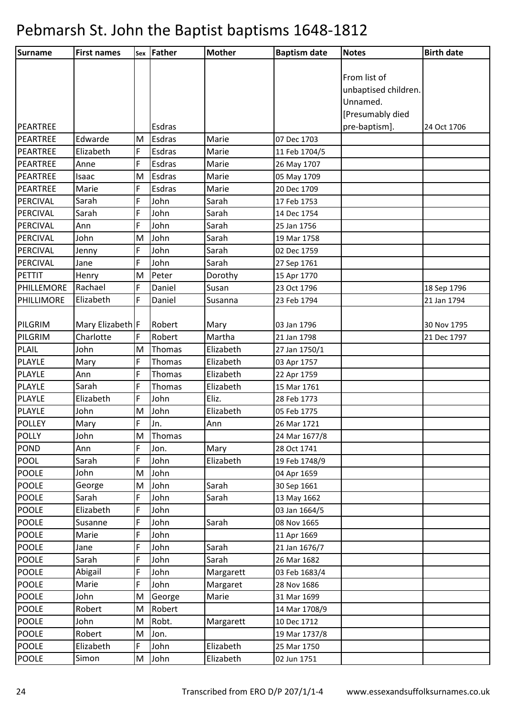| <b>Surname</b> | <b>First names</b> |   | Sex Father | <b>Mother</b> | <b>Baptism date</b> | <b>Notes</b>         | <b>Birth date</b> |
|----------------|--------------------|---|------------|---------------|---------------------|----------------------|-------------------|
|                |                    |   |            |               |                     |                      |                   |
|                |                    |   |            |               |                     | From list of         |                   |
|                |                    |   |            |               |                     | unbaptised children. |                   |
|                |                    |   |            |               |                     | Unnamed.             |                   |
|                |                    |   |            |               |                     | [Presumably died     |                   |
| PEARTREE       |                    |   | Esdras     |               |                     | pre-baptism].        | 24 Oct 1706       |
| PEARTREE       | Edwarde            | M | Esdras     | Marie         | 07 Dec 1703         |                      |                   |
| PEARTREE       | Elizabeth          | F | Esdras     | Marie         | 11 Feb 1704/5       |                      |                   |
| PEARTREE       | Anne               | F | Esdras     | Marie         | 26 May 1707         |                      |                   |
| PEARTREE       | Isaac              | M | Esdras     | Marie         | 05 May 1709         |                      |                   |
| PEARTREE       | Marie              | F | Esdras     | Marie         | 20 Dec 1709         |                      |                   |
| PERCIVAL       | Sarah              | F | John       | Sarah         | 17 Feb 1753         |                      |                   |
| PERCIVAL       | Sarah              | F | John       | Sarah         | 14 Dec 1754         |                      |                   |
| PERCIVAL       | Ann                | F | John       | Sarah         | 25 Jan 1756         |                      |                   |
| PERCIVAL       | John               | M | John       | Sarah         | 19 Mar 1758         |                      |                   |
| PERCIVAL       | Jenny              | F | John       | Sarah         | 02 Dec 1759         |                      |                   |
| PERCIVAL       | Jane               | F | John       | Sarah         | 27 Sep 1761         |                      |                   |
| PETTIT         | Henry              | M | Peter      | Dorothy       | 15 Apr 1770         |                      |                   |
| PHILLEMORE     | Rachael            | F | Daniel     | Susan         | 23 Oct 1796         |                      | 18 Sep 1796       |
| PHILLIMORE     | Elizabeth          | F | Daniel     | Susanna       | 23 Feb 1794         |                      | 21 Jan 1794       |
|                |                    |   |            |               |                     |                      |                   |
| PILGRIM        | Mary Elizabeth F   |   | Robert     | Mary          | 03 Jan 1796         |                      | 30 Nov 1795       |
| PILGRIM        | Charlotte          | F | Robert     | Martha        | 21 Jan 1798         |                      | 21 Dec 1797       |
| <b>PLAIL</b>   | John               | M | Thomas     | Elizabeth     | 27 Jan 1750/1       |                      |                   |
| PLAYLE         | Mary               | F | Thomas     | Elizabeth     | 03 Apr 1757         |                      |                   |
| PLAYLE         | Ann                | F | Thomas     | Elizabeth     | 22 Apr 1759         |                      |                   |
| PLAYLE         | Sarah              | F | Thomas     | Elizabeth     | 15 Mar 1761         |                      |                   |
| PLAYLE         | Elizabeth          | F | John       | Eliz.         | 28 Feb 1773         |                      |                   |
| PLAYLE         | John               | M | John       | Elizabeth     | 05 Feb 1775         |                      |                   |
| <b>POLLEY</b>  | Mary               | F | Jn.        | Ann           | 26 Mar 1721         |                      |                   |
| <b>POLLY</b>   | John               | M | Thomas     |               | 24 Mar 1677/8       |                      |                   |
| <b>POND</b>    | Ann                | F | Jon.       | Mary          | 28 Oct 1741         |                      |                   |
| <b>POOL</b>    | Sarah              | F | John       | Elizabeth     | 19 Feb 1748/9       |                      |                   |
| <b>POOLE</b>   | John               | M | John       |               | 04 Apr 1659         |                      |                   |
| <b>POOLE</b>   | George             | M | John       | Sarah         | 30 Sep 1661         |                      |                   |
| <b>POOLE</b>   | Sarah              | F | John       | Sarah         | 13 May 1662         |                      |                   |
| <b>POOLE</b>   | Elizabeth          | F | John       |               | 03 Jan 1664/5       |                      |                   |
| <b>POOLE</b>   | Susanne            | F | John       | Sarah         | 08 Nov 1665         |                      |                   |
| <b>POOLE</b>   | Marie              | F | John       |               | 11 Apr 1669         |                      |                   |
| <b>POOLE</b>   | Jane               | F | John       | Sarah         | 21 Jan 1676/7       |                      |                   |
| <b>POOLE</b>   | Sarah              | F | John       | Sarah         | 26 Mar 1682         |                      |                   |
| <b>POOLE</b>   | Abigail            | F | John       | Margarett     | 03 Feb 1683/4       |                      |                   |
| <b>POOLE</b>   | Marie              | F | John       | Margaret      | 28 Nov 1686         |                      |                   |
| <b>POOLE</b>   | John               | M | George     | Marie         | 31 Mar 1699         |                      |                   |
| <b>POOLE</b>   | Robert             | M | Robert     |               | 14 Mar 1708/9       |                      |                   |
| <b>POOLE</b>   | John               | M | Robt.      | Margarett     | 10 Dec 1712         |                      |                   |
| <b>POOLE</b>   | Robert             | M | Jon.       |               | 19 Mar 1737/8       |                      |                   |
| <b>POOLE</b>   | Elizabeth          | F | John       | Elizabeth     | 25 Mar 1750         |                      |                   |
| <b>POOLE</b>   | Simon              | M | John       | Elizabeth     | 02 Jun 1751         |                      |                   |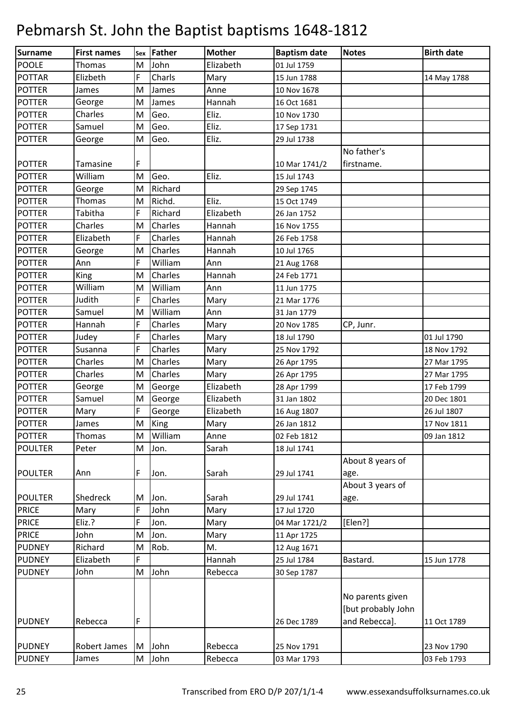| Surname        | <b>First names</b> |   | sex Father | <b>Mother</b> | <b>Baptism date</b> | <b>Notes</b>                                            | <b>Birth date</b> |
|----------------|--------------------|---|------------|---------------|---------------------|---------------------------------------------------------|-------------------|
| <b>POOLE</b>   | Thomas             | M | John       | Elizabeth     | 01 Jul 1759         |                                                         |                   |
| <b>POTTAR</b>  | Elizbeth           | F | Charls     | Mary          | 15 Jun 1788         |                                                         | 14 May 1788       |
| <b>POTTER</b>  | James              | M | James      | Anne          | 10 Nov 1678         |                                                         |                   |
| <b>POTTER</b>  | George             | M | James      | Hannah        | 16 Oct 1681         |                                                         |                   |
| <b>POTTER</b>  | Charles            | M | Geo.       | Eliz.         | 10 Nov 1730         |                                                         |                   |
| <b>POTTER</b>  | Samuel             | M | Geo.       | Eliz.         | 17 Sep 1731         |                                                         |                   |
| <b>POTTER</b>  | George             | M | Geo.       | Eliz.         | 29 Jul 1738         |                                                         |                   |
|                |                    |   |            |               |                     | No father's                                             |                   |
| <b>POTTER</b>  | Tamasine           | F |            |               | 10 Mar 1741/2       | firstname.                                              |                   |
| <b>POTTER</b>  | William            | M | Geo.       | Eliz.         | 15 Jul 1743         |                                                         |                   |
| <b>POTTER</b>  | George             | M | Richard    |               | 29 Sep 1745         |                                                         |                   |
| <b>POTTER</b>  | Thomas             | M | Richd.     | Eliz.         | 15 Oct 1749         |                                                         |                   |
| <b>POTTER</b>  | Tabitha            | F | Richard    | Elizabeth     | 26 Jan 1752         |                                                         |                   |
| <b>POTTER</b>  | Charles            | M | Charles    | Hannah        | 16 Nov 1755         |                                                         |                   |
| <b>POTTER</b>  | Elizabeth          | F | Charles    | Hannah        | 26 Feb 1758         |                                                         |                   |
| <b>POTTER</b>  | George             | M | Charles    | Hannah        | 10 Jul 1765         |                                                         |                   |
| <b>POTTER</b>  | Ann                | F | William    | Ann           | 21 Aug 1768         |                                                         |                   |
| <b>POTTER</b>  | King               | M | Charles    | Hannah        | 24 Feb 1771         |                                                         |                   |
| <b>POTTER</b>  | William            | M | William    | Ann           | 11 Jun 1775         |                                                         |                   |
| <b>POTTER</b>  | Judith             | F | Charles    | Mary          | 21 Mar 1776         |                                                         |                   |
| <b>POTTER</b>  | Samuel             | M | William    | Ann           | 31 Jan 1779         |                                                         |                   |
| <b>POTTER</b>  | Hannah             | F | Charles    | Mary          | 20 Nov 1785         | CP, Junr.                                               |                   |
| <b>POTTER</b>  | Judey              | F | Charles    | Mary          | 18 Jul 1790         |                                                         | 01 Jul 1790       |
| <b>POTTER</b>  | Susanna            | F | Charles    | Mary          | 25 Nov 1792         |                                                         | 18 Nov 1792       |
| <b>POTTER</b>  | Charles            | M | Charles    | Mary          | 26 Apr 1795         |                                                         | 27 Mar 1795       |
| <b>POTTER</b>  | Charles            | M | Charles    | Mary          | 26 Apr 1795         |                                                         | 27 Mar 1795       |
| <b>POTTER</b>  | George             | M | George     | Elizabeth     | 28 Apr 1799         |                                                         | 17 Feb 1799       |
| <b>POTTER</b>  | Samuel             | M | George     | Elizabeth     | 31 Jan 1802         |                                                         | 20 Dec 1801       |
| <b>POTTER</b>  | Mary               | F | George     | Elizabeth     | 16 Aug 1807         |                                                         | 26 Jul 1807       |
| <b>POTTER</b>  | James              | M | King       | Mary          | 26 Jan 1812         |                                                         | 17 Nov 1811       |
| <b>POTTER</b>  | Thomas             | M | William    | Anne          | 02 Feb 1812         |                                                         | 09 Jan 1812       |
| <b>POULTER</b> | Peter              | M | Jon.       | Sarah         | 18 Jul 1741         |                                                         |                   |
|                |                    |   |            |               |                     | About 8 years of                                        |                   |
| <b>POULTER</b> | Ann                | F | Jon.       | Sarah         | 29 Jul 1741         | age.                                                    |                   |
|                |                    |   |            |               |                     | About 3 years of                                        |                   |
| <b>POULTER</b> | Shedreck           | M | Jon.       | Sarah         | 29 Jul 1741         | age.                                                    |                   |
| <b>PRICE</b>   | Mary               | F | John       | Mary          | 17 Jul 1720         |                                                         |                   |
| <b>PRICE</b>   | Eliz.?             | F | Jon.       | Mary          | 04 Mar 1721/2       | [Elen?]                                                 |                   |
| <b>PRICE</b>   | John               | M | Jon.       | Mary          | 11 Apr 1725         |                                                         |                   |
| <b>PUDNEY</b>  | Richard            | M | Rob.       | M.            | 12 Aug 1671         |                                                         |                   |
| <b>PUDNEY</b>  | Elizabeth          | F |            | Hannah        | 25 Jul 1784         | Bastard.                                                | 15 Jun 1778       |
| <b>PUDNEY</b>  | John               | M | John       | Rebecca       | 30 Sep 1787         |                                                         |                   |
| <b>PUDNEY</b>  | Rebecca            | F |            |               | 26 Dec 1789         | No parents given<br>[but probably John<br>and Rebecca]. | 11 Oct 1789       |
|                |                    |   |            |               |                     |                                                         |                   |
| <b>PUDNEY</b>  | Robert James       | M | John       | Rebecca       | 25 Nov 1791         |                                                         | 23 Nov 1790       |
| <b>PUDNEY</b>  | James              | M | John       | Rebecca       | 03 Mar 1793         |                                                         | 03 Feb 1793       |
|                |                    |   |            |               |                     |                                                         |                   |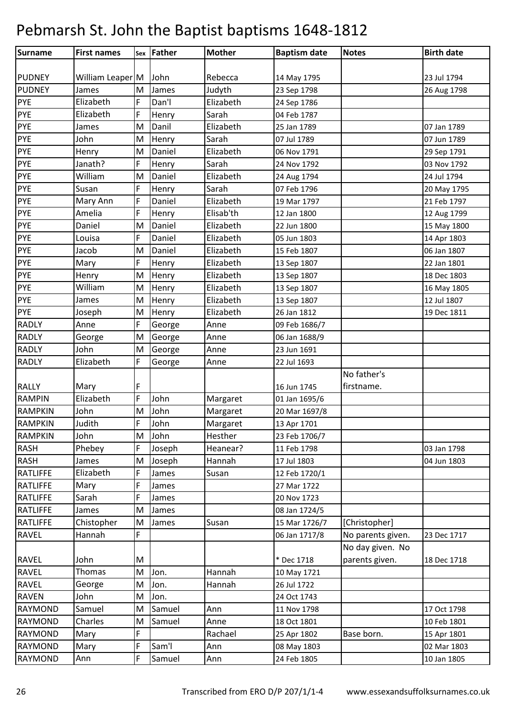| Surname         | <b>First names</b> |   | sex Father | <b>Mother</b> | <b>Baptism date</b> | <b>Notes</b>      | <b>Birth date</b> |
|-----------------|--------------------|---|------------|---------------|---------------------|-------------------|-------------------|
|                 |                    |   |            |               |                     |                   |                   |
| <b>PUDNEY</b>   | William Leaper M   |   | John       | Rebecca       | 14 May 1795         |                   | 23 Jul 1794       |
| <b>PUDNEY</b>   | James              | M | James      | Judyth        | 23 Sep 1798         |                   | 26 Aug 1798       |
| <b>PYE</b>      | Elizabeth          | F | Dan'l      | Elizabeth     | 24 Sep 1786         |                   |                   |
| <b>PYE</b>      | Elizabeth          | F | Henry      | Sarah         | 04 Feb 1787         |                   |                   |
| <b>PYE</b>      | James              | M | Danil      | Elizabeth     | 25 Jan 1789         |                   | 07 Jan 1789       |
| <b>PYE</b>      | John               | M | Henry      | Sarah         | 07 Jul 1789         |                   | 07 Jun 1789       |
| <b>PYE</b>      | Henry              | M | Daniel     | Elizabeth     | 06 Nov 1791         |                   | 29 Sep 1791       |
| <b>PYE</b>      | Janath?            | F | Henry      | Sarah         | 24 Nov 1792         |                   | 03 Nov 1792       |
| <b>PYE</b>      | William            | M | Daniel     | Elizabeth     | 24 Aug 1794         |                   | 24 Jul 1794       |
| <b>PYE</b>      | Susan              | F | Henry      | Sarah         | 07 Feb 1796         |                   | 20 May 1795       |
| <b>PYE</b>      | Mary Ann           | F | Daniel     | Elizabeth     | 19 Mar 1797         |                   | 21 Feb 1797       |
| <b>PYE</b>      | Amelia             | F | Henry      | Elisab'th     | 12 Jan 1800         |                   | 12 Aug 1799       |
| <b>PYE</b>      | Daniel             | M | Daniel     | Elizabeth     | 22 Jun 1800         |                   | 15 May 1800       |
| <b>PYE</b>      | Louisa             | F | Daniel     | Elizabeth     | 05 Jun 1803         |                   | 14 Apr 1803       |
| <b>PYE</b>      | Jacob              | M | Daniel     | Elizabeth     | 15 Feb 1807         |                   | 06 Jan 1807       |
| PYE             | Mary               | F | Henry      | Elizabeth     | 13 Sep 1807         |                   | 22 Jan 1801       |
| <b>PYE</b>      | Henry              | M | Henry      | Elizabeth     | 13 Sep 1807         |                   | 18 Dec 1803       |
| <b>PYE</b>      | William            | M | Henry      | Elizabeth     | 13 Sep 1807         |                   | 16 May 1805       |
| <b>PYE</b>      | James              | M | Henry      | Elizabeth     | 13 Sep 1807         |                   | 12 Jul 1807       |
| <b>PYE</b>      | Joseph             | M | Henry      | Elizabeth     | 26 Jan 1812         |                   | 19 Dec 1811       |
| <b>RADLY</b>    | Anne               | F | George     | Anne          | 09 Feb 1686/7       |                   |                   |
| <b>RADLY</b>    | George             | M | George     | Anne          | 06 Jan 1688/9       |                   |                   |
| <b>RADLY</b>    | John               | M | George     | Anne          | 23 Jun 1691         |                   |                   |
| <b>RADLY</b>    | Elizabeth          | F | George     | Anne          | 22 Jul 1693         |                   |                   |
|                 |                    |   |            |               |                     | No father's       |                   |
| <b>RALLY</b>    | Mary               | F |            |               | 16 Jun 1745         | firstname.        |                   |
| <b>RAMPIN</b>   | Elizabeth          | F | John       | Margaret      | 01 Jan 1695/6       |                   |                   |
| <b>RAMPKIN</b>  | John               | M | John       | Margaret      | 20 Mar 1697/8       |                   |                   |
| <b>RAMPKIN</b>  | Judith             | F | John       | Margaret      | 13 Apr 1701         |                   |                   |
| <b>RAMPKIN</b>  | John               | M | John       | Hesther       | 23 Feb 1706/7       |                   |                   |
| <b>RASH</b>     | Phebey             | F | Joseph     | Heanear?      | 11 Feb 1798         |                   | 03 Jan 1798       |
| <b>RASH</b>     | James              | M | Joseph     | Hannah        | 17 Jul 1803         |                   | 04 Jun 1803       |
| <b>RATLIFFE</b> | Elizabeth          | F | James      | Susan         | 12 Feb 1720/1       |                   |                   |
| <b>RATLIFFE</b> | Mary               | F | James      |               | 27 Mar 1722         |                   |                   |
| <b>RATLIFFE</b> | Sarah              | F | James      |               | 20 Nov 1723         |                   |                   |
| <b>RATLIFFE</b> | James              | M | James      |               | 08 Jan 1724/5       |                   |                   |
| <b>RATLIFFE</b> | Chistopher         | M | James      | Susan         | 15 Mar 1726/7       | [Christopher]     |                   |
| <b>RAVEL</b>    | Hannah             | F |            |               | 06 Jan 1717/8       | No parents given. | 23 Dec 1717       |
|                 |                    |   |            |               |                     | No day given. No  |                   |
| <b>RAVEL</b>    | John               | M |            |               | * Dec 1718          | parents given.    | 18 Dec 1718       |
| <b>RAVEL</b>    | <b>Thomas</b>      | M | Jon.       | Hannah        | 10 May 1721         |                   |                   |
| <b>RAVEL</b>    | George             | M | Jon.       | Hannah        | 26 Jul 1722         |                   |                   |
| <b>RAVEN</b>    | John               | M | Jon.       |               | 24 Oct 1743         |                   |                   |
| <b>RAYMOND</b>  | Samuel             | M | Samuel     | Ann           | 11 Nov 1798         |                   | 17 Oct 1798       |
| <b>RAYMOND</b>  | Charles            | M | Samuel     | Anne          | 18 Oct 1801         |                   | 10 Feb 1801       |
| <b>RAYMOND</b>  | Mary               | F |            | Rachael       | 25 Apr 1802         | Base born.        | 15 Apr 1801       |
| <b>RAYMOND</b>  | Mary               | F | Sam'l      | Ann           | 08 May 1803         |                   | 02 Mar 1803       |
| <b>RAYMOND</b>  | Ann                | F | Samuel     | Ann           | 24 Feb 1805         |                   | 10 Jan 1805       |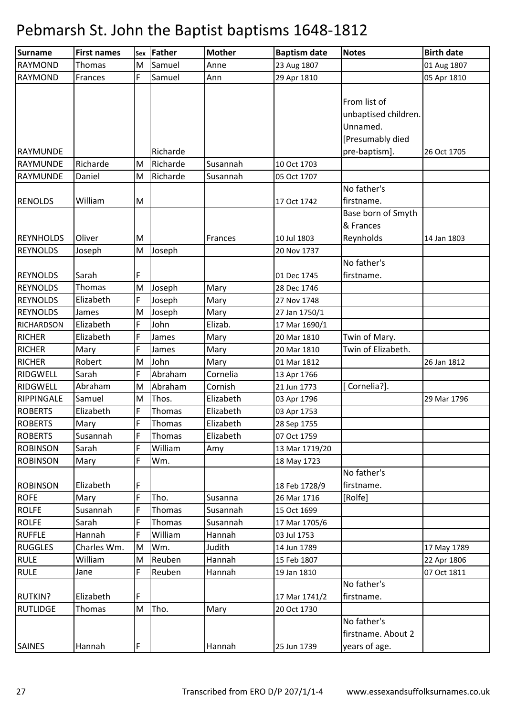| Surname           | <b>First names</b> | Sex | Father   | <b>Mother</b> | <b>Baptism date</b> | <b>Notes</b>         | <b>Birth date</b> |
|-------------------|--------------------|-----|----------|---------------|---------------------|----------------------|-------------------|
| <b>RAYMOND</b>    | Thomas             | M   | Samuel   | Anne          | 23 Aug 1807         |                      | 01 Aug 1807       |
| <b>RAYMOND</b>    | Frances            | F   | Samuel   | Ann           | 29 Apr 1810         |                      | 05 Apr 1810       |
|                   |                    |     |          |               |                     |                      |                   |
|                   |                    |     |          |               |                     | From list of         |                   |
|                   |                    |     |          |               |                     | unbaptised children. |                   |
|                   |                    |     |          |               |                     | Unnamed.             |                   |
|                   |                    |     |          |               |                     | [Presumably died     |                   |
| RAYMUNDE          |                    |     | Richarde |               |                     | pre-baptism].        | 26 Oct 1705       |
| <b>RAYMUNDE</b>   | Richarde           | M   | Richarde | Susannah      | 10 Oct 1703         |                      |                   |
| <b>RAYMUNDE</b>   | Daniel             | M   | Richarde | Susannah      | 05 Oct 1707         |                      |                   |
|                   |                    |     |          |               |                     | No father's          |                   |
| <b>RENOLDS</b>    | William            | M   |          |               | 17 Oct 1742         | firstname.           |                   |
|                   |                    |     |          |               |                     | Base born of Smyth   |                   |
|                   |                    |     |          |               |                     | & Frances            |                   |
| <b>REYNHOLDS</b>  | Oliver             | M   |          | Frances       | 10 Jul 1803         | Reynholds            | 14 Jan 1803       |
| <b>REYNOLDS</b>   | Joseph             | M   | Joseph   |               | 20 Nov 1737         |                      |                   |
|                   |                    |     |          |               |                     | No father's          |                   |
| <b>REYNOLDS</b>   | Sarah              | F   |          |               | 01 Dec 1745         | firstname.           |                   |
| <b>REYNOLDS</b>   | <b>Thomas</b>      | M   | Joseph   | Mary          | 28 Dec 1746         |                      |                   |
| <b>REYNOLDS</b>   | Elizabeth          | F   | Joseph   | Mary          | 27 Nov 1748         |                      |                   |
| <b>REYNOLDS</b>   | James              | M   | Joseph   | Mary          | 27 Jan 1750/1       |                      |                   |
| <b>RICHARDSON</b> | Elizabeth          | F   | John     | Elizab.       | 17 Mar 1690/1       |                      |                   |
| <b>RICHER</b>     | Elizabeth          | F   | James    | Mary          | 20 Mar 1810         | Twin of Mary.        |                   |
| <b>RICHER</b>     | Mary               | F   | James    | Mary          | 20 Mar 1810         | Twin of Elizabeth.   |                   |
| <b>RICHER</b>     | Robert             | M   | John     | Mary          | 01 Mar 1812         |                      | 26 Jan 1812       |
| RIDGWELL          | Sarah              | F   | Abraham  | Cornelia      | 13 Apr 1766         |                      |                   |
| <b>RIDGWELL</b>   | Abraham            | M   | Abraham  | Cornish       | 21 Jun 1773         | [Cornelia?].         |                   |
| <b>RIPPINGALE</b> | Samuel             | M   | Thos.    | Elizabeth     | 03 Apr 1796         |                      | 29 Mar 1796       |
| <b>ROBERTS</b>    | Elizabeth          | F   | Thomas   | Elizabeth     | 03 Apr 1753         |                      |                   |
| <b>ROBERTS</b>    | Mary               | F   | Thomas   | Elizabeth     | 28 Sep 1755         |                      |                   |
| <b>ROBERTS</b>    | Susannah           | F   | Thomas   | Elizabeth     | 07 Oct 1759         |                      |                   |
| <b>ROBINSON</b>   | Sarah              | F   | William  | Amy           | 13 Mar 1719/20      |                      |                   |
| <b>ROBINSON</b>   | Mary               | F   | Wm.      |               | 18 May 1723         |                      |                   |
|                   |                    |     |          |               |                     | No father's          |                   |
| <b>ROBINSON</b>   | Elizabeth          | F   |          |               | 18 Feb 1728/9       | firstname.           |                   |
| <b>ROFE</b>       | Mary               | F   | Tho.     | Susanna       | 26 Mar 1716         | [Rolfe]              |                   |
| <b>ROLFE</b>      | Susannah           | F   | Thomas   | Susannah      | 15 Oct 1699         |                      |                   |
| <b>ROLFE</b>      | Sarah              | F   | Thomas   | Susannah      | 17 Mar 1705/6       |                      |                   |
| <b>RUFFLE</b>     | Hannah             | F   | William  | Hannah        | 03 Jul 1753         |                      |                   |
| <b>RUGGLES</b>    | Charles Wm.        | M   | Wm.      | Judith        | 14 Jun 1789         |                      | 17 May 1789       |
| <b>RULE</b>       | William            | M   | Reuben   | Hannah        | 15 Feb 1807         |                      | 22 Apr 1806       |
| <b>RULE</b>       | Jane               | F   | Reuben   | Hannah        | 19 Jan 1810         |                      | 07 Oct 1811       |
|                   |                    |     |          |               |                     | No father's          |                   |
| <b>RUTKIN?</b>    | Elizabeth          | F   |          |               | 17 Mar 1741/2       | firstname.           |                   |
| <b>RUTLIDGE</b>   | Thomas             | M   | Tho.     | Mary          | 20 Oct 1730         |                      |                   |
|                   |                    |     |          |               |                     | No father's          |                   |
|                   |                    |     |          |               |                     | firstname. About 2   |                   |
| <b>SAINES</b>     | Hannah             | F   |          | Hannah        | 25 Jun 1739         | years of age.        |                   |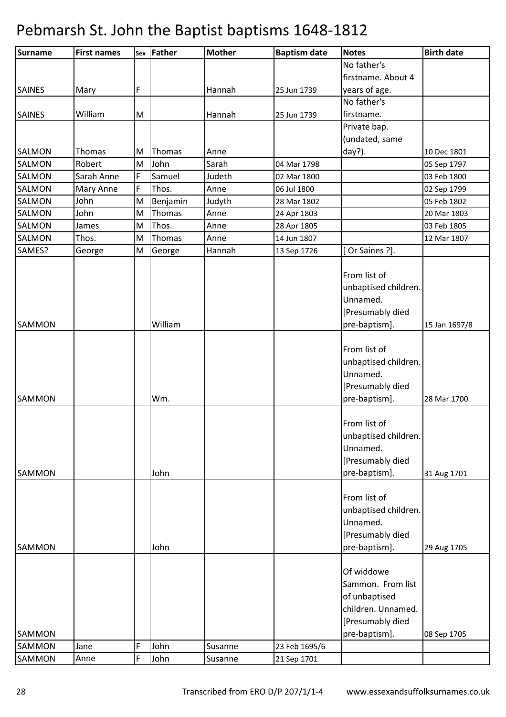| Surname          | <b>First names</b> |   | sex Father | <b>Mother</b> | <b>Baptism date</b> | <b>Notes</b>                                                                                                | <b>Birth date</b> |
|------------------|--------------------|---|------------|---------------|---------------------|-------------------------------------------------------------------------------------------------------------|-------------------|
|                  |                    |   |            |               |                     | No father's                                                                                                 |                   |
|                  |                    |   |            |               |                     | firstname. About 4                                                                                          |                   |
| <b>SAINES</b>    | Mary               | F |            | Hannah        | 25 Jun 1739         | years of age.                                                                                               |                   |
|                  |                    |   |            |               |                     | No father's                                                                                                 |                   |
| <b>SAINES</b>    | William            | M |            | Hannah        | 25 Jun 1739         | firstname.                                                                                                  |                   |
|                  |                    |   |            |               |                     | Private bap.                                                                                                |                   |
|                  |                    |   |            |               |                     | (undated, same                                                                                              |                   |
| <b>SALMON</b>    | Thomas             | M | Thomas     | Anne          |                     | day?).                                                                                                      | 10 Dec 1801       |
| <b>SALMON</b>    | Robert             | M | John       | Sarah         | 04 Mar 1798         |                                                                                                             | 05 Sep 1797       |
| <b>SALMON</b>    | Sarah Anne         | F | Samuel     | Judeth        | 02 Mar 1800         |                                                                                                             | 03 Feb 1800       |
| <b>SALMON</b>    | Mary Anne          | F | Thos.      | Anne          | 06 Jul 1800         |                                                                                                             | 02 Sep 1799       |
| <b>SALMON</b>    | John               | M | Benjamin   | Judyth        | 28 Mar 1802         |                                                                                                             | 05 Feb 1802       |
| <b>SALMON</b>    | John               | M | Thomas     | Anne          | 24 Apr 1803         |                                                                                                             | 20 Mar 1803       |
| SALMON           | James              | M | Thos.      | Anne          | 28 Apr 1805         |                                                                                                             | 03 Feb 1805       |
| <b>SALMON</b>    | Thos.              | M | Thomas     | Anne          | 14 Jun 1807         |                                                                                                             | 12 Mar 1807       |
| SAMES?           | George             | M | George     | Hannah        | 13 Sep 1726         | Or Saines ?].                                                                                               |                   |
| <b>SAMMON</b>    |                    |   | William    |               |                     | From list of<br>unbaptised children.<br>Unnamed.<br>[Presumably died<br>pre-baptism].                       | 15 Jan 1697/8     |
| <b>SAMMON</b>    |                    |   | Wm.        |               |                     | From list of<br>unbaptised children.<br>Unnamed.<br>[Presumably died<br>pre-baptism].                       | 28 Mar 1700       |
| <b>SAMMON</b>    |                    |   | John       |               |                     | From list of<br>unbaptised children.<br>Unnamed.<br>[Presumably died<br>pre-baptism].                       | 31 Aug 1701       |
| <b>SAMMON</b>    |                    |   | John       |               |                     | From list of<br>unbaptised children.<br>Unnamed.<br>[Presumably died<br>pre-baptism].                       | 29 Aug 1705       |
| SAMMON<br>SAMMON | Jane               | F | John       | Susanne       | 23 Feb 1695/6       | Of widdowe<br>Sammon. From list<br>of unbaptised<br>children. Unnamed.<br>[Presumably died<br>pre-baptism]. | 08 Sep 1705       |
| SAMMON           | Anne               | F | John       | Susanne       | 21 Sep 1701         |                                                                                                             |                   |
|                  |                    |   |            |               |                     |                                                                                                             |                   |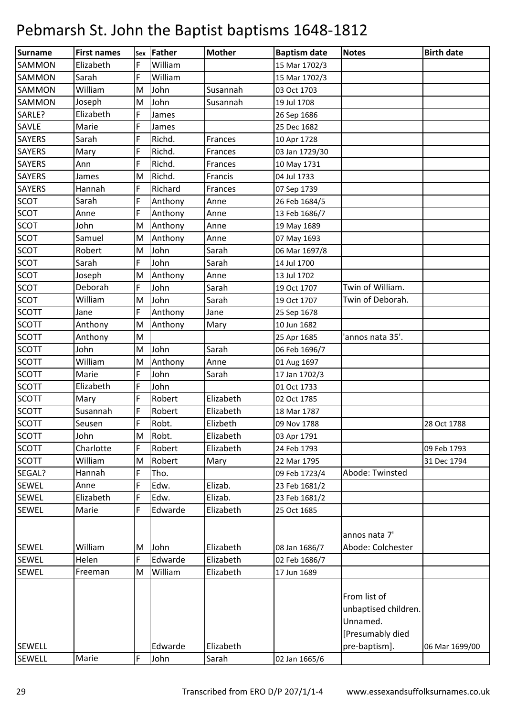| Surname       | <b>First names</b> | Sex | Father  | <b>Mother</b> | <b>Baptism date</b> | <b>Notes</b>         | <b>Birth date</b> |
|---------------|--------------------|-----|---------|---------------|---------------------|----------------------|-------------------|
| SAMMON        | Elizabeth          | F   | William |               | 15 Mar 1702/3       |                      |                   |
| <b>SAMMON</b> | Sarah              | F   | William |               | 15 Mar 1702/3       |                      |                   |
| <b>SAMMON</b> | William            | M   | John    | Susannah      | 03 Oct 1703         |                      |                   |
| <b>SAMMON</b> | Joseph             | M   | John    | Susannah      | 19 Jul 1708         |                      |                   |
| SARLE?        | Elizabeth          | F   | James   |               | 26 Sep 1686         |                      |                   |
| SAVLE         | Marie              | F   | James   |               | 25 Dec 1682         |                      |                   |
| <b>SAYERS</b> | Sarah              | F   | Richd.  | Frances       | 10 Apr 1728         |                      |                   |
| <b>SAYERS</b> | Mary               | F   | Richd.  | Frances       | 03 Jan 1729/30      |                      |                   |
| <b>SAYERS</b> | Ann                | F   | Richd.  | Frances       | 10 May 1731         |                      |                   |
| <b>SAYERS</b> | James              | M   | Richd.  | Francis       | 04 Jul 1733         |                      |                   |
| <b>SAYERS</b> | Hannah             | F   | Richard | Frances       | 07 Sep 1739         |                      |                   |
| <b>SCOT</b>   | Sarah              | F   | Anthony | Anne          | 26 Feb 1684/5       |                      |                   |
| <b>SCOT</b>   | Anne               | F   | Anthony | Anne          | 13 Feb 1686/7       |                      |                   |
| <b>SCOT</b>   | John               | M   | Anthony | Anne          | 19 May 1689         |                      |                   |
| <b>SCOT</b>   | Samuel             | M   | Anthony | Anne          | 07 May 1693         |                      |                   |
| <b>SCOT</b>   | Robert             | M   | John    | Sarah         | 06 Mar 1697/8       |                      |                   |
| <b>SCOT</b>   | Sarah              | F   | John    | Sarah         | 14 Jul 1700         |                      |                   |
| <b>SCOT</b>   | Joseph             | M   | Anthony | Anne          | 13 Jul 1702         |                      |                   |
| <b>SCOT</b>   | Deborah            | F   | John    | Sarah         | 19 Oct 1707         | Twin of William.     |                   |
| <b>SCOT</b>   | William            | M   | John    | Sarah         | 19 Oct 1707         | Twin of Deborah.     |                   |
| <b>SCOTT</b>  | Jane               | F   | Anthony | Jane          | 25 Sep 1678         |                      |                   |
| <b>SCOTT</b>  | Anthony            | M   | Anthony | Mary          | 10 Jun 1682         |                      |                   |
| <b>SCOTT</b>  | Anthony            | M   |         |               | 25 Apr 1685         | 'annos nata 35'.     |                   |
| <b>SCOTT</b>  | John               | M   | John    | Sarah         | 06 Feb 1696/7       |                      |                   |
| <b>SCOTT</b>  | William            | M   | Anthony | Anne          | 01 Aug 1697         |                      |                   |
| <b>SCOTT</b>  | Marie              | F   | John    | Sarah         | 17 Jan 1702/3       |                      |                   |
| <b>SCOTT</b>  | Elizabeth          | F   | John    |               | 01 Oct 1733         |                      |                   |
| <b>SCOTT</b>  | Mary               | F   | Robert  | Elizabeth     | 02 Oct 1785         |                      |                   |
| <b>SCOTT</b>  | Susannah           | F   | Robert  | Elizabeth     | 18 Mar 1787         |                      |                   |
| <b>SCOTT</b>  | Seusen             | F   | Robt.   | Elizbeth      | 09 Nov 1788         |                      | 28 Oct 1788       |
| <b>SCOTT</b>  | John               | M   | Robt.   | Elizabeth     | 03 Apr 1791         |                      |                   |
| <b>SCOTT</b>  | Charlotte          | F   | Robert  | Elizabeth     | 24 Feb 1793         |                      | 09 Feb 1793       |
| <b>SCOTT</b>  | William            | M   | Robert  | Mary          | 22 Mar 1795         |                      | 31 Dec 1794       |
| SEGAL?        | Hannah             | F   | Tho.    |               | 09 Feb 1723/4       | Abode: Twinsted      |                   |
| <b>SEWEL</b>  | Anne               | F   | Edw.    | Elizab.       | 23 Feb 1681/2       |                      |                   |
| <b>SEWEL</b>  | Elizabeth          | F   | Edw.    | Elizab.       | 23 Feb 1681/2       |                      |                   |
| <b>SEWEL</b>  | Marie              | F   | Edwarde | Elizabeth     | 25 Oct 1685         |                      |                   |
|               |                    |     |         |               |                     |                      |                   |
|               |                    |     |         |               |                     | annos nata 7'        |                   |
| <b>SEWEL</b>  | William            | M   | John    | Elizabeth     | 08 Jan 1686/7       | Abode: Colchester    |                   |
| <b>SEWEL</b>  | Helen              | F   | Edwarde | Elizabeth     | 02 Feb 1686/7       |                      |                   |
| <b>SEWEL</b>  | Freeman            | M   | William | Elizabeth     | 17 Jun 1689         |                      |                   |
|               |                    |     |         |               |                     | From list of         |                   |
|               |                    |     |         |               |                     | unbaptised children. |                   |
|               |                    |     |         |               |                     | Unnamed.             |                   |
|               |                    |     |         |               |                     | [Presumably died     |                   |
| <b>SEWELL</b> |                    |     | Edwarde | Elizabeth     |                     | pre-baptism].        | 06 Mar 1699/00    |
| <b>SEWELL</b> | Marie              | F   | John    | Sarah         | 02 Jan 1665/6       |                      |                   |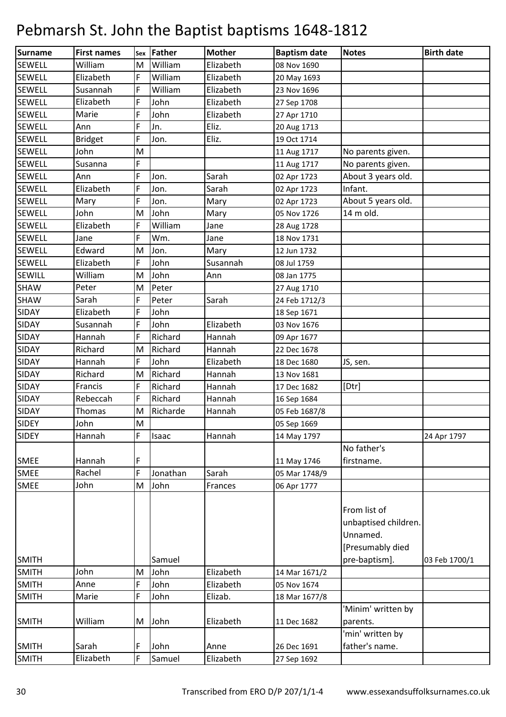| Surname       | <b>First names</b> |   | sex Father | <b>Mother</b> | <b>Baptism date</b> | <b>Notes</b>         | <b>Birth date</b> |
|---------------|--------------------|---|------------|---------------|---------------------|----------------------|-------------------|
| <b>SEWELL</b> | William            | M | William    | Elizabeth     | 08 Nov 1690         |                      |                   |
| <b>SEWELL</b> | Elizabeth          | F | William    | Elizabeth     | 20 May 1693         |                      |                   |
| <b>SEWELL</b> | Susannah           | F | William    | Elizabeth     | 23 Nov 1696         |                      |                   |
| <b>SEWELL</b> | Elizabeth          | F | John       | Elizabeth     | 27 Sep 1708         |                      |                   |
| <b>SEWELL</b> | Marie              | F | John       | Elizabeth     | 27 Apr 1710         |                      |                   |
| <b>SEWELL</b> | Ann                | F | Jn.        | Eliz.         | 20 Aug 1713         |                      |                   |
| <b>SEWELL</b> | <b>Bridget</b>     | F | Jon.       | Eliz.         | 19 Oct 1714         |                      |                   |
| <b>SEWELL</b> | John               | M |            |               | 11 Aug 1717         | No parents given.    |                   |
| <b>SEWELL</b> | Susanna            | F |            |               | 11 Aug 1717         | No parents given.    |                   |
| <b>SEWELL</b> | Ann                | F | Jon.       | Sarah         | 02 Apr 1723         | About 3 years old.   |                   |
| <b>SEWELL</b> | Elizabeth          | F | Jon.       | Sarah         | 02 Apr 1723         | Infant.              |                   |
| <b>SEWELL</b> | Mary               | F | Jon.       | Mary          | 02 Apr 1723         | About 5 years old.   |                   |
| <b>SEWELL</b> | John               | M | John       | Mary          | 05 Nov 1726         | 14 m old.            |                   |
| <b>SEWELL</b> | Elizabeth          | F | William    | Jane          | 28 Aug 1728         |                      |                   |
| <b>SEWELL</b> | Jane               | F | Wm.        | Jane          | 18 Nov 1731         |                      |                   |
| <b>SEWELL</b> | Edward             | M | Jon.       | Mary          | 12 Jun 1732         |                      |                   |
| <b>SEWELL</b> | Elizabeth          | F | John       | Susannah      | 08 Jul 1759         |                      |                   |
| <b>SEWILL</b> | William            | M | John       | Ann           | 08 Jan 1775         |                      |                   |
| <b>SHAW</b>   | Peter              | M | Peter      |               | 27 Aug 1710         |                      |                   |
| <b>SHAW</b>   | Sarah              | F | Peter      | Sarah         | 24 Feb 1712/3       |                      |                   |
| <b>SIDAY</b>  | Elizabeth          | F | John       |               | 18 Sep 1671         |                      |                   |
| <b>SIDAY</b>  | Susannah           | F | John       | Elizabeth     | 03 Nov 1676         |                      |                   |
| <b>SIDAY</b>  | Hannah             | F | Richard    | Hannah        | 09 Apr 1677         |                      |                   |
| <b>SIDAY</b>  | Richard            | M | Richard    | Hannah        | 22 Dec 1678         |                      |                   |
| <b>SIDAY</b>  | Hannah             | F | John       | Elizabeth     | 18 Dec 1680         | JS, sen.             |                   |
| <b>SIDAY</b>  | Richard            | M | Richard    | Hannah        | 13 Nov 1681         |                      |                   |
| <b>SIDAY</b>  | Francis            | F | Richard    | Hannah        | 17 Dec 1682         | [Dtr]                |                   |
| <b>SIDAY</b>  | Rebeccah           | F | Richard    | Hannah        | 16 Sep 1684         |                      |                   |
| <b>SIDAY</b>  | Thomas             | M | Richarde   | Hannah        | 05 Feb 1687/8       |                      |                   |
| <b>SIDEY</b>  | John               | M |            |               | 05 Sep 1669         |                      |                   |
| <b>SIDEY</b>  | Hannah             | F | Isaac      | Hannah        | 14 May 1797         |                      | 24 Apr 1797       |
|               |                    |   |            |               |                     | No father's          |                   |
| <b>SMEE</b>   | Hannah             | F |            |               | 11 May 1746         | firstname.           |                   |
| <b>SMEE</b>   | Rachel             | F | Jonathan   | Sarah         | 05 Mar 1748/9       |                      |                   |
| <b>SMEE</b>   | John               | M | John       | Frances       | 06 Apr 1777         |                      |                   |
|               |                    |   |            |               |                     |                      |                   |
|               |                    |   |            |               |                     | From list of         |                   |
|               |                    |   |            |               |                     | unbaptised children. |                   |
|               |                    |   |            |               |                     | Unnamed.             |                   |
|               |                    |   |            |               |                     | [Presumably died     |                   |
| <b>SMITH</b>  |                    |   | Samuel     |               |                     | pre-baptism].        | 03 Feb 1700/1     |
| <b>SMITH</b>  | John               | M | John       | Elizabeth     | 14 Mar 1671/2       |                      |                   |
| <b>SMITH</b>  | Anne               | F | John       | Elizabeth     | 05 Nov 1674         |                      |                   |
| <b>SMITH</b>  | Marie              | F | John       | Elizab.       | 18 Mar 1677/8       |                      |                   |
|               |                    |   |            |               |                     | 'Minim' written by   |                   |
| <b>SMITH</b>  | William            | M | John       | Elizabeth     | 11 Dec 1682         | parents.             |                   |
|               |                    |   |            |               |                     | 'min' written by     |                   |
| <b>SMITH</b>  | Sarah              | F | John       | Anne          | 26 Dec 1691         | father's name.       |                   |
| <b>SMITH</b>  | Elizabeth          | F | Samuel     | Elizabeth     | 27 Sep 1692         |                      |                   |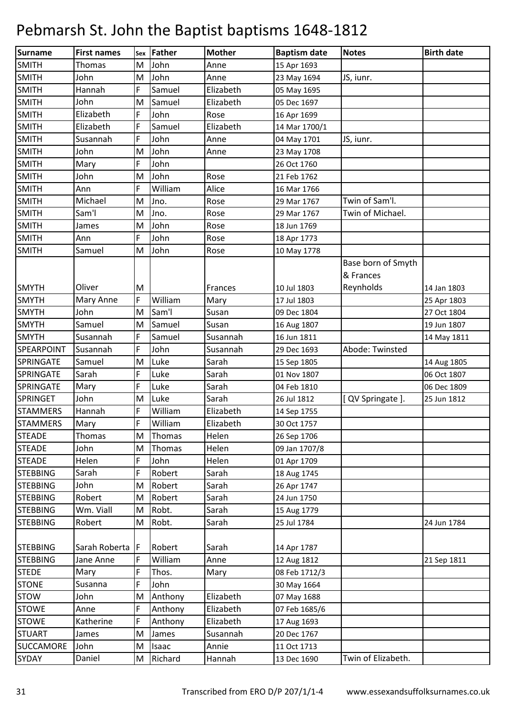| Surname           | <b>First names</b> |    | Sex Father | <b>Mother</b> | <b>Baptism date</b> | <b>Notes</b>       | <b>Birth date</b> |
|-------------------|--------------------|----|------------|---------------|---------------------|--------------------|-------------------|
| <b>SMITH</b>      | Thomas             | M  | John       | Anne          | 15 Apr 1693         |                    |                   |
| <b>SMITH</b>      | John               | M  | John       | Anne          | 23 May 1694         | JS, iunr.          |                   |
| <b>SMITH</b>      | Hannah             | F  | Samuel     | Elizabeth     | 05 May 1695         |                    |                   |
| <b>SMITH</b>      | John               | M  | Samuel     | Elizabeth     | 05 Dec 1697         |                    |                   |
| <b>SMITH</b>      | Elizabeth          | F  | John       | Rose          | 16 Apr 1699         |                    |                   |
| <b>SMITH</b>      | Elizabeth          | F  | Samuel     | Elizabeth     | 14 Mar 1700/1       |                    |                   |
| <b>SMITH</b>      | Susannah           | F  | John       | Anne          | 04 May 1701         | JS, iunr.          |                   |
| <b>SMITH</b>      | John               | M  | John       | Anne          | 23 May 1708         |                    |                   |
| <b>SMITH</b>      | Mary               | F  | John       |               | 26 Oct 1760         |                    |                   |
| <b>SMITH</b>      | John               | M  | John       | Rose          | 21 Feb 1762         |                    |                   |
| <b>SMITH</b>      | Ann                | F  | William    | Alice         | 16 Mar 1766         |                    |                   |
| <b>SMITH</b>      | Michael            | M  | Jno.       | Rose          | 29 Mar 1767         | Twin of Sam'l.     |                   |
| <b>SMITH</b>      | Sam'l              | M  | Jno.       | Rose          | 29 Mar 1767         | Twin of Michael.   |                   |
| <b>SMITH</b>      | James              | M  | John       | Rose          | 18 Jun 1769         |                    |                   |
| <b>SMITH</b>      | Ann                | F  | John       | Rose          | 18 Apr 1773         |                    |                   |
| <b>SMITH</b>      | Samuel             | M  | John       | Rose          | 10 May 1778         |                    |                   |
|                   |                    |    |            |               |                     | Base born of Smyth |                   |
|                   |                    |    |            |               |                     | & Frances          |                   |
| <b>SMYTH</b>      | Oliver             | M  |            | Frances       | 10 Jul 1803         | Reynholds          | 14 Jan 1803       |
| <b>SMYTH</b>      | Mary Anne          | F  | William    | Mary          | 17 Jul 1803         |                    | 25 Apr 1803       |
| <b>SMYTH</b>      | John               | M  | Sam'l      | Susan         | 09 Dec 1804         |                    | 27 Oct 1804       |
| <b>SMYTH</b>      | Samuel             | M  | Samuel     | Susan         | 16 Aug 1807         |                    | 19 Jun 1807       |
| <b>SMYTH</b>      | Susannah           | F  | Samuel     | Susannah      | 16 Jun 1811         |                    | 14 May 1811       |
| <b>SPEARPOINT</b> | Susannah           | F  | John       | Susannah      | 29 Dec 1693         | Abode: Twinsted    |                   |
| <b>SPRINGATE</b>  | Samuel             | M  | Luke       | Sarah         | 15 Sep 1805         |                    | 14 Aug 1805       |
| <b>SPRINGATE</b>  | Sarah              | F  | Luke       | Sarah         | 01 Nov 1807         |                    | 06 Oct 1807       |
| <b>SPRINGATE</b>  | Mary               | F  | Luke       | Sarah         | 04 Feb 1810         |                    | 06 Dec 1809       |
| SPRINGET          | John               | M  | Luke       | Sarah         | 26 Jul 1812         | [ QV Springate ].  | 25 Jun 1812       |
| <b>STAMMERS</b>   | Hannah             | F  | William    | Elizabeth     | 14 Sep 1755         |                    |                   |
| <b>STAMMERS</b>   | Mary               | F  | William    | Elizabeth     | 30 Oct 1757         |                    |                   |
| <b>STEADE</b>     | Thomas             | M  | Thomas     | Helen         | 26 Sep 1706         |                    |                   |
| <b>STEADE</b>     | John               | M  | Thomas     | Helen         | 09 Jan 1707/8       |                    |                   |
| <b>STEADE</b>     | Helen              | F  | John       | Helen         | 01 Apr 1709         |                    |                   |
| <b>STEBBING</b>   | Sarah              | F  | Robert     | Sarah         | 18 Aug 1745         |                    |                   |
| <b>STEBBING</b>   | John               | M  | Robert     | Sarah         | 26 Apr 1747         |                    |                   |
| <b>STEBBING</b>   | Robert             | M  | Robert     | Sarah         | 24 Jun 1750         |                    |                   |
| <b>STEBBING</b>   | Wm. Viall          | M  | Robt.      | Sarah         | 15 Aug 1779         |                    |                   |
| <b>STEBBING</b>   | Robert             | M  | Robt.      | Sarah         | 25 Jul 1784         |                    | 24 Jun 1784       |
|                   |                    |    |            |               |                     |                    |                   |
| <b>STEBBING</b>   | Sarah Roberta      | IF | Robert     | Sarah         | 14 Apr 1787         |                    |                   |
| <b>STEBBING</b>   | Jane Anne          | F  | William    | Anne          | 12 Aug 1812         |                    | 21 Sep 1811       |
| <b>STEDE</b>      | Mary               | F  | Thos.      | Mary          | 08 Feb 1712/3       |                    |                   |
| <b>STONE</b>      | Susanna            | F  | John       |               | 30 May 1664         |                    |                   |
| <b>STOW</b>       | John               | M  | Anthony    | Elizabeth     | 07 May 1688         |                    |                   |
| <b>STOWE</b>      | Anne               | F  | Anthony    | Elizabeth     | 07 Feb 1685/6       |                    |                   |
| <b>STOWE</b>      | Katherine          | F  | Anthony    | Elizabeth     | 17 Aug 1693         |                    |                   |
| <b>STUART</b>     | James              | M  | James      | Susannah      | 20 Dec 1767         |                    |                   |
| <b>SUCCAMORE</b>  | John               | M  | Isaac      | Annie         | 11 Oct 1713         |                    |                   |
| <b>SYDAY</b>      | Daniel             | M  | Richard    | Hannah        | 13 Dec 1690         | Twin of Elizabeth. |                   |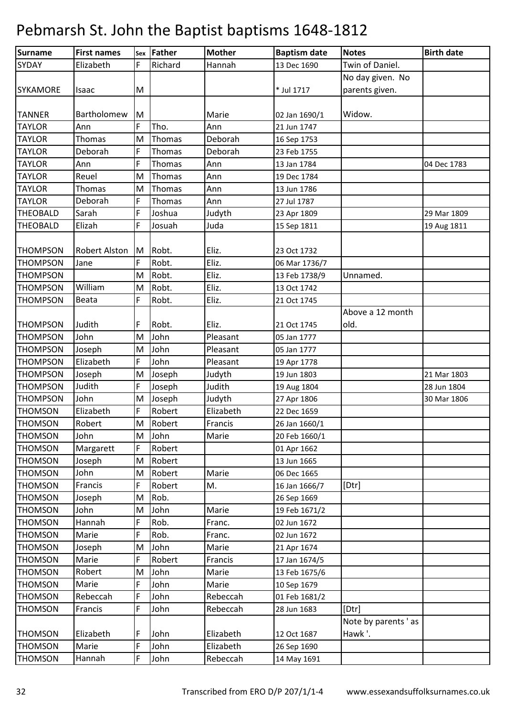| Surname         | <b>First names</b> |    | sex Father | <b>Mother</b> | <b>Baptism date</b> | <b>Notes</b>        | <b>Birth date</b> |
|-----------------|--------------------|----|------------|---------------|---------------------|---------------------|-------------------|
| <b>SYDAY</b>    | Elizabeth          | F  | Richard    | Hannah        | 13 Dec 1690         | Twin of Daniel.     |                   |
|                 |                    |    |            |               |                     | No day given. No    |                   |
| <b>SYKAMORE</b> | Isaac              | M  |            |               | * Jul 1717          | parents given.      |                   |
|                 |                    |    |            |               |                     |                     |                   |
| <b>TANNER</b>   | Bartholomew        | ΙM |            | Marie         | 02 Jan 1690/1       | Widow.              |                   |
| <b>TAYLOR</b>   | Ann                | F  | Tho.       | Ann           | 21 Jun 1747         |                     |                   |
| <b>TAYLOR</b>   | Thomas             | M  | Thomas     | Deborah       | 16 Sep 1753         |                     |                   |
| <b>TAYLOR</b>   | Deborah            | F  | Thomas     | Deborah       | 23 Feb 1755         |                     |                   |
| <b>TAYLOR</b>   | Ann                | F  | Thomas     | Ann           | 13 Jan 1784         |                     | 04 Dec 1783       |
| <b>TAYLOR</b>   | Reuel              | M  | Thomas     | Ann           | 19 Dec 1784         |                     |                   |
| <b>TAYLOR</b>   | Thomas             | M  | Thomas     | Ann           | 13 Jun 1786         |                     |                   |
| <b>TAYLOR</b>   | Deborah            | F  | Thomas     | Ann           | 27 Jul 1787         |                     |                   |
| <b>THEOBALD</b> | Sarah              | F  | Joshua     | Judyth        | 23 Apr 1809         |                     | 29 Mar 1809       |
| <b>THEOBALD</b> | Elizah             | F  | Josuah     | Juda          | 15 Sep 1811         |                     | 19 Aug 1811       |
|                 |                    |    |            |               |                     |                     |                   |
| <b>THOMPSON</b> | Robert Alston      | M  | Robt.      | Eliz.         | 23 Oct 1732         |                     |                   |
| <b>THOMPSON</b> | Jane               |    | Robt.      | Eliz.         | 06 Mar 1736/7       |                     |                   |
| <b>THOMPSON</b> |                    | M  | Robt.      | Eliz.         | 13 Feb 1738/9       | Unnamed.            |                   |
| <b>THOMPSON</b> | William            | M  | Robt.      | Eliz.         | 13 Oct 1742         |                     |                   |
| <b>THOMPSON</b> | Beata              | F  | Robt.      | Eliz.         | 21 Oct 1745         |                     |                   |
|                 |                    |    |            |               |                     | Above a 12 month    |                   |
| <b>THOMPSON</b> | Judith             | F  | Robt.      | Eliz.         | 21 Oct 1745         | old.                |                   |
| <b>THOMPSON</b> | John               | M  | John       | Pleasant      | 05 Jan 1777         |                     |                   |
| <b>THOMPSON</b> | Joseph             | M  | John       | Pleasant      | 05 Jan 1777         |                     |                   |
| <b>THOMPSON</b> | Elizabeth          | F  | John       | Pleasant      | 19 Apr 1778         |                     |                   |
| <b>THOMPSON</b> | Joseph             | M  | Joseph     | Judyth        | 19 Jun 1803         |                     | 21 Mar 1803       |
| <b>THOMPSON</b> | Judith             | F  | Joseph     | Judith        | 19 Aug 1804         |                     | 28 Jun 1804       |
| <b>THOMPSON</b> | John               | M  | Joseph     | Judyth        | 27 Apr 1806         |                     | 30 Mar 1806       |
| <b>THOMSON</b>  | Elizabeth          | F  | Robert     | Elizabeth     | 22 Dec 1659         |                     |                   |
| <b>THOMSON</b>  | Robert             | M  | Robert     | Francis       | 26 Jan 1660/1       |                     |                   |
| <b>THOMSON</b>  | John               | M  | John       | Marie         | 20 Feb 1660/1       |                     |                   |
| <b>THOMSON</b>  | Margarett          | F  | Robert     |               | 01 Apr 1662         |                     |                   |
| <b>THOMSON</b>  | Joseph             | M  | Robert     |               | 13 Jun 1665         |                     |                   |
| <b>THOMSON</b>  | John               | M  | Robert     | Marie         | 06 Dec 1665         |                     |                   |
| <b>THOMSON</b>  | Francis            | F  | Robert     | M.            | 16 Jan 1666/7       | [Dtr]               |                   |
| <b>THOMSON</b>  | Joseph             | M  | Rob.       |               | 26 Sep 1669         |                     |                   |
| <b>THOMSON</b>  | John               | M  | John       | Marie         | 19 Feb 1671/2       |                     |                   |
| <b>THOMSON</b>  | Hannah             | F  | Rob.       | Franc.        | 02 Jun 1672         |                     |                   |
| <b>THOMSON</b>  | Marie              | F  | Rob.       | Franc.        | 02 Jun 1672         |                     |                   |
| <b>THOMSON</b>  | Joseph             | M  | John       | Marie         | 21 Apr 1674         |                     |                   |
| <b>THOMSON</b>  | Marie              | F  | Robert     | Francis       | 17 Jan 1674/5       |                     |                   |
| <b>THOMSON</b>  | Robert             | M  | John       | Marie         | 13 Feb 1675/6       |                     |                   |
| <b>THOMSON</b>  | Marie              | F  | John       | Marie         | 10 Sep 1679         |                     |                   |
| <b>THOMSON</b>  | Rebeccah           | F  | John       | Rebeccah      | 01 Feb 1681/2       |                     |                   |
| <b>THOMSON</b>  | Francis            | F  | John       | Rebeccah      | 28 Jun 1683         | [Dtr]               |                   |
|                 |                    |    |            |               |                     | Note by parents 'as |                   |
| <b>THOMSON</b>  | Elizabeth          | F  | John       | Elizabeth     | 12 Oct 1687         | Hawk'.              |                   |
| <b>THOMSON</b>  | Marie              | F  | John       | Elizabeth     | 26 Sep 1690         |                     |                   |
| <b>THOMSON</b>  | Hannah             | F  | John       | Rebeccah      | 14 May 1691         |                     |                   |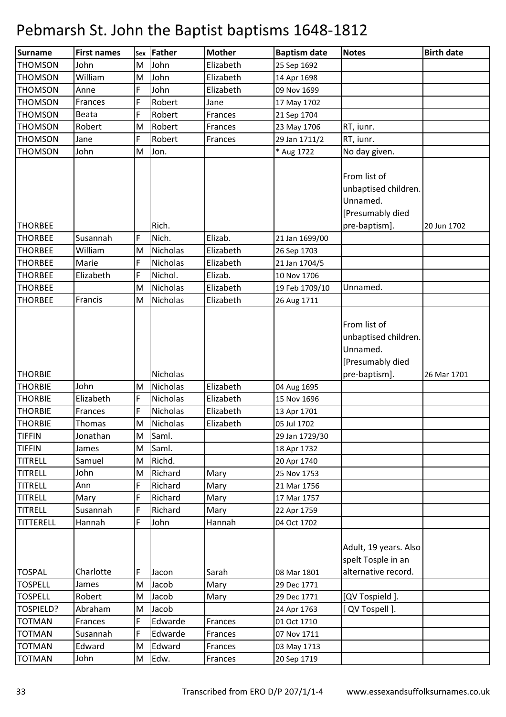| Surname          | <b>First names</b> |   | sex Father      | <b>Mother</b> | <b>Baptism date</b> | <b>Notes</b>          | <b>Birth date</b> |
|------------------|--------------------|---|-----------------|---------------|---------------------|-----------------------|-------------------|
| <b>THOMSON</b>   | John               | M | John            | Elizabeth     | 25 Sep 1692         |                       |                   |
| <b>THOMSON</b>   | William            | M | John            | Elizabeth     | 14 Apr 1698         |                       |                   |
| <b>THOMSON</b>   | Anne               | F | John            | Elizabeth     | 09 Nov 1699         |                       |                   |
| <b>THOMSON</b>   | Frances            | F | Robert          | Jane          | 17 May 1702         |                       |                   |
| <b>THOMSON</b>   | Beata              | F | Robert          | Frances       | 21 Sep 1704         |                       |                   |
| <b>THOMSON</b>   | Robert             | M | Robert          | Frances       | 23 May 1706         | RT, iunr.             |                   |
| <b>THOMSON</b>   | Jane               | F | Robert          | Frances       | 29 Jan 1711/2       | RT, iunr.             |                   |
| <b>THOMSON</b>   | John               | M | Jon.            |               | * Aug 1722          | No day given.         |                   |
|                  |                    |   |                 |               |                     |                       |                   |
|                  |                    |   |                 |               |                     | From list of          |                   |
|                  |                    |   |                 |               |                     | unbaptised children.  |                   |
|                  |                    |   |                 |               |                     | Unnamed.              |                   |
|                  |                    |   |                 |               |                     | [Presumably died      |                   |
| <b>THORBEE</b>   |                    |   | Rich.           |               |                     | pre-baptism].         | 20 Jun 1702       |
| <b>THORBEE</b>   | Susannah           | F | Nich.           | Elizab.       | 21 Jan 1699/00      |                       |                   |
| <b>THORBEE</b>   | William            | M | Nicholas        | Elizabeth     | 26 Sep 1703         |                       |                   |
| <b>THORBEE</b>   | Marie              | F | Nicholas        | Elizabeth     | 21 Jan 1704/5       |                       |                   |
| <b>THORBEE</b>   | Elizabeth          | F | Nichol.         | Elizab.       | 10 Nov 1706         |                       |                   |
| <b>THORBEE</b>   |                    | M | <b>Nicholas</b> | Elizabeth     | 19 Feb 1709/10      | Unnamed.              |                   |
| <b>THORBEE</b>   | Francis            | M | Nicholas        | Elizabeth     | 26 Aug 1711         |                       |                   |
|                  |                    |   |                 |               |                     |                       |                   |
|                  |                    |   |                 |               |                     | From list of          |                   |
|                  |                    |   |                 |               |                     | unbaptised children.  |                   |
|                  |                    |   |                 |               |                     | Unnamed.              |                   |
|                  |                    |   |                 |               |                     | [Presumably died      |                   |
| <b>THORBIE</b>   |                    |   | Nicholas        |               |                     | pre-baptism].         | 26 Mar 1701       |
| <b>THORBIE</b>   | John               | M | <b>Nicholas</b> | Elizabeth     | 04 Aug 1695         |                       |                   |
| <b>THORBIE</b>   | Elizabeth          | F | <b>Nicholas</b> | Elizabeth     | 15 Nov 1696         |                       |                   |
| <b>THORBIE</b>   | Frances            | F | <b>Nicholas</b> | Elizabeth     | 13 Apr 1701         |                       |                   |
| <b>THORBIE</b>   | Thomas             | M | Nicholas        | Elizabeth     | 05 Jul 1702         |                       |                   |
| <b>TIFFIN</b>    | Jonathan           | M | Saml.           |               | 29 Jan 1729/30      |                       |                   |
| <b>TIFFIN</b>    | James              | M | Saml.           |               | 18 Apr 1732         |                       |                   |
| <b>TITRELL</b>   | Samuel             | M | Richd.          |               | 20 Apr 1740         |                       |                   |
| <b>TITRELL</b>   | John               | M | Richard         | Mary          | 25 Nov 1753         |                       |                   |
| <b>TITRELL</b>   | Ann                | F | Richard         | Mary          | 21 Mar 1756         |                       |                   |
| <b>TITRELL</b>   | Mary               | F | Richard         | Mary          | 17 Mar 1757         |                       |                   |
| <b>TITRELL</b>   | Susannah           | F | Richard         | Mary          | 22 Apr 1759         |                       |                   |
| <b>TITTERELL</b> | Hannah             | F | John            | Hannah        | 04 Oct 1702         |                       |                   |
|                  |                    |   |                 |               |                     |                       |                   |
|                  |                    |   |                 |               |                     | Adult, 19 years. Also |                   |
|                  |                    |   |                 |               |                     | spelt Tosple in an    |                   |
| <b>TOSPAL</b>    | Charlotte          | F | Jacon           | Sarah         | 08 Mar 1801         | alternative record.   |                   |
| <b>TOSPELL</b>   | James              | M | Jacob           | Mary          | 29 Dec 1771         |                       |                   |
| <b>TOSPELL</b>   | Robert             | M | Jacob           | Mary          | 29 Dec 1771         | [QV Tospield ].       |                   |
| TOSPIELD?        | Abraham            | M | Jacob           |               | 24 Apr 1763         | [ QV Tospell ].       |                   |
| <b>TOTMAN</b>    | Frances            | F | Edwarde         | Frances       | 01 Oct 1710         |                       |                   |
| <b>TOTMAN</b>    | Susannah           | F | Edwarde         | Frances       | 07 Nov 1711         |                       |                   |
| <b>TOTMAN</b>    | Edward             | M | Edward          | Frances       | 03 May 1713         |                       |                   |
| <b>TOTMAN</b>    | John               | M | Edw.            | Frances       | 20 Sep 1719         |                       |                   |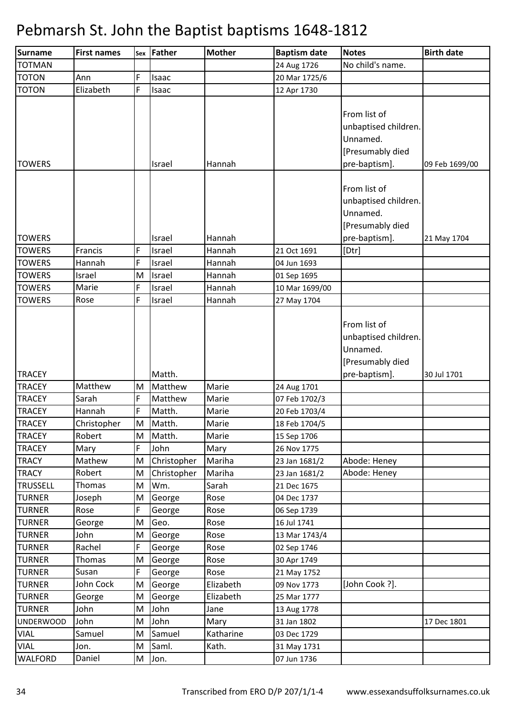| <b>Surname</b>                 | <b>First names</b> | Sex    | <b>Father</b>    | <b>Mother</b> | <b>Baptism date</b>        | <b>Notes</b>                                                                          | <b>Birth date</b> |
|--------------------------------|--------------------|--------|------------------|---------------|----------------------------|---------------------------------------------------------------------------------------|-------------------|
| <b>TOTMAN</b>                  |                    |        |                  |               | 24 Aug 1726                | No child's name.                                                                      |                   |
| <b>TOTON</b>                   | Ann                | F      | Isaac            |               | 20 Mar 1725/6              |                                                                                       |                   |
| <b>TOTON</b>                   | Elizabeth          | F      | Isaac            |               | 12 Apr 1730                |                                                                                       |                   |
| <b>TOWERS</b>                  |                    |        | Israel           | Hannah        |                            | From list of<br>unbaptised children.<br>Unnamed.<br>[Presumably died<br>pre-baptism]. | 09 Feb 1699/00    |
| <b>TOWERS</b>                  |                    |        | Israel           | Hannah        |                            | From list of<br>unbaptised children.<br>Unnamed.<br>[Presumably died<br>pre-baptism]. | 21 May 1704       |
| <b>TOWERS</b>                  | Francis            | F      | Israel           | Hannah        | 21 Oct 1691                | [Dtr]                                                                                 |                   |
| <b>TOWERS</b>                  | Hannah             | F      | Israel           | Hannah        | 04 Jun 1693                |                                                                                       |                   |
| <b>TOWERS</b>                  | Israel             | M      | Israel           | Hannah        | 01 Sep 1695                |                                                                                       |                   |
| <b>TOWERS</b>                  | Marie              | F      | Israel           | Hannah        | 10 Mar 1699/00             |                                                                                       |                   |
| <b>TOWERS</b>                  | Rose               | F      | Israel           | Hannah        | 27 May 1704                |                                                                                       |                   |
|                                |                    |        |                  |               |                            | From list of<br>unbaptised children.<br>Unnamed.<br>[Presumably died                  |                   |
| <b>TRACEY</b>                  |                    |        | Matth.           |               |                            | pre-baptism].                                                                         | 30 Jul 1701       |
| <b>TRACEY</b>                  | Matthew            | M      | Matthew          | Marie         | 24 Aug 1701                |                                                                                       |                   |
| <b>TRACEY</b>                  | Sarah              | F      | Matthew          | Marie         | 07 Feb 1702/3              |                                                                                       |                   |
| <b>TRACEY</b>                  | Hannah             | F      | Matth.           | Marie         | 20 Feb 1703/4              |                                                                                       |                   |
| <b>TRACEY</b>                  | Christopher        | M      | Matth.           | Marie         | 18 Feb 1704/5              |                                                                                       |                   |
| <b>TRACEY</b>                  | Robert             | M      | Matth.           | Marie         | 15 Sep 1706                |                                                                                       |                   |
| <b>TRACEY</b>                  | Mary               | F      | John             | Mary          | 26 Nov 1775                |                                                                                       |                   |
| <b>TRACY</b>                   | Mathew             | M      | Christopher      | Mariha        | 23 Jan 1681/2              | Abode: Heney                                                                          |                   |
| <b>TRACY</b>                   | Robert             | M      | Christopher      | Mariha        | 23 Jan 1681/2              | Abode: Heney                                                                          |                   |
| <b>TRUSSELL</b>                | Thomas             | M      | Wm.              | Sarah         | 21 Dec 1675                |                                                                                       |                   |
| <b>TURNER</b>                  | Joseph             | M      | George           | Rose          | 04 Dec 1737                |                                                                                       |                   |
| <b>TURNER</b>                  | Rose               | F      | George           | Rose          | 06 Sep 1739                |                                                                                       |                   |
| <b>TURNER</b>                  | George             | M      | Geo.             | Rose          | 16 Jul 1741                |                                                                                       |                   |
| <b>TURNER</b>                  | John               | M<br>F | George           | Rose          | 13 Mar 1743/4              |                                                                                       |                   |
| <b>TURNER</b><br><b>TURNER</b> | Rachel<br>Thomas   | M      | George<br>George | Rose<br>Rose  | 02 Sep 1746<br>30 Apr 1749 |                                                                                       |                   |
| <b>TURNER</b>                  | Susan              | F      | George           | Rose          | 21 May 1752                |                                                                                       |                   |
| <b>TURNER</b>                  | John Cock          | M      | George           | Elizabeth     | 09 Nov 1773                | [John Cook ?].                                                                        |                   |
| <b>TURNER</b>                  | George             | M      | George           | Elizabeth     | 25 Mar 1777                |                                                                                       |                   |
| <b>TURNER</b>                  | John               | M      | John             | Jane          | 13 Aug 1778                |                                                                                       |                   |
| <b>UNDERWOOD</b>               | John               | M      | John             | Mary          | 31 Jan 1802                |                                                                                       | 17 Dec 1801       |
| <b>VIAL</b>                    | Samuel             | M      | Samuel           | Katharine     | 03 Dec 1729                |                                                                                       |                   |
| <b>VIAL</b>                    | Jon.               | M      | Saml.            | Kath.         | 31 May 1731                |                                                                                       |                   |
| <b>WALFORD</b>                 | Daniel             | M      | Jon.             |               | 07 Jun 1736                |                                                                                       |                   |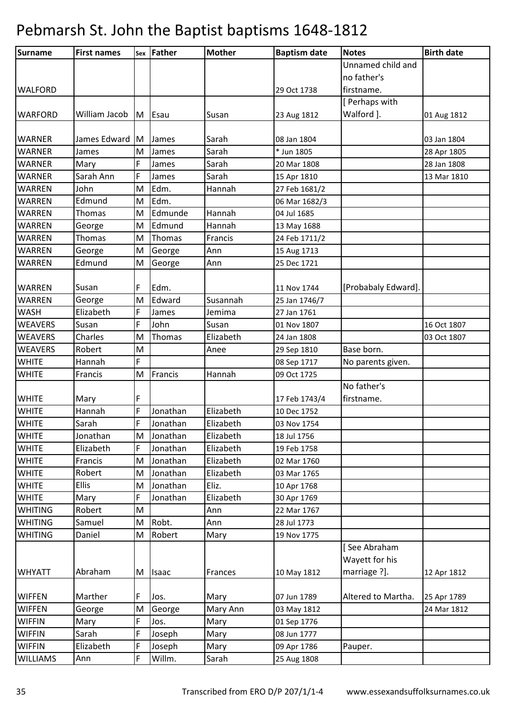| Surname         | <b>First names</b> |     | <b>Sex Father</b> | <b>Mother</b> | <b>Baptism date</b> | <b>Notes</b>        | <b>Birth date</b> |
|-----------------|--------------------|-----|-------------------|---------------|---------------------|---------------------|-------------------|
|                 |                    |     |                   |               |                     | Unnamed child and   |                   |
|                 |                    |     |                   |               |                     | no father's         |                   |
| <b>WALFORD</b>  |                    |     |                   |               | 29 Oct 1738         | firstname.          |                   |
|                 |                    |     |                   |               |                     | [Perhaps with       |                   |
| <b>WARFORD</b>  | William Jacob      |     | M Esau            | Susan         | 23 Aug 1812         | Walford ].          | 01 Aug 1812       |
|                 |                    |     |                   |               |                     |                     |                   |
| <b>WARNER</b>   | James Edward       | IM. | James             | Sarah         | 08 Jan 1804         |                     | 03 Jan 1804       |
| <b>WARNER</b>   | James              | M   | James             | Sarah         | * Jun 1805          |                     | 28 Apr 1805       |
| <b>WARNER</b>   | Mary               | F   | James             | Sarah         | 20 Mar 1808         |                     | 28 Jan 1808       |
| <b>WARNER</b>   | Sarah Ann          | F   | James             | Sarah         | 15 Apr 1810         |                     | 13 Mar 1810       |
| <b>WARREN</b>   | John               | M   | Edm.              | Hannah        | 27 Feb 1681/2       |                     |                   |
| WARREN          | Edmund             | M   | Edm.              |               | 06 Mar 1682/3       |                     |                   |
| <b>WARREN</b>   | Thomas             | M   | Edmunde           | Hannah        | 04 Jul 1685         |                     |                   |
| <b>WARREN</b>   | George             | M   | Edmund            | Hannah        | 13 May 1688         |                     |                   |
| <b>WARREN</b>   | Thomas             | M   | Thomas            | Francis       | 24 Feb 1711/2       |                     |                   |
| <b>WARREN</b>   | George             | M   | George            | Ann           | 15 Aug 1713         |                     |                   |
| <b>WARREN</b>   | Edmund             | M   | George            | Ann           | 25 Dec 1721         |                     |                   |
|                 |                    |     |                   |               |                     |                     |                   |
| <b>WARREN</b>   | Susan              | F   | Edm.              |               | 11 Nov 1744         | [Probabaly Edward]. |                   |
| <b>WARREN</b>   | George             | M   | Edward            | Susannah      | 25 Jan 1746/7       |                     |                   |
| <b>WASH</b>     | Elizabeth          | F   | James             | Jemima        | 27 Jan 1761         |                     |                   |
| <b>WEAVERS</b>  | Susan              | F   | John              | Susan         | 01 Nov 1807         |                     | 16 Oct 1807       |
| <b>WEAVERS</b>  | Charles            | M   | Thomas            | Elizabeth     | 24 Jan 1808         |                     | 03 Oct 1807       |
| <b>WEAVERS</b>  | Robert             | M   |                   | Anee          | 29 Sep 1810         | Base born.          |                   |
| <b>WHITE</b>    | Hannah             | F   |                   |               | 08 Sep 1717         | No parents given.   |                   |
| <b>WHITE</b>    | Francis            | M   | Francis           | Hannah        | 09 Oct 1725         |                     |                   |
|                 |                    |     |                   |               |                     | No father's         |                   |
| <b>WHITE</b>    | Mary               | F   |                   |               | 17 Feb 1743/4       | firstname.          |                   |
| <b>WHITE</b>    | Hannah             | F   | Jonathan          | Elizabeth     | 10 Dec 1752         |                     |                   |
| <b>WHITE</b>    | Sarah              | F   | Jonathan          | Elizabeth     | 03 Nov 1754         |                     |                   |
| <b>WHITE</b>    | Jonathan           |     | M Jonathan        | Elizabeth     | 18 Jul 1756         |                     |                   |
| <b>WHITE</b>    | Elizabeth          | F   | Jonathan          | Elizabeth     | 19 Feb 1758         |                     |                   |
| <b>WHITE</b>    | Francis            | M   | Jonathan          | Elizabeth     | 02 Mar 1760         |                     |                   |
| <b>WHITE</b>    | Robert             | M   | Jonathan          | Elizabeth     | 03 Mar 1765         |                     |                   |
| <b>WHITE</b>    | Ellis              | M   | Jonathan          | Eliz.         | 10 Apr 1768         |                     |                   |
| <b>WHITE</b>    | Mary               | F   | Jonathan          | Elizabeth     | 30 Apr 1769         |                     |                   |
| <b>WHITING</b>  | Robert             | M   |                   | Ann           | 22 Mar 1767         |                     |                   |
| <b>WHITING</b>  | Samuel             | M   | Robt.             | Ann           | 28 Jul 1773         |                     |                   |
| <b>WHITING</b>  | Daniel             | M   | Robert            | Mary          | 19 Nov 1775         |                     |                   |
|                 |                    |     |                   |               |                     | [See Abraham        |                   |
|                 |                    |     |                   |               |                     | Wayett for his      |                   |
| <b>WHYATT</b>   | Abraham            | M   | <b>Isaac</b>      | Frances       | 10 May 1812         | marriage ?].        | 12 Apr 1812       |
|                 |                    |     |                   |               |                     |                     |                   |
| <b>WIFFEN</b>   | Marther            | F   | Jos.              | Mary          | 07 Jun 1789         | Altered to Martha.  | 25 Apr 1789       |
| <b>WIFFEN</b>   | George             | M   | George            | Mary Ann      | 03 May 1812         |                     | 24 Mar 1812       |
| <b>WIFFIN</b>   | Mary               | F   | Jos.              | Mary          | 01 Sep 1776         |                     |                   |
| <b>WIFFIN</b>   | Sarah              | F   | Joseph            | Mary          | 08 Jun 1777         |                     |                   |
| <b>WIFFIN</b>   | Elizabeth          | F   | Joseph            | Mary          | 09 Apr 1786         | Pauper.             |                   |
| <b>WILLIAMS</b> | Ann                | F   | Willm.            | Sarah         | 25 Aug 1808         |                     |                   |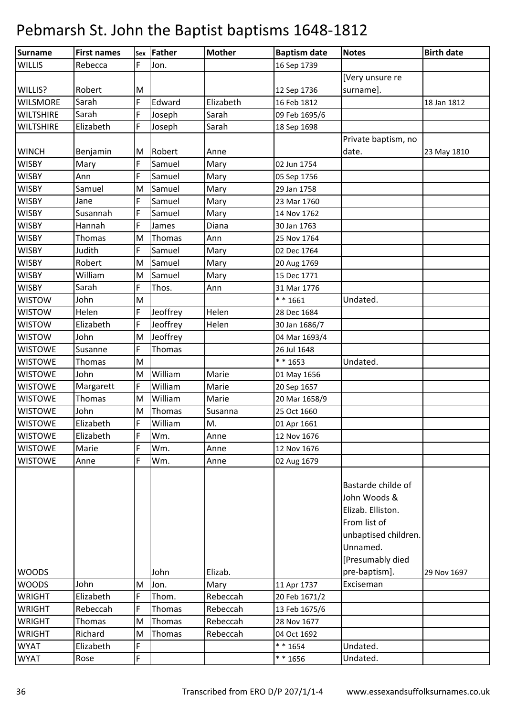| Surname          | <b>First names</b> |   | sex Father | <b>Mother</b> | <b>Baptism date</b> | <b>Notes</b>         | <b>Birth date</b> |
|------------------|--------------------|---|------------|---------------|---------------------|----------------------|-------------------|
| <b>WILLIS</b>    | Rebecca            | F | Jon.       |               | 16 Sep 1739         |                      |                   |
|                  |                    |   |            |               |                     | [Very unsure re      |                   |
| WILLIS?          | Robert             | M |            |               | 12 Sep 1736         | surname].            |                   |
| <b>WILSMORE</b>  | Sarah              | F | Edward     | Elizabeth     | 16 Feb 1812         |                      | 18 Jan 1812       |
| <b>WILTSHIRE</b> | Sarah              | F | Joseph     | Sarah         | 09 Feb 1695/6       |                      |                   |
| <b>WILTSHIRE</b> | Elizabeth          | F | Joseph     | Sarah         | 18 Sep 1698         |                      |                   |
|                  |                    |   |            |               |                     | Private baptism, no  |                   |
| <b>WINCH</b>     | Benjamin           | M | Robert     | Anne          |                     | date.                | 23 May 1810       |
| <b>WISBY</b>     | Mary               | F | Samuel     | Mary          | 02 Jun 1754         |                      |                   |
| <b>WISBY</b>     | Ann                | F | Samuel     | Mary          | 05 Sep 1756         |                      |                   |
| WISBY            | Samuel             | M | Samuel     | Mary          | 29 Jan 1758         |                      |                   |
| <b>WISBY</b>     | Jane               | F | Samuel     | Mary          | 23 Mar 1760         |                      |                   |
| <b>WISBY</b>     | Susannah           | F | Samuel     | Mary          | 14 Nov 1762         |                      |                   |
| <b>WISBY</b>     | Hannah             | F | James      | Diana         | 30 Jan 1763         |                      |                   |
| <b>WISBY</b>     | Thomas             | M | Thomas     | Ann           | 25 Nov 1764         |                      |                   |
| <b>WISBY</b>     | Judith             | F | Samuel     | Mary          | 02 Dec 1764         |                      |                   |
| <b>WISBY</b>     | Robert             | M | Samuel     | Mary          | 20 Aug 1769         |                      |                   |
| WISBY            | William            | M | Samuel     | Mary          | 15 Dec 1771         |                      |                   |
| <b>WISBY</b>     | Sarah              | F | Thos.      | Ann           | 31 Mar 1776         |                      |                   |
| <b>WISTOW</b>    | John               | M |            |               | $* * 1661$          | Undated.             |                   |
| <b>WISTOW</b>    | Helen              | F | Jeoffrey   | Helen         | 28 Dec 1684         |                      |                   |
| <b>WISTOW</b>    | Elizabeth          | F | Jeoffrey   | Helen         | 30 Jan 1686/7       |                      |                   |
| <b>WISTOW</b>    | John               | M | Jeoffrey   |               | 04 Mar 1693/4       |                      |                   |
| <b>WISTOWE</b>   | Susanne            | F | Thomas     |               | 26 Jul 1648         |                      |                   |
| <b>WISTOWE</b>   | Thomas             | M |            |               | ** 1653             | Undated.             |                   |
| <b>WISTOWE</b>   | John               | M | William    | Marie         | 01 May 1656         |                      |                   |
| <b>WISTOWE</b>   | Margarett          | F | William    | Marie         | 20 Sep 1657         |                      |                   |
| <b>WISTOWE</b>   | Thomas             | M | William    | Marie         | 20 Mar 1658/9       |                      |                   |
| <b>WISTOWE</b>   | John               | M | Thomas     | Susanna       | 25 Oct 1660         |                      |                   |
| <b>WISTOWE</b>   | Elizabeth          | F | William    | M.            | 01 Apr 1661         |                      |                   |
| <b>WISTOWE</b>   | Elizabeth          | F | Wm.        | Anne          | 12 Nov 1676         |                      |                   |
| <b>WISTOWE</b>   | Marie              | F | Wm.        | Anne          | 12 Nov 1676         |                      |                   |
| <b>WISTOWE</b>   | Anne               | F | Wm.        | Anne          | 02 Aug 1679         |                      |                   |
|                  |                    |   |            |               |                     |                      |                   |
|                  |                    |   |            |               |                     | Bastarde childe of   |                   |
|                  |                    |   |            |               |                     | John Woods &         |                   |
|                  |                    |   |            |               |                     | Elizab. Elliston.    |                   |
|                  |                    |   |            |               |                     | From list of         |                   |
|                  |                    |   |            |               |                     | unbaptised children. |                   |
|                  |                    |   |            |               |                     | Unnamed.             |                   |
|                  |                    |   |            |               |                     | [Presumably died     |                   |
| <b>WOODS</b>     |                    |   | John       | Elizab.       |                     | pre-baptism].        | 29 Nov 1697       |
| <b>WOODS</b>     | John               | M | Jon.       | Mary          | 11 Apr 1737         | Exciseman            |                   |
| <b>WRIGHT</b>    | Elizabeth          | F | Thom.      | Rebeccah      | 20 Feb 1671/2       |                      |                   |
| <b>WRIGHT</b>    | Rebeccah           | F | Thomas     | Rebeccah      | 13 Feb 1675/6       |                      |                   |
| <b>WRIGHT</b>    | Thomas             | M | Thomas     | Rebeccah      | 28 Nov 1677         |                      |                   |
| WRIGHT           | Richard            | M | Thomas     | Rebeccah      | 04 Oct 1692         |                      |                   |
| <b>WYAT</b>      | Elizabeth          | F |            |               | $* * 1654$          | Undated.             |                   |
| <b>WYAT</b>      | Rose               | F |            |               | $* * 1656$          | Undated.             |                   |